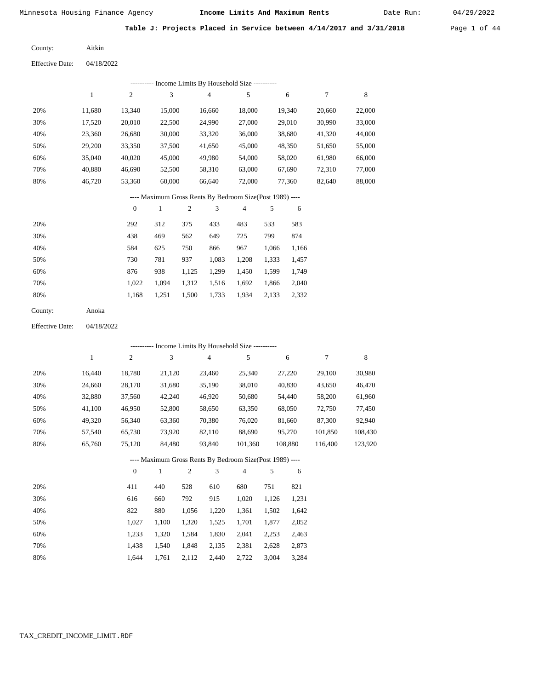Date Run:

Table J: Projects Placed in Service between 4/14/2017 and 3/31/2018 Page 1 of 44

| County: | Aitkin |
|---------|--------|
|---------|--------|

Effective Date: 04/18/2022

|                        |            |                  |              |            | --------- Income Limits By Household Size ----------     |            |            |            |                  |         |
|------------------------|------------|------------------|--------------|------------|----------------------------------------------------------|------------|------------|------------|------------------|---------|
|                        | 1          | $\sqrt{2}$       | 3            |            | 4                                                        | $\sqrt{5}$ |            | 6          | $\boldsymbol{7}$ | 8       |
| 20%                    | 11,680     | 13,340           | 15,000       |            | 16,660                                                   | 18,000     |            | 19,340     | 20,660           | 22,000  |
| 30%                    | 17,520     | 20,010           | 22,500       |            | 24,990                                                   | 27,000     |            | 29,010     | 30,990           | 33,000  |
| 40%                    | 23,360     | 26,680           | 30,000       |            | 33,320                                                   | 36,000     |            | 38,680     | 41,320           | 44,000  |
| 50%                    | 29,200     | 33,350           | 37,500       |            | 41,650                                                   | 45,000     |            | 48,350     | 51,650           | 55,000  |
| 60%                    | 35,040     | 40,020           | 45,000       |            | 49,980                                                   | 54,000     |            | 58,020     | 61,980           | 66,000  |
| 70%                    | 40,880     | 46,690           | 52,500       |            | 58,310                                                   | 63,000     |            | 67,690     | 72,310           | 77,000  |
| 80%                    | 46,720     | 53,360           | 60,000       |            | 66,640                                                   | 72,000     |            | 77,360     | 82,640           | 88,000  |
|                        |            |                  |              |            | ---- Maximum Gross Rents By Bedroom Size(Post 1989) ---- |            |            |            |                  |         |
|                        |            | $\boldsymbol{0}$ | $\,1$        | $\sqrt{2}$ | 3                                                        | 4          | 5          | 6          |                  |         |
| 20%                    |            | 292              | 312          | 375        | 433                                                      | 483        | 533        | 583        |                  |         |
| 30%                    |            | 438              | 469          | 562        | 649                                                      | 725        | 799        | 874        |                  |         |
| 40%                    |            | 584              | 625          | 750        | 866                                                      | 967        | 1,066      | 1,166      |                  |         |
| 50%                    |            | 730              | 781          | 937        | 1,083                                                    | 1,208      | 1,333      | 1,457      |                  |         |
| 60%                    |            | 876              | 938          | 1,125      | 1,299                                                    | 1,450      | 1,599      | 1,749      |                  |         |
| 70%                    |            | 1,022            | 1,094        | 1,312      | 1,516                                                    | 1,692      | 1,866      | 2,040      |                  |         |
| 80%                    |            | 1,168            | 1,251        | 1,500      | 1,733                                                    | 1,934      | 2,133      | 2,332      |                  |         |
| County:                | Anoka      |                  |              |            |                                                          |            |            |            |                  |         |
| <b>Effective Date:</b> | 04/18/2022 |                  |              |            |                                                          |            |            |            |                  |         |
|                        |            |                  |              |            | --------- Income Limits By Household Size ----------     |            |            |            |                  |         |
|                        | 1          | $\sqrt{2}$       | 3            |            | $\overline{\mathcal{A}}$                                 | 5          |            | 6          | 7                | 8       |
| 20%                    | 16,440     | 18,780           | 21,120       |            | 23,460                                                   | 25,340     |            | 27,220     | 29,100           | 30,980  |
| 30%                    | 24,660     | 28,170           | 31,680       |            | 35,190                                                   | 38,010     |            | 40,830     | 43,650           | 46,470  |
| 40%                    | 32,880     | 37,560           | 42,240       |            | 46,920                                                   | 50,680     |            | 54,440     | 58,200           | 61,960  |
| 50%                    | 41,100     | 46,950           | 52,800       |            | 58,650                                                   | 63,350     |            | 68,050     | 72,750           | 77,450  |
| 60%                    | 49,320     | 56,340           | 63,360       |            | 70,380                                                   | 76,020     |            | 81,660     | 87,300           | 92,940  |
| 70%                    | 57,540     | 65,730           | 73,920       |            | 82,110                                                   | 88,690     |            | 95,270     | 101,850          | 108,430 |
| 80%                    | 65,760     | 75,120           | 84,480       |            | 93,840                                                   | 101,360    |            | 108,880    | 116,400          | 123,920 |
|                        |            |                  |              |            | ---- Maximum Gross Rents By Bedroom Size(Post 1989) ---- |            |            |            |                  |         |
|                        |            | $\boldsymbol{0}$ | $\mathbf{1}$ | $\sqrt{2}$ | 3                                                        | 4          | $\sqrt{5}$ | $\sqrt{6}$ |                  |         |
| 20%                    |            | 411              | 440          | 528        | 610                                                      | 680        | 751        | 821        |                  |         |
| 30%                    |            | 616              | 660          | 792        | 915                                                      | 1,020      | 1,126      | 1,231      |                  |         |
| 40%                    |            | 822              | 880          | 1,056      | 1,220                                                    | 1,361      | 1,502      | 1,642      |                  |         |
| 50%                    |            | 1,027            | 1,100        | 1,320      | 1,525                                                    | 1,701      | 1,877      | 2,052      |                  |         |
| 60%                    |            | 1,233            | 1,320        | 1,584      | 1,830                                                    | 2,041      | 2,253      | 2,463      |                  |         |
| 70%                    |            | 1,438            | 1,540        | 1,848      | 2,135                                                    | 2,381      | 2,628      | 2,873      |                  |         |
| $80\%$                 |            | 1,644            | 1,761        | 2,112      | 2,440                                                    | 2,722      | 3,004      | 3,284      |                  |         |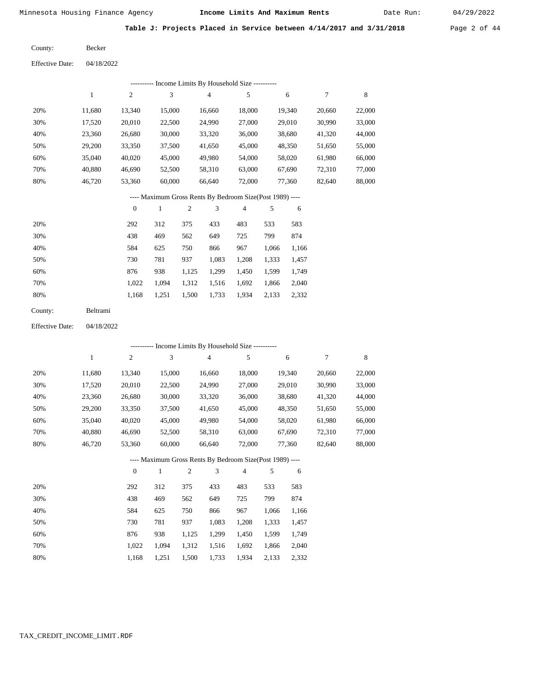Date Run:

**Table J: Projects Placed in Service between 4/14/2017 and 3/31/2018** Page 2 of 44

Becker County:

Effective Date: 04/18/2022

|                        |              |                  | --------- Income Limits By Household Size ----------     |                  |                |            |       |        |        |             |
|------------------------|--------------|------------------|----------------------------------------------------------|------------------|----------------|------------|-------|--------|--------|-------------|
|                        | $\mathbf{1}$ | $\mathfrak{2}$   | 3                                                        |                  | $\overline{4}$ | $\sqrt{5}$ |       | 6      | 7      | 8           |
| 20%                    | 11,680       | 13,340           | 15,000                                                   |                  | 16,660         | 18,000     |       | 19,340 | 20,660 | 22,000      |
| 30%                    | 17,520       | 20,010           | 22,500                                                   |                  | 24,990         | 27,000     |       | 29,010 | 30,990 | 33,000      |
| 40%                    | 23,360       | 26,680           | 30,000                                                   |                  | 33,320         | 36,000     |       | 38,680 | 41,320 | 44,000      |
| 50%                    | 29,200       | 33,350           | 37,500                                                   |                  | 41,650         | 45,000     |       | 48,350 | 51,650 | 55,000      |
| 60%                    | 35,040       | 40,020           | 45,000                                                   |                  | 49,980         | 54,000     |       | 58,020 | 61,980 | 66,000      |
| 70%                    | 40,880       | 46,690           | 52,500                                                   |                  | 58,310         | 63,000     |       | 67,690 | 72,310 | 77,000      |
| 80%                    | 46,720       | 53,360           | 60,000                                                   |                  | 66,640         | 72,000     |       | 77,360 | 82,640 | 88,000      |
|                        |              |                  | ---- Maximum Gross Rents By Bedroom Size(Post 1989) ---- |                  |                |            |       |        |        |             |
|                        |              | $\boldsymbol{0}$ | $\,1$                                                    | $\boldsymbol{2}$ | 3              | 4          | 5     | 6      |        |             |
| 20%                    |              | 292              | 312                                                      | 375              | 433            | 483        | 533   | 583    |        |             |
| 30%                    |              | 438              | 469                                                      | 562              | 649            | 725        | 799   | 874    |        |             |
| 40%                    |              | 584              | 625                                                      | 750              | 866            | 967        | 1,066 | 1,166  |        |             |
| 50%                    |              | 730              | 781                                                      | 937              | 1,083          | 1,208      | 1,333 | 1,457  |        |             |
| 60%                    |              | 876              | 938                                                      | 1,125            | 1,299          | 1,450      | 1,599 | 1,749  |        |             |
| 70%                    |              | 1,022            | 1,094                                                    | 1,312            | 1,516          | 1,692      | 1,866 | 2,040  |        |             |
| 80%                    |              | 1,168            | 1,251                                                    | 1,500            | 1,733          | 1,934      | 2,133 | 2,332  |        |             |
| County:                | Beltrami     |                  |                                                          |                  |                |            |       |        |        |             |
| <b>Effective Date:</b> | 04/18/2022   |                  |                                                          |                  |                |            |       |        |        |             |
|                        |              |                  | --------- Income Limits By Household Size ---------      |                  |                |            |       |        |        |             |
|                        | $\mathbf{1}$ | $\boldsymbol{2}$ | 3                                                        |                  | 4              | $\sqrt{5}$ |       | 6      | 7      | $\,$ 8 $\,$ |
| 20%                    | 11,680       | 13,340           | 15,000                                                   |                  | 16,660         | 18,000     |       | 19,340 | 20,660 | 22,000      |
| 30%                    | 17,520       | 20,010           | 22,500                                                   |                  | 24,990         | 27,000     |       | 29,010 | 30,990 | 33,000      |
| 40%                    | 23,360       | 26,680           | 30,000                                                   |                  | 33,320         | 36,000     |       | 38,680 | 41,320 | 44,000      |
| 50%                    | 29,200       | 33,350           | 37,500                                                   |                  | 41,650         | 45,000     |       | 48,350 | 51,650 | 55,000      |
| 60%                    | 35,040       | 40,020           | 45,000                                                   |                  | 49,980         | 54,000     |       | 58,020 | 61,980 | 66,000      |
| 70%                    | 40,880       | 46,690           | 52,500                                                   |                  | 58,310         | 63,000     |       | 67,690 | 72,310 | 77,000      |
| 80%                    | 46,720       | 53,360           | 60,000                                                   |                  | 66,640         | 72,000     |       | 77,360 | 82,640 | 88,000      |
|                        |              |                  | ---- Maximum Gross Rents By Bedroom Size(Post 1989) ---- |                  |                |            |       |        |        |             |
|                        |              | $\mathbf{0}$     | 1                                                        | 2                | 3              | 4          | 5     | 6      |        |             |

|     | $\mathbf{0}$ |       | $\overline{c}$ | 3     | 4     | 5     | 6     |
|-----|--------------|-------|----------------|-------|-------|-------|-------|
| 20% | 292          | 312   | 375            | 433   | 483   | 533   | 583   |
| 30% | 438          | 469   | 562            | 649   | 725   | 799   | 874   |
| 40% | 584          | 625   | 750            | 866   | 967   | 1,066 | 1,166 |
| 50% | 730          | 781   | 937            | 1,083 | 1,208 | 1,333 | 1,457 |
| 60% | 876          | 938   | 1,125          | 1,299 | 1,450 | 1,599 | 1,749 |
| 70% | 1.022        | 1.094 | 1,312          | 1,516 | 1,692 | 1,866 | 2,040 |
| 80% | 1,168        | 1,251 | 1,500          | 1,733 | 1,934 | 2,133 | 2,332 |

#### TAX\_CREDIT\_INCOME\_LIMIT.RDF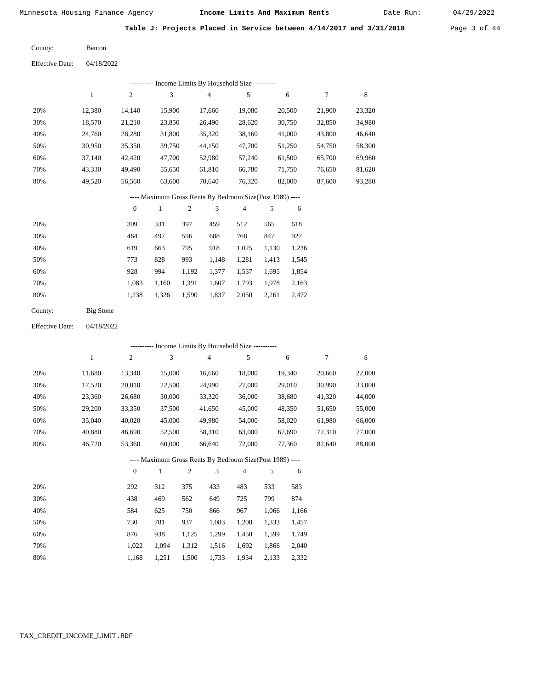Date Run:

Table J: Projects Placed in Service between 4/14/2017 and 3/31/2018 Page 3 of 44

Benton County:

04/18/2022 Effective Date:

| ---------- Income Limits By Household Size ---------- |        |                  |        |                |        |                                                          |       |        |        |        |
|-------------------------------------------------------|--------|------------------|--------|----------------|--------|----------------------------------------------------------|-------|--------|--------|--------|
|                                                       | 1      | 2                | 3      |                | 4      | 5                                                        |       | 6      | 7      | 8      |
| 20%                                                   | 12,380 | 14,140           | 15,900 |                | 17,660 | 19,080                                                   |       | 20,500 | 21,900 | 23,320 |
| 30%                                                   | 18,570 | 21,210           | 23,850 |                | 26,490 | 28,620                                                   |       | 30,750 | 32,850 | 34,980 |
| 40%                                                   | 24,760 | 28,280           | 31,800 |                | 35,320 | 38,160                                                   |       | 41,000 | 43,800 | 46,640 |
| 50%                                                   | 30,950 | 35,350           | 39,750 |                | 44,150 | 47,700                                                   |       | 51,250 | 54,750 | 58,300 |
| 60%                                                   | 37,140 | 42,420           | 47,700 |                | 52,980 | 57,240                                                   |       | 61,500 | 65,700 | 69,960 |
| 70%                                                   | 43,330 | 49,490           | 55,650 |                | 61,810 | 66,780                                                   |       | 71,750 | 76,650 | 81,620 |
| 80%                                                   | 49,520 | 56,560           | 63,600 |                | 70,640 | 76,320                                                   |       | 82,000 | 87,600 | 93,280 |
|                                                       |        |                  |        |                |        | ---- Maximum Gross Rents By Bedroom Size(Post 1989) ---- |       |        |        |        |
|                                                       |        | $\boldsymbol{0}$ | 1      | $\mathfrak{2}$ | 3      | $\overline{4}$                                           | 5     | 6      |        |        |
| 20%                                                   |        | 309              | 331    | 397            | 459    | 512                                                      | 565   | 618    |        |        |
| 30%                                                   |        | 464              | 497    | 596            | 688    | 768                                                      | 847   | 927    |        |        |
| 40%                                                   |        | 619              | 663    | 795            | 918    | 1,025                                                    | 1,130 | 1,236  |        |        |
| 50%                                                   |        | 773              | 828    | 993            | 1,148  | 1,281                                                    | 1,413 | 1,545  |        |        |
| 60%                                                   |        | 928              | 994    | 1,192          | 1,377  | 1,537                                                    | 1,695 | 1,854  |        |        |
| 70%                                                   |        | 1,083            | 1,160  | 1,391          | 1,607  | 1,793                                                    | 1,978 | 2,163  |        |        |

Big Stone County:

1,238

1,326

1,590

1,837

2,050

2,261

2,472

 1,022 1,168

 1,094 1,251

 1,312 1,500

 1,516 1,733

 1,692 1,934  1,866 2,133  2,040 2,332

80%

 70% 80%

04/18/2022 Effective Date:

|     |        |                  |              |                |                | ---------- Income Limits By Household Size ----------    |       |        |        |        |
|-----|--------|------------------|--------------|----------------|----------------|----------------------------------------------------------|-------|--------|--------|--------|
|     | 1      | $\overline{c}$   | 3            |                | $\overline{4}$ | 5                                                        |       | 6      | 7      | 8      |
| 20% | 11,680 | 13,340           | 15,000       |                | 16,660         | 18,000                                                   |       | 19,340 | 20,660 | 22,000 |
| 30% | 17,520 | 20,010           | 22,500       |                | 24,990         | 27,000                                                   |       | 29,010 | 30,990 | 33,000 |
| 40% | 23,360 | 26,680           | 30,000       |                | 33,320         | 36,000                                                   |       | 38,680 | 41,320 | 44,000 |
| 50% | 29,200 | 33,350           | 37,500       |                | 41,650         | 45,000                                                   |       | 48,350 | 51,650 | 55,000 |
| 60% | 35,040 | 40,020           | 45,000       |                | 49,980         | 54,000                                                   |       | 58,020 | 61,980 | 66,000 |
| 70% | 40,880 | 46,690           | 52,500       |                | 58,310         | 63,000                                                   |       | 67,690 | 72,310 | 77,000 |
| 80% | 46,720 | 53,360           | 60,000       |                | 66,640         | 72,000                                                   |       | 77,360 | 82,640 | 88,000 |
|     |        |                  |              |                |                | ---- Maximum Gross Rents By Bedroom Size(Post 1989) ---- |       |        |        |        |
|     |        | $\boldsymbol{0}$ | $\mathbf{1}$ | $\overline{2}$ | 3              | $\overline{4}$                                           | 5     | 6      |        |        |
| 20% |        | 292              | 312          | 375            | 433            | 483                                                      | 533   | 583    |        |        |
| 30% |        | 438              | 469          | 562            | 649            | 725                                                      | 799   | 874    |        |        |
| 40% |        | 584              | 625          | 750            | 866            | 967                                                      | 1,066 | 1,166  |        |        |
| 50% |        | 730              | 781          | 937            | 1,083          | 1,208                                                    | 1,333 | 1,457  |        |        |
| 60% |        | 876              | 938          | 1,125          | 1,299          | 1,450                                                    | 1,599 | 1,749  |        |        |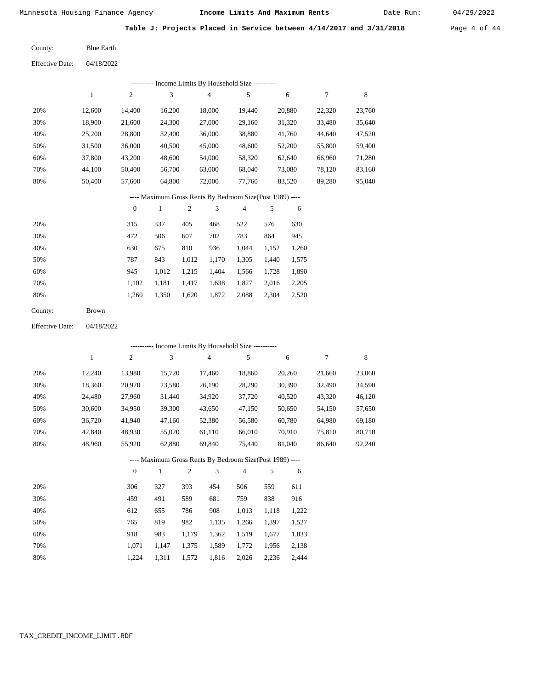Date Run:

Table J: Projects Placed in Service between 4/14/2017 and 3/31/2018 Page 4 of 44

Blue Earth County:

Effective Date: 04/18/2022

|                                                          |              |                  |                             |                  | --------- Income Limits By Household Size ----------     |                |       |        |        |        |
|----------------------------------------------------------|--------------|------------------|-----------------------------|------------------|----------------------------------------------------------|----------------|-------|--------|--------|--------|
|                                                          | $\mathbf{1}$ | $\sqrt{2}$       | 3                           |                  | $\overline{\mathbf{4}}$                                  | 5              |       | 6      | $\tau$ | 8      |
| 20%                                                      | 12,600       | 14,400           |                             | 16,200<br>18,000 |                                                          | 19,440         |       | 20,880 | 22,320 | 23,760 |
| 30%                                                      | 18,900       | 21,600           | 24,300                      |                  | 27,000                                                   | 29,160         |       | 31,320 | 33,480 | 35,640 |
| 40%                                                      | 25,200       | 28,800           | 32,400                      |                  | 36,000                                                   | 38,880         |       | 41,760 | 44,640 | 47,520 |
| 50%                                                      | 31,500       | 36,000           | 40,500                      |                  | 45,000                                                   | 48,600         |       | 52,200 | 55,800 | 59,400 |
| 60%                                                      | 37,800       | 43,200           | 48,600                      |                  | 54,000                                                   | 58,320         |       | 62,640 | 66,960 | 71,280 |
| 70%                                                      | 44,100       | 50,400           | 56,700                      |                  | 63,000                                                   | 68,040         |       | 73,080 | 78,120 | 83,160 |
| 80%                                                      | 50,400       | 57,600           | 64,800                      |                  | 72,000                                                   | 77,760         |       | 83,520 | 89,280 | 95,040 |
| ---- Maximum Gross Rents By Bedroom Size(Post 1989) ---- |              |                  |                             |                  |                                                          |                |       |        |        |        |
|                                                          |              | $\boldsymbol{0}$ | $\mathbf{1}$                | $\overline{c}$   | 3                                                        | $\overline{4}$ | 5     | 6      |        |        |
| 20%                                                      |              | 315              | 337                         | 405              | 468                                                      | 522            | 576   | 630    |        |        |
| 30%                                                      |              | 472              | 506                         | 607              | 702                                                      | 783            | 864   | 945    |        |        |
| 40%                                                      |              | 630              | 675                         | 810              | 936                                                      | 1,044          | 1,152 | 1,260  |        |        |
| 50%                                                      |              | 787              | 843                         | 1,012            | 1,170                                                    | 1,305          | 1,440 | 1,575  |        |        |
| 60%                                                      |              | 945              | 1,012                       | 1,215            | 1,404                                                    | 1,566          | 1,728 | 1,890  |        |        |
| 70%                                                      |              | 1,102            | 1,181                       | 1,417            | 1,638                                                    | 1,827          | 2,016 | 2,205  |        |        |
| 80%                                                      |              | 1,260            | 1,350                       | 1,620            | 1,872                                                    | 2,088          | 2,304 | 2,520  |        |        |
| County:                                                  | <b>Brown</b> |                  |                             |                  |                                                          |                |       |        |        |        |
| <b>Effective Date:</b>                                   | 04/18/2022   |                  |                             |                  |                                                          |                |       |        |        |        |
|                                                          |              |                  |                             |                  | --------- Income Limits By Household Size ----------     |                |       |        |        |        |
|                                                          | $\mathbf{1}$ | $\boldsymbol{2}$ | $\ensuremath{\mathfrak{Z}}$ |                  | 4                                                        | 5              |       | 6      | $\tau$ | 8      |
| 20%                                                      | 12,240       | 13,980           | 15,720                      |                  | 17,460                                                   | 18,860         |       | 20,260 | 21,660 | 23,060 |
| 30%                                                      | 18,360       | 20,970           | 23,580                      |                  | 26,190                                                   | 28,290         |       | 30,390 | 32,490 | 34,590 |
| 40%                                                      | 24,480       | 27,960           | 31,440                      |                  | 34,920                                                   | 37,720         |       | 40,520 | 43,320 | 46,120 |
| 50%                                                      | 30,600       | 34,950           | 39,300                      |                  | 43,650                                                   | 47,150         |       | 50,650 | 54,150 | 57,650 |
| 60%                                                      | 36,720       | 41,940           | 47,160                      |                  | 52,380                                                   | 56,580         |       | 60,780 | 64,980 | 69,180 |
| 70%                                                      | 42,840       | 48,930           | 55,020                      |                  | 61,110                                                   | 66,010         |       | 70,910 | 75,810 | 80,710 |
| 80%                                                      | 48,960       | 55,920           | 62,880                      |                  | 69,840                                                   | 75,440         |       | 81,040 | 86,640 | 92,240 |
|                                                          |              |                  |                             |                  | ---- Maximum Gross Rents By Bedroom Size(Post 1989) ---- |                |       |        |        |        |
|                                                          |              | $\boldsymbol{0}$ | $\mathbf{1}$                | $\overline{c}$   | 3                                                        | $\overline{4}$ | 5     | 6      |        |        |

| 20% | 306   | 327   | 393   | 454   | 506   | 559   | 611   |
|-----|-------|-------|-------|-------|-------|-------|-------|
| 30% | 459   | 491   | 589   | 681   | 759   | 838   | 916   |
| 40% | 612   | 655   | 786   | 908   | 1,013 | 1,118 | 1,222 |
| 50% | 765   | 819   | 982   | 1,135 | 1,266 | 1,397 | 1,527 |
| 60% | 918   | 983   | 1,179 | 1,362 | 1,519 | 1,677 | 1,833 |
| 70% | 1.071 | 1.147 | 1,375 | 1,589 | 1,772 | 1,956 | 2,138 |
| 80% | 1.224 | 1.311 | 1,572 | 1,816 | 2,026 | 2,236 | 2,444 |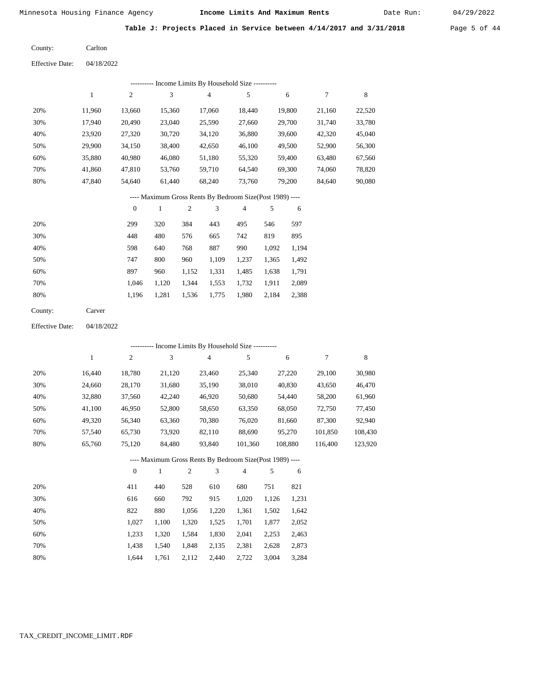Date Run:

**Table J: Projects Placed in Service between 4/14/2017 and 3/31/2018** Page 5 of 44

| County: | Carlton |
|---------|---------|
|---------|---------|

Effective Date: 04/18/2022

|     |        |          |        |     |                | ---------- Income Limits By Household Size ----------    |     |        |        |        |
|-----|--------|----------|--------|-----|----------------|----------------------------------------------------------|-----|--------|--------|--------|
|     | 1      | 2        | 3      |     | $\overline{4}$ | 5                                                        |     | 6      | 7      | 8      |
| 20% | 11,960 | 13,660   | 15,360 |     | 17,060         | 18,440                                                   |     | 19,800 | 21,160 | 22,520 |
| 30% | 17,940 | 20,490   | 23,040 |     | 25,590         | 27,660                                                   |     | 29,700 | 31,740 | 33,780 |
| 40% | 23,920 | 27,320   | 30,720 |     | 34,120         | 36,880                                                   |     | 39,600 | 42,320 | 45,040 |
| 50% | 29,900 | 34,150   | 38,400 |     | 42,650         | 46,100                                                   |     | 49,500 | 52,900 | 56,300 |
| 60% | 35,880 | 40,980   | 46,080 |     | 51,180         | 55,320                                                   |     | 59,400 | 63,480 | 67,560 |
| 70% | 41,860 | 47,810   | 53,760 |     | 59,710         | 64,540                                                   |     | 69,300 | 74,060 | 78,820 |
| 80% | 47,840 | 54,640   | 61,440 |     | 68,240         | 73,760                                                   |     | 79,200 | 84,640 | 90,080 |
|     |        |          |        |     |                | ---- Maximum Gross Rents By Bedroom Size(Post 1989) ---- |     |        |        |        |
|     |        | $\theta$ | 1      | 2   | 3              | 4                                                        | 5   | 6      |        |        |
| 20% |        | 299      | 320    | 384 | 443            | 495                                                      | 546 | 597    |        |        |
| 30% |        | 448      | 480    | 576 | 665            | 742                                                      | 819 | 895    |        |        |

| 30% | 44 O  | 48V   | 2/0         | 00 <sub>2</sub>               | 742 L | 81Y         | 892   |
|-----|-------|-------|-------------|-------------------------------|-------|-------------|-------|
| 40% | 598   | 640   | 768         | 887                           | 990   | 1.092       | 1,194 |
| 50% | 747   | 800   | 960         | 1.109                         | 1.237 | 1,365 1,492 |       |
| 60% | 897   | 960   |             | 1,152 1,331 1,485 1,638 1,791 |       |             |       |
| 70% | 1.046 | 1.120 | 1.344 1.553 |                               | 1.732 | 1,911 2,089 |       |
| 80% | 1.196 | 1.281 | 1.536 1.775 |                               | 1,980 | 2,184 2,388 |       |
|     |       |       |             |                               |       |             |       |

| County: | Carver |
|---------|--------|
|---------|--------|

Effective Date: 04/18/2022

|     | --------- Income Limits By Household Size ---------- |                |        |                                                          |                |         |         |         |  |  |  |  |  |
|-----|------------------------------------------------------|----------------|--------|----------------------------------------------------------|----------------|---------|---------|---------|--|--|--|--|--|
|     | 1                                                    | $\overline{c}$ | 3      | 4                                                        | 5              | 6       | 7       | 8       |  |  |  |  |  |
| 20% | 16.440                                               | 18,780         | 21,120 | 23.460                                                   | 25,340         | 27,220  | 29,100  | 30,980  |  |  |  |  |  |
| 30% | 24,660                                               | 28,170         | 31,680 | 35,190                                                   | 38,010         | 40,830  | 43,650  | 46,470  |  |  |  |  |  |
| 40% | 32,880                                               | 37,560         | 42,240 | 46,920                                                   | 50,680         | 54,440  | 58,200  | 61,960  |  |  |  |  |  |
| 50% | 41,100                                               | 46,950         | 52,800 | 58,650                                                   | 63,350         | 68,050  | 72,750  | 77,450  |  |  |  |  |  |
| 60% | 49,320                                               | 56,340         | 63,360 | 70,380                                                   | 76,020         | 81,660  | 87,300  | 92,940  |  |  |  |  |  |
| 70% | 57,540                                               | 65,730         | 73,920 | 82,110                                                   | 88,690         | 95,270  | 101,850 | 108,430 |  |  |  |  |  |
| 80% | 65,760                                               | 75,120         | 84,480 | 93,840                                                   | 101.360        | 108,880 | 116.400 | 123,920 |  |  |  |  |  |
|     |                                                      |                |        | ---- Maximum Gross Rents By Bedroom Size(Post 1989) ---- |                |         |         |         |  |  |  |  |  |
|     |                                                      | $\theta$       | 1      | 3<br>2                                                   | $\overline{4}$ | 5<br>6  |         |         |  |  |  |  |  |

| 20% | 411   | 440   | 528   | 610   | 680   | 751   | 821   |
|-----|-------|-------|-------|-------|-------|-------|-------|
| 30% | 616   | 660   | 792   | 915   | 1,020 | 1.126 | 1,231 |
| 40% | 822   | 880   | 1.056 | 1,220 | 1,361 | 1,502 | 1,642 |
| 50% | 1.027 | 1.100 | 1.320 | 1.525 | 1.701 | 1.877 | 2,052 |
| 60% | 1.233 | 1.320 | 1.584 | 1,830 | 2,041 | 2.253 | 2,463 |
| 70% | 1.438 | 1.540 | 1.848 | 2,135 | 2,381 | 2.628 | 2,873 |
| 80% | 1.644 | 1.761 | 2,112 | 2,440 | 2,722 | 3,004 | 3,284 |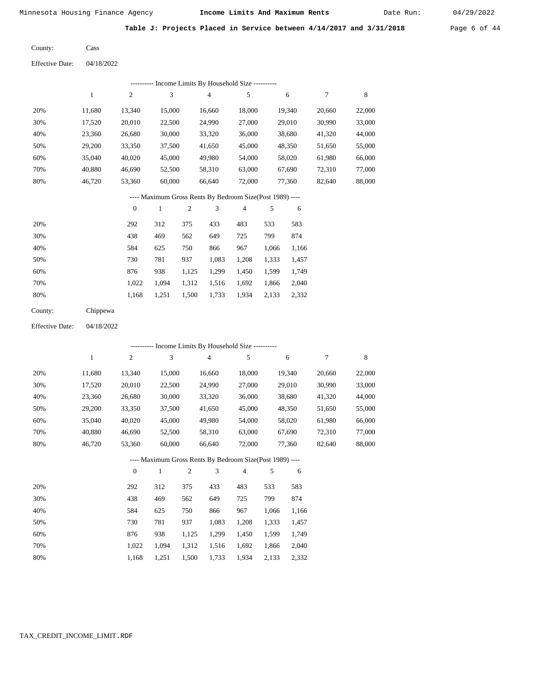Date Run:

Table J: Projects Placed in Service between 4/14/2017 and 3/31/2018 Page 6 of 44

| County: | Cass |
|---------|------|
|---------|------|

Effective Date: 04/18/2022

|     | ---------- Income Limits By Household Size ---------- |                |        |                |                |                                                          |       |        |        |        |  |  |  |
|-----|-------------------------------------------------------|----------------|--------|----------------|----------------|----------------------------------------------------------|-------|--------|--------|--------|--|--|--|
|     | 1                                                     | $\overline{2}$ | 3      |                | $\overline{4}$ | 5                                                        |       | 6      | 7      | 8      |  |  |  |
| 20% | 11,680                                                | 13,340         | 15,000 |                | 16,660         | 18,000                                                   |       | 19,340 | 20,660 | 22,000 |  |  |  |
| 30% | 17,520                                                | 20,010         | 22,500 |                | 24,990         | 27,000                                                   |       | 29,010 | 30,990 | 33,000 |  |  |  |
| 40% | 23,360                                                | 26,680         | 30,000 |                | 33,320         | 36,000                                                   |       | 38,680 | 41,320 | 44,000 |  |  |  |
| 50% | 29,200                                                | 33,350         | 37,500 |                | 41,650         | 45,000                                                   |       | 48,350 | 51,650 | 55,000 |  |  |  |
| 60% | 35,040                                                | 40,020         | 45,000 |                | 49,980         | 54,000                                                   |       | 58,020 | 61,980 | 66,000 |  |  |  |
| 70% | 40,880                                                | 46,690         | 52,500 |                | 58,310         | 63,000                                                   |       | 67,690 | 72,310 | 77,000 |  |  |  |
| 80% | 46,720                                                | 53,360         | 60,000 |                | 66,640         | 72,000                                                   |       | 77,360 | 82,640 | 88,000 |  |  |  |
|     |                                                       |                |        |                |                | ---- Maximum Gross Rents By Bedroom Size(Post 1989) ---- |       |        |        |        |  |  |  |
|     |                                                       | $\mathbf{0}$   | 1      | $\overline{c}$ | 3              | 4                                                        | 5     | 6      |        |        |  |  |  |
| 20% |                                                       | 292            | 312    | 375            | 433            | 483                                                      | 533   | 583    |        |        |  |  |  |
| 30% |                                                       | 438            | 469    | 562            | 649            | 725                                                      | 799   | 874    |        |        |  |  |  |
| 40% |                                                       | 584            | 625    | 750            | 866            | 967                                                      | 1,066 | 1,166  |        |        |  |  |  |

| 50% | 730 | 781 | 937 1.083 1.208 1.333 1.457               |  |  |
|-----|-----|-----|-------------------------------------------|--|--|
| 60% |     |     | 876 938 1,125 1,299 1,450 1,599 1,749     |  |  |
| 70% |     |     | 1,022 1,094 1,312 1,516 1,692 1,866 2,040 |  |  |
| 80% |     |     | 1,168 1,251 1,500 1,733 1,934 2,133 2,332 |  |  |

| County: | Chippewa |
|---------|----------|
|         |          |

Effective Date: 04/18/2022

|     |              |                | ---------- Income Limits By Household Size ----------    |                |                |                |       |        |        |        |
|-----|--------------|----------------|----------------------------------------------------------|----------------|----------------|----------------|-------|--------|--------|--------|
|     | $\mathbf{1}$ | $\overline{c}$ | 3                                                        |                | $\overline{4}$ | 5              |       | 6      | 7      | 8      |
| 20% | 11,680       | 13,340         | 15,000                                                   |                | 16,660         | 18,000         |       | 19,340 | 20,660 | 22,000 |
| 30% | 17,520       | 20,010         | 22,500                                                   |                | 24,990         | 27,000         |       | 29,010 | 30,990 | 33,000 |
| 40% | 23,360       | 26,680         | 30,000                                                   |                | 33,320         | 36,000         |       | 38,680 | 41,320 | 44,000 |
| 50% | 29,200       | 33,350         | 37,500                                                   |                | 41,650         | 45,000         |       | 48,350 | 51,650 | 55,000 |
| 60% | 35,040       | 40,020         | 45,000                                                   |                | 49,980         | 54,000         |       | 58,020 | 61,980 | 66,000 |
| 70% | 40,880       | 46,690         | 52,500                                                   |                | 58,310         | 63,000         |       | 67,690 | 72,310 | 77,000 |
| 80% | 46,720       | 53,360         | 60,000                                                   |                | 66,640         | 72,000         |       | 77,360 | 82,640 | 88,000 |
|     |              |                | ---- Maximum Gross Rents By Bedroom Size(Post 1989) ---- |                |                |                |       |        |        |        |
|     |              | $\mathbf{0}$   | 1                                                        | $\overline{2}$ | 3              | $\overline{4}$ | 5     | 6      |        |        |
| 20% |              | 292            | 312                                                      | 375            | 433            | 483            | 533   | 583    |        |        |
| 30% |              | 438            | 469                                                      | 562            | 649            | 725            | 799   | 874    |        |        |
| 40% |              | 584            | 625                                                      | 750            | 866            | 967            | 1,066 | 1,166  |        |        |
| 50% |              | 730            | 781                                                      | 937            | 1,083          | 1,208          | 1,333 | 1,457  |        |        |

876 938 1,125 1,299 1,450 1,599 1,749

2,332

| 70% |  |  | 1,022 1,094 1,312 1,516 1,692 1,866 2,040 |  |
|-----|--|--|-------------------------------------------|--|
| 80% |  |  | 1,168 1,251 1,500 1,733 1,934 2,133 2,332 |  |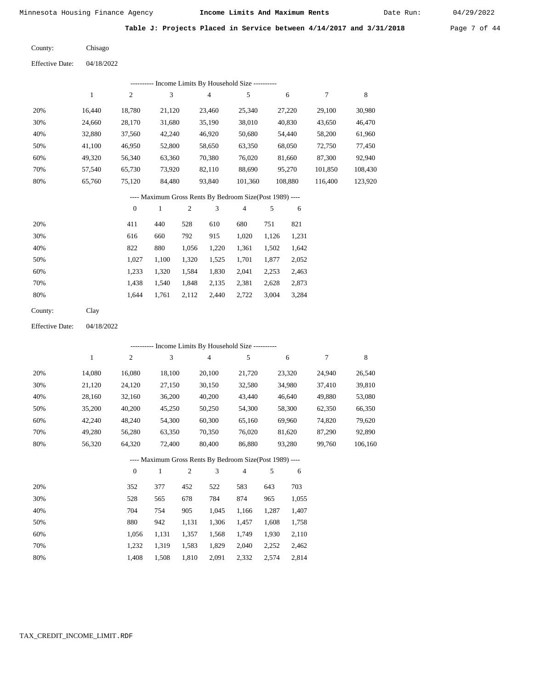Date Run:

**Table J: Projects Placed in Service between 4/14/2017 and 3/31/2018** Page 7 of 44

Chisago County:

04/18/2022 Effective Date:

|     | Income Limits By Household Size ---------- |                |        |                |         |         |         |         |  |  |  |  |  |  |
|-----|--------------------------------------------|----------------|--------|----------------|---------|---------|---------|---------|--|--|--|--|--|--|
|     |                                            | $\overline{2}$ | 3      | $\overline{4}$ | 5       | 6       |         | 8       |  |  |  |  |  |  |
| 20% | 16.440                                     | 18.780         | 21,120 | 23.460         | 25,340  | 27,220  | 29,100  | 30,980  |  |  |  |  |  |  |
| 30% | 24,660                                     | 28,170         | 31,680 | 35,190         | 38,010  | 40,830  | 43,650  | 46,470  |  |  |  |  |  |  |
| 40% | 32,880                                     | 37,560         | 42,240 | 46,920         | 50,680  | 54,440  | 58,200  | 61,960  |  |  |  |  |  |  |
| 50% | 41.100                                     | 46,950         | 52,800 | 58,650         | 63,350  | 68,050  | 72,750  | 77,450  |  |  |  |  |  |  |
| 60% | 49,320                                     | 56,340         | 63,360 | 70,380         | 76,020  | 81,660  | 87,300  | 92,940  |  |  |  |  |  |  |
| 70% | 57,540                                     | 65,730         | 73,920 | 82,110         | 88,690  | 95,270  | 101,850 | 108,430 |  |  |  |  |  |  |
| 80% | 65,760                                     | 75,120         | 84,480 | 93,840         | 101,360 | 108,880 | 116.400 | 123,920 |  |  |  |  |  |  |

# ---- Maximum Gross Rents By Bedroom Size(Post 1989) ----

|     | $\mathbf{0}$ |       | $\overline{2}$ | 3     | 4     | 5     | 6     |
|-----|--------------|-------|----------------|-------|-------|-------|-------|
| 20% | 411          | 440   | 528            | 610   | 680   | 751   | 821   |
| 30% | 616          | 660   | 792            | 915   | 1,020 | 1,126 | 1,231 |
| 40% | 822          | 880   | 1,056          | 1,220 | 1,361 | 1,502 | 1,642 |
| 50% | 1,027        | 1,100 | 1,320          | 1,525 | 1,701 | 1,877 | 2,052 |
| 60% | 1,233        | 1,320 | 1,584          | 1,830 | 2,041 | 2,253 | 2,463 |
| 70% | 1,438        | 1,540 | 1,848          | 2,135 | 2,381 | 2,628 | 2,873 |
| 80% | 1.644        | 1,761 | 2,112          | 2,440 | 2,722 | 3,004 | 3,284 |
|     |              |       |                |       |       |       |       |

Clay County:

04/18/2022 Effective Date:

|     | ---------- Income Limits By Household Size ---------- |              |                                                          |                |                |                |     |        |        |         |  |  |  |
|-----|-------------------------------------------------------|--------------|----------------------------------------------------------|----------------|----------------|----------------|-----|--------|--------|---------|--|--|--|
|     | 1                                                     | 2            | 3                                                        |                | $\overline{4}$ | 5              |     | 6      | 7      | 8       |  |  |  |
| 20% | 14,080                                                | 16,080       | 18,100                                                   |                | 20,100         | 21,720         |     | 23,320 | 24,940 | 26,540  |  |  |  |
| 30% | 21,120                                                | 24,120       | 27,150                                                   |                | 30,150         | 32,580         |     | 34,980 | 37,410 | 39,810  |  |  |  |
| 40% | 28,160                                                | 32,160       | 36,200                                                   |                | 40,200         | 43,440         |     | 46,640 | 49,880 | 53,080  |  |  |  |
| 50% | 35,200                                                | 40,200       | 45,250                                                   |                | 50,250         | 54,300         |     | 58,300 | 62,350 | 66,350  |  |  |  |
| 60% | 42,240                                                | 48,240       | 54,300                                                   |                | 60,300         | 65,160         |     | 69,960 | 74,820 | 79,620  |  |  |  |
| 70% | 49,280                                                | 56,280       | 63,350                                                   |                | 70,350         | 76,020         |     | 81,620 | 87,290 | 92,890  |  |  |  |
| 80% | 56,320                                                | 64,320       | 72,400                                                   |                | 80,400         | 86,880         |     | 93,280 | 99,760 | 106,160 |  |  |  |
|     |                                                       |              | ---- Maximum Gross Rents By Bedroom Size(Post 1989) ---- |                |                |                |     |        |        |         |  |  |  |
|     |                                                       | $\mathbf{0}$ | 1                                                        | $\overline{c}$ | 3              | $\overline{4}$ | 5   | 6      |        |         |  |  |  |
| 20% |                                                       | 352          | 377                                                      | 452            | 522            | 583            | 643 | 703    |        |         |  |  |  |
| 30% |                                                       | 528          | 565                                                      | 678            | 784            | 874            | 965 | 1,055  |        |         |  |  |  |

| 40% | 704   | 754                                       | 905 |                   | 1.045 1.166 1.287 1.407       |       |
|-----|-------|-------------------------------------------|-----|-------------------|-------------------------------|-------|
| 50% | 880   | 942                                       |     |                   | 1,131 1,306 1,457 1,608 1,758 |       |
| 60% |       | 1,056 1,131 1,357 1,568 1,749 1,930 2,110 |     |                   |                               |       |
| 70% |       | 1,232 1,319 1,583 1,829 2,040 2,252 2,462 |     |                   |                               |       |
| 80% | 1.408 | 1,508 1,810                               |     | 2,091 2,332 2,574 |                               | 2,814 |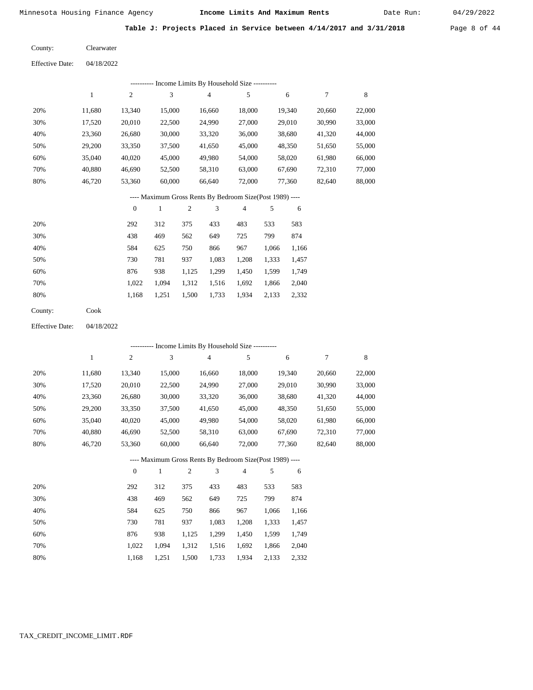Date Run:

|  |  |  | Table J: Projects Placed in Service between 4/14/2017 and 3/31/2018 | Page 8 of 44 |  |  |
|--|--|--|---------------------------------------------------------------------|--------------|--|--|
|  |  |  |                                                                     |              |  |  |

| County: | Clearwater |
|---------|------------|
|---------|------------|

|     | Income Limits By Household Size ---------- |        |        |        |        |        |        |        |  |  |  |
|-----|--------------------------------------------|--------|--------|--------|--------|--------|--------|--------|--|--|--|
|     |                                            | 2      | 3      | 4      | 5      | 6      | 7      | 8      |  |  |  |
| 20% | 11,680                                     | 13,340 | 15,000 | 16,660 | 18,000 | 19,340 | 20,660 | 22,000 |  |  |  |
| 30% | 17,520                                     | 20,010 | 22,500 | 24,990 | 27,000 | 29,010 | 30,990 | 33,000 |  |  |  |
| 40% | 23,360                                     | 26,680 | 30,000 | 33,320 | 36,000 | 38,680 | 41,320 | 44,000 |  |  |  |
| 50% | 29,200                                     | 33,350 | 37,500 | 41,650 | 45,000 | 48,350 | 51,650 | 55,000 |  |  |  |
| 60% | 35,040                                     | 40,020 | 45,000 | 49,980 | 54,000 | 58,020 | 61,980 | 66,000 |  |  |  |
| 70% | 40,880                                     | 46,690 | 52,500 | 58,310 | 63,000 | 67,690 | 72,310 | 77,000 |  |  |  |
| 80% | 46,720                                     | 53,360 | 60,000 | 66,640 | 72,000 | 77,360 | 82,640 | 88,000 |  |  |  |
|     |                                            |        |        |        |        |        |        |        |  |  |  |

# ---- Maximum Gross Rents By Bedroom Size(Post 1989) ----

|     | $\mathbf{0}$ |       | 2     | 3     | 4     | 5     | 6     |
|-----|--------------|-------|-------|-------|-------|-------|-------|
| 20% | 292          | 312   | 375   | 433   | 483   | 533   | 583   |
| 30% | 438          | 469   | 562   | 649   | 725   | 799   | 874   |
| 40% | 584          | 625   | 750   | 866   | 967   | 1,066 | 1,166 |
| 50% | 730          | 781   | 937   | 1,083 | 1,208 | 1,333 | 1,457 |
| 60% | 876          | 938   | 1,125 | 1,299 | 1,450 | 1,599 | 1,749 |
| 70% | 1.022        | 1.094 | 1,312 | 1,516 | 1,692 | 1,866 | 2,040 |
| 80% | 1,168        | 1,251 | 1,500 | 1,733 | 1,934 | 2,133 | 2,332 |
|     |              |       |       |       |       |       |       |

Cook County:

04/18/2022 Effective Date:

|     | ---------- Income Limits By Household Size ---------- |                |              |                |                                                          |                |       |        |        |        |
|-----|-------------------------------------------------------|----------------|--------------|----------------|----------------------------------------------------------|----------------|-------|--------|--------|--------|
|     | $\mathbf{1}$                                          | $\overline{c}$ | 3            |                | $\overline{4}$                                           | 5              |       | 6      | 7      | 8      |
| 20% | 11,680                                                | 13,340         | 15,000       |                | 16,660                                                   | 18,000         |       | 19,340 | 20,660 | 22,000 |
| 30% | 17,520                                                | 20,010         | 22,500       |                | 24,990                                                   | 27,000         |       | 29,010 | 30,990 | 33,000 |
| 40% | 23,360                                                | 26,680         | 30,000       |                | 33,320                                                   | 36,000         |       | 38,680 | 41,320 | 44,000 |
| 50% | 29,200                                                | 33,350         | 37,500       |                | 41,650                                                   | 45,000         |       | 48,350 | 51,650 | 55,000 |
| 60% | 35,040                                                | 40,020         | 45,000       |                | 49,980                                                   | 54,000         |       | 58,020 | 61,980 | 66,000 |
| 70% | 40,880                                                | 46,690         | 52,500       |                | 58,310                                                   | 63,000         |       | 67,690 | 72,310 | 77,000 |
| 80% | 46,720                                                | 53,360         | 60,000       |                | 66,640                                                   | 72,000         |       | 77,360 | 82,640 | 88,000 |
|     |                                                       |                |              |                | ---- Maximum Gross Rents By Bedroom Size(Post 1989) ---- |                |       |        |        |        |
|     |                                                       | $\theta$       | $\mathbf{1}$ | $\mathfrak{2}$ | 3                                                        | $\overline{4}$ | 5     | 6      |        |        |
| 20% |                                                       | 292            | 312          | 375            | 433                                                      | 483            | 533   | 583    |        |        |
| 30% |                                                       | 438            | 469          | 562            | 649                                                      | 725            | 799   | 874    |        |        |
| 40% |                                                       | 584            | 625          | 750            | 866                                                      | 967            | 1,066 | 1,166  |        |        |
| 50% |                                                       | 730            | 781          | 937            | 1,083                                                    | 1,208          | 1,333 | 1,457  |        |        |
| 60% |                                                       | 876            | 938          | 1,125          | 1,299                                                    | 1,450          | 1,599 | 1,749  |        |        |
| 70% |                                                       | 1,022          | 1,094        | 1,312          | 1,516                                                    | 1,692          | 1,866 | 2,040  |        |        |

1,168

1,251

1,500

1,733

1,934

2,133

2,332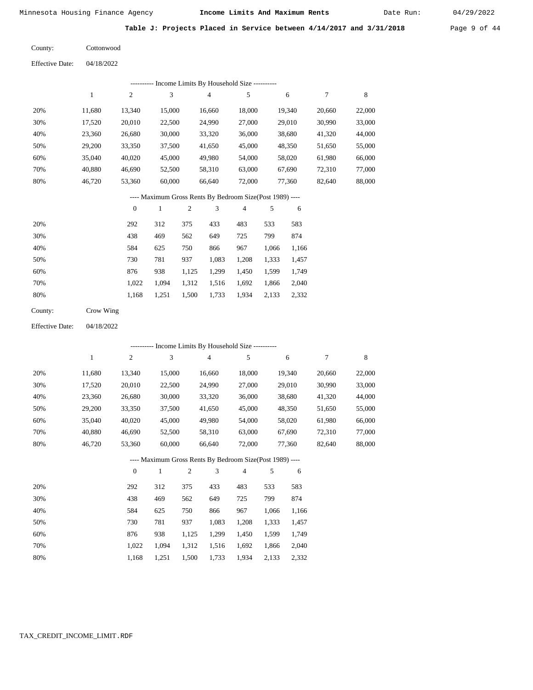Date Run:

**Table J: Projects Placed in Service between 4/14/2017 and 3/31/2018** Page 9 of 44

| <b>Effective Date:</b> | 04/18/2022 |
|------------------------|------------|
|                        |            |

|     | Income Limits By Household Size ---------- |        |        |        |        |        |        |        |  |  |  |
|-----|--------------------------------------------|--------|--------|--------|--------|--------|--------|--------|--|--|--|
|     |                                            | 2      | 3      | 4      | 5      | 6      | 7      | 8      |  |  |  |
| 20% | 11,680                                     | 13,340 | 15,000 | 16,660 | 18,000 | 19,340 | 20,660 | 22,000 |  |  |  |
| 30% | 17,520                                     | 20,010 | 22,500 | 24,990 | 27,000 | 29,010 | 30,990 | 33,000 |  |  |  |
| 40% | 23,360                                     | 26,680 | 30,000 | 33,320 | 36,000 | 38,680 | 41,320 | 44,000 |  |  |  |
| 50% | 29,200                                     | 33,350 | 37,500 | 41,650 | 45,000 | 48,350 | 51,650 | 55,000 |  |  |  |
| 60% | 35,040                                     | 40,020 | 45,000 | 49,980 | 54,000 | 58,020 | 61,980 | 66,000 |  |  |  |
| 70% | 40,880                                     | 46,690 | 52,500 | 58,310 | 63,000 | 67,690 | 72,310 | 77,000 |  |  |  |
| 80% | 46,720                                     | 53,360 | 60,000 | 66,640 | 72,000 | 77,360 | 82,640 | 88,000 |  |  |  |
|     |                                            |        |        |        |        |        |        |        |  |  |  |

#### ---- Maximum Gross Rents By Bedroom Size(Post 1989) ----

|     | $\theta$ |       | $\overline{c}$ | 3     | 4     | 5     | 6     |
|-----|----------|-------|----------------|-------|-------|-------|-------|
| 20% | 292      | 312   | 375            | 433   | 483   | 533   | 583   |
| 30% | 438      | 469   | 562            | 649   | 725   | 799   | 874   |
| 40% | 584      | 625   | 750            | 866   | 967   | 1,066 | 1,166 |
| 50% | 730      | 781   | 937            | 1,083 | 1,208 | 1,333 | 1,457 |
| 60% | 876      | 938   | 1,125          | 1,299 | 1,450 | 1,599 | 1,749 |
| 70% | 1.022    | 1.094 | 1,312          | 1,516 | 1,692 | 1,866 | 2,040 |
| 80% | 1,168    | 1,251 | 1,500          | 1,733 | 1,934 | 2,133 | 2,332 |
|     |          |       |                |       |       |       |       |

| County: | Crow Wing |
|---------|-----------|
|---------|-----------|

04/18/2022 Effective Date:

|     |        |                |        |                |                | - Income Limits By Household Size ----------             |       |        |        |        |
|-----|--------|----------------|--------|----------------|----------------|----------------------------------------------------------|-------|--------|--------|--------|
|     | 1      | $\overline{c}$ | 3      |                | $\overline{4}$ | 5                                                        |       | 6      | 7      | 8      |
| 20% | 11,680 | 13,340         | 15,000 |                | 16,660         | 18,000                                                   |       | 19,340 | 20,660 | 22,000 |
| 30% | 17,520 | 20,010         | 22,500 |                | 24,990         | 27,000                                                   |       | 29,010 | 30,990 | 33,000 |
| 40% | 23,360 | 26,680         | 30,000 |                | 33,320         | 36,000                                                   |       | 38,680 | 41,320 | 44,000 |
| 50% | 29,200 | 33,350         | 37,500 |                | 41,650         | 45,000                                                   |       | 48,350 | 51,650 | 55,000 |
| 60% | 35,040 | 40,020         | 45,000 |                | 49,980         | 54,000                                                   |       | 58,020 | 61,980 | 66,000 |
| 70% | 40,880 | 46,690         | 52,500 |                | 58,310         | 63,000                                                   |       | 67,690 | 72,310 | 77,000 |
| 80% | 46,720 | 53,360         | 60,000 |                | 66,640         | 72,000                                                   |       | 77,360 | 82,640 | 88,000 |
|     |        |                |        |                |                | ---- Maximum Gross Rents By Bedroom Size(Post 1989) ---- |       |        |        |        |
|     |        | $\theta$       | 1      | $\overline{2}$ | 3              | $\overline{4}$                                           | 5     | 6      |        |        |
| 20% |        | 292            | 312    | 375            | 433            | 483                                                      | 533   | 583    |        |        |
| 30% |        | 438            | 469    | 562            | 649            | 725                                                      | 799   | 874    |        |        |
| 40% |        | 584            | 625    | 750            | 866            | 967                                                      | 1,066 | 1,166  |        |        |
| 50% |        | 730            | 781    | 937            | 1,083          | 1,208                                                    | 1,333 | 1,457  |        |        |
| 60% |        | 876            | 938    | 1,125          | 1,299          | 1,450                                                    | 1,599 | 1,749  |        |        |
| 70% |        | 1,022          | 1,094  | 1,312          | 1,516          | 1,692                                                    | 1,866 | 2,040  |        |        |

1,168

1,251

1,500

1,733

1,934

2,133

2,332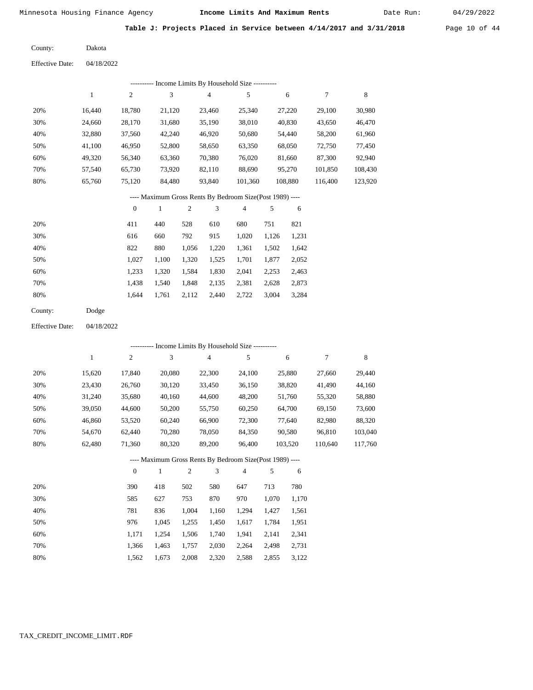Date Run:

**Table J: Projects Placed in Service between 4/14/2017 and 3/31/2018** Page 10 of 44

Dakota County:

04/18/2022 Effective Date:

| ---------- Income Limits By Household Size ----------    |        |        |        |                |         |         |         |         |
|----------------------------------------------------------|--------|--------|--------|----------------|---------|---------|---------|---------|
|                                                          | 1      | 2      | 3      | $\overline{4}$ | 5       | 6       | 7       | 8       |
| 20%                                                      | 16.440 | 18.780 | 21,120 | 23,460         | 25.340  | 27,220  | 29,100  | 30,980  |
| 30%                                                      | 24.660 | 28,170 | 31,680 | 35,190         | 38,010  | 40,830  | 43,650  | 46,470  |
| 40%                                                      | 32,880 | 37,560 | 42,240 | 46,920         | 50,680  | 54,440  | 58,200  | 61,960  |
| 50%                                                      | 41.100 | 46.950 | 52,800 | 58,650         | 63,350  | 68,050  | 72,750  | 77,450  |
| 60%                                                      | 49,320 | 56,340 | 63,360 | 70,380         | 76,020  | 81,660  | 87,300  | 92,940  |
| 70%                                                      | 57.540 | 65.730 | 73.920 | 82.110         | 88.690  | 95,270  | 101.850 | 108.430 |
| 80%                                                      | 65,760 | 75,120 | 84.480 | 93.840         | 101.360 | 108,880 | 116,400 | 123,920 |
| ---- Maximum Gross Rents By Bedroom Size(Post 1989) ---- |        |        |        |                |         |         |         |         |

|     | $\mathbf{0}$ |       |       | 3     | $\overline{4}$ | 5     | 6     |
|-----|--------------|-------|-------|-------|----------------|-------|-------|
| 20% | 411          | 440   | 528   | 610   | 680            | 751   | 821   |
| 30% | 616          | 660   | 792   | 915   | 1,020          | 1,126 | 1,231 |
| 40% | 822          | 880   | 1,056 | 1,220 | 1,361          | 1,502 | 1,642 |
| 50% | 1.027        | 1.100 | 1,320 | 1,525 | 1,701          | 1,877 | 2,052 |
| 60% | 1.233        | 1.320 | 1,584 | 1,830 | 2,041          | 2,253 | 2,463 |
| 70% | 1.438        | 1.540 | 1,848 | 2,135 | 2,381          | 2,628 | 2,873 |
| 80% | 1.644        | 1,761 | 2,112 | 2,440 | 2,722          | 3,004 | 3,284 |
|     |              |       |       |       |                |       |       |

Dodge County:

04/18/2022 Effective Date:

|     |        |              | --------- Income Limits By Household Size ----------     |       |                |                |       |         |         |         |
|-----|--------|--------------|----------------------------------------------------------|-------|----------------|----------------|-------|---------|---------|---------|
|     | 1      | 2            | 3                                                        |       | $\overline{4}$ | 5              |       | 6       | 7       | 8       |
| 20% | 15,620 | 17,840       | 20,080                                                   |       | 22,300         | 24,100         |       | 25,880  | 27,660  | 29,440  |
| 30% | 23,430 | 26,760       | 30,120                                                   |       | 33,450         | 36,150         |       | 38,820  | 41,490  | 44,160  |
| 40% | 31,240 | 35,680       | 40,160                                                   |       | 44,600         | 48,200         |       | 51,760  | 55,320  | 58,880  |
| 50% | 39,050 | 44,600       | 50,200                                                   |       | 55,750         | 60,250         |       | 64,700  | 69,150  | 73,600  |
| 60% | 46,860 | 53,520       | 60,240                                                   |       | 66,900         | 72,300         |       | 77,640  | 82,980  | 88,320  |
| 70% | 54,670 | 62,440       | 70,280                                                   |       | 78,050         | 84,350         |       | 90,580  | 96,810  | 103,040 |
| 80% | 62,480 | 71,360       | 80,320                                                   |       | 89,200         | 96,400         |       | 103,520 | 110,640 | 117,760 |
|     |        |              | ---- Maximum Gross Rents By Bedroom Size(Post 1989) ---- |       |                |                |       |         |         |         |
|     |        | $\mathbf{0}$ | 1                                                        | 2     | 3              | $\overline{4}$ | 5     | 6       |         |         |
| 20% |        | 390          | 418                                                      | 502   | 580            | 647            | 713   | 780     |         |         |
| 30% |        | 585          | 627                                                      | 753   | 870            | 970            | 1,070 | 1,170   |         |         |
| 40% |        | 781          | 836                                                      | 1,004 | 1,160          | 1,294          | 1,427 | 1,561   |         |         |

| 50% | 976 |                                           | 1,045 1,255 1,450 1,617 1,784 1,951 |  |  |
|-----|-----|-------------------------------------------|-------------------------------------|--|--|
| 60% |     | 1,171 1,254 1,506 1,740 1,941 2,141 2,341 |                                     |  |  |
| 70% |     | 1,366 1,463 1,757 2,030 2,264 2,498 2,731 |                                     |  |  |
| 80% |     | 1,562 1,673 2,008 2,320 2,588 2,855 3,122 |                                     |  |  |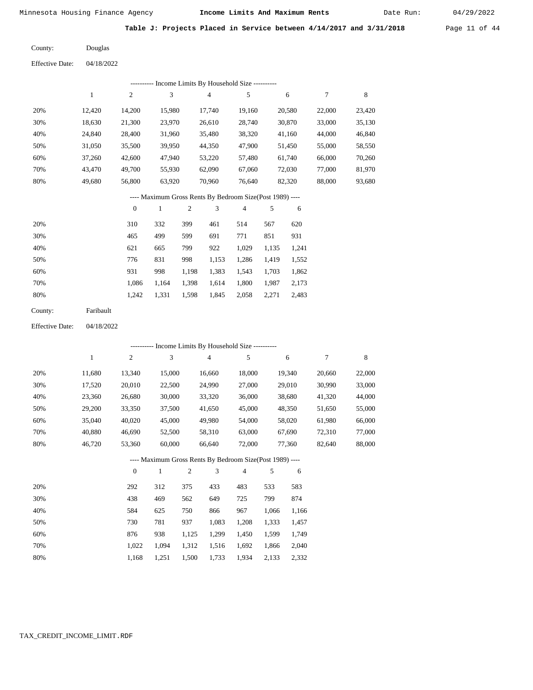Date Run:

**Table J: Projects Placed in Service between 4/14/2017 and 3/31/2018** Page 11 of 44

Douglas County:

04/18/2022 Effective Date:

|     | -- Income Limits By Household Size ---------- |        |        |        |        |        |        |        |  |  |
|-----|-----------------------------------------------|--------|--------|--------|--------|--------|--------|--------|--|--|
|     |                                               | 2      | 3      | 4      | 5      | 6      | 7      | 8      |  |  |
| 20% | 12.420                                        | 14.200 | 15.980 | 17.740 | 19.160 | 20,580 | 22,000 | 23,420 |  |  |
| 30% | 18.630                                        | 21,300 | 23,970 | 26,610 | 28,740 | 30,870 | 33,000 | 35,130 |  |  |
| 40% | 24,840                                        | 28,400 | 31,960 | 35,480 | 38,320 | 41,160 | 44,000 | 46,840 |  |  |
| 50% | 31,050                                        | 35,500 | 39,950 | 44,350 | 47,900 | 51,450 | 55,000 | 58,550 |  |  |
| 60% | 37,260                                        | 42,600 | 47,940 | 53,220 | 57,480 | 61,740 | 66,000 | 70,260 |  |  |
| 70% | 43.470                                        | 49,700 | 55,930 | 62,090 | 67,060 | 72,030 | 77,000 | 81,970 |  |  |
| 80% | 49.680                                        | 56,800 | 63,920 | 70,960 | 76.640 | 82,320 | 88,000 | 93,680 |  |  |

#### ---- Maximum Gross Rents By Bedroom Size(Post 1989) ----

|     | $\mathbf{0}$ |       | 2     | 3     | 4     | 5     | 6     |
|-----|--------------|-------|-------|-------|-------|-------|-------|
| 20% | 310          | 332   | 399   | 461   | 514   | 567   | 620   |
| 30% | 465          | 499   | 599   | 691   | 771   | 851   | 931   |
| 40% | 621          | 665   | 799   | 922   | 1,029 | 1,135 | 1,241 |
| 50% | 776          | 831   | 998   | 1,153 | 1,286 | 1,419 | 1,552 |
| 60% | 931          | 998   | 1,198 | 1,383 | 1,543 | 1,703 | 1,862 |
| 70% | 1.086        | 1,164 | 1,398 | 1,614 | 1,800 | 1,987 | 2,173 |
| 80% | 1,242        | 1,331 | 1,598 | 1,845 | 2,058 | 2,271 | 2,483 |
|     |              |       |       |       |       |       |       |

| Faribault |
|-----------|
|           |

04/18/2022 Effective Date:

|                                                          |        |          |        |       |                | ---------- Income Limits By Household Size ---------- |       |        |        |        |
|----------------------------------------------------------|--------|----------|--------|-------|----------------|-------------------------------------------------------|-------|--------|--------|--------|
|                                                          | 1      | 2        | 3      |       | $\overline{4}$ | 5                                                     |       | 6      | 7      | 8      |
| 20%                                                      | 11,680 | 13,340   | 15,000 |       | 16,660         | 18,000                                                |       | 19,340 | 20,660 | 22,000 |
| 30%                                                      | 17,520 | 20,010   | 22,500 |       | 24,990         | 27,000                                                |       | 29,010 | 30,990 | 33,000 |
| 40%                                                      | 23,360 | 26,680   | 30,000 |       | 33,320         | 36,000                                                |       | 38,680 | 41,320 | 44,000 |
| 50%                                                      | 29,200 | 33,350   | 37,500 |       | 41,650         | 45,000                                                |       | 48,350 | 51,650 | 55,000 |
| 60%                                                      | 35,040 | 40,020   | 45,000 |       | 49,980         | 54,000                                                |       | 58,020 | 61,980 | 66,000 |
| 70%                                                      | 40,880 | 46,690   | 52,500 |       | 58,310         | 63,000                                                |       | 67,690 | 72,310 | 77,000 |
| 80%                                                      | 46,720 | 53,360   | 60,000 |       | 66,640         | 72,000                                                |       | 77,360 | 82,640 | 88,000 |
| ---- Maximum Gross Rents By Bedroom Size(Post 1989) ---- |        |          |        |       |                |                                                       |       |        |        |        |
|                                                          |        | $\theta$ | 1      | 2     | 3              | $\overline{4}$                                        | 5     | 6      |        |        |
| 20%                                                      |        | 292      | 312    | 375   | 433            | 483                                                   | 533   | 583    |        |        |
| 30%                                                      |        | 438      | 469    | 562   | 649            | 725                                                   | 799   | 874    |        |        |
| 40%                                                      |        | 584      | 625    | 750   | 866            | 967                                                   | 1,066 | 1,166  |        |        |
| 50%                                                      |        | 730      | 781    | 937   | 1,083          | 1,208                                                 | 1,333 | 1,457  |        |        |
| 60%                                                      |        | 876      | 938    | 1,125 | 1,299          | 1,450                                                 | 1,599 | 1,749  |        |        |
| 70%                                                      |        | 1,022    | 1,094  | 1,312 | 1,516          | 1,692                                                 | 1,866 | 2,040  |        |        |
| 80%                                                      |        | 1,168    | 1,251  | 1,500 | 1,733          | 1,934                                                 | 2,133 | 2,332  |        |        |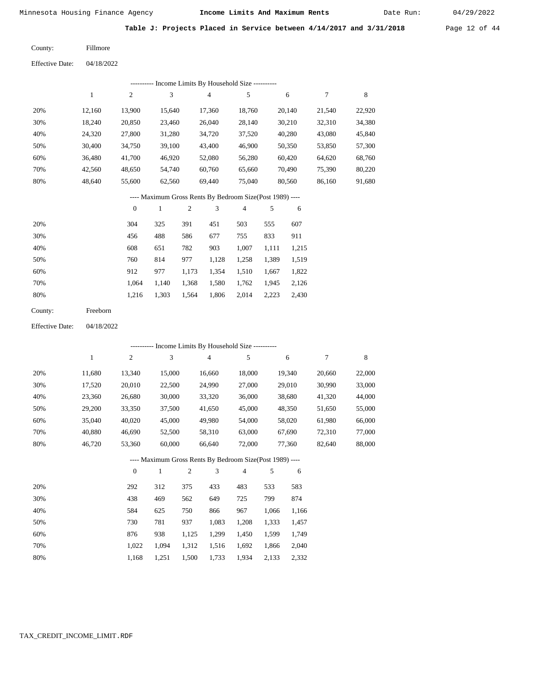Date Run:

**Table J: Projects Placed in Service between 4/14/2017 and 3/31/2018** Page 12 of 44

| County: | Fillmore |
|---------|----------|
|---------|----------|

Effective Date: 04/18/2022

| ---------- Income Limits By Household Size ----------     |        |                |        |        |        |        |        |        |
|-----------------------------------------------------------|--------|----------------|--------|--------|--------|--------|--------|--------|
|                                                           |        | $\overline{2}$ | 3      | 4      | 5      | 6      |        | 8      |
| 20%                                                       | 12.160 | 13.900         | 15.640 | 17.360 | 18.760 | 20,140 | 21,540 | 22,920 |
| 30%                                                       | 18.240 | 20,850         | 23.460 | 26,040 | 28,140 | 30,210 | 32,310 | 34,380 |
| 40%                                                       | 24,320 | 27,800         | 31,280 | 34.720 | 37,520 | 40,280 | 43,080 | 45,840 |
| 50%                                                       | 30.400 | 34.750         | 39.100 | 43,400 | 46.900 | 50,350 | 53,850 | 57,300 |
| 60%                                                       | 36.480 | 41,700         | 46.920 | 52,080 | 56,280 | 60,420 | 64,620 | 68,760 |
| 70%                                                       | 42,560 | 48,650         | 54,740 | 60,760 | 65,660 | 70,490 | 75,390 | 80,220 |
| 80%                                                       | 48.640 | 55,600         | 62.560 | 69.440 | 75,040 | 80.560 | 86,160 | 91,680 |
| ---- Maximum Gross Rents By Bedroom Size (Post 1989) ---- |        |                |        |        |        |        |        |        |

|     | $\mathbf{0}$ |       | 2     | 3     | 4     | 5     | 6     |
|-----|--------------|-------|-------|-------|-------|-------|-------|
| 20% | 304          | 325   | 391   | 451   | 503   | 555   | 607   |
| 30% | 456          | 488   | 586   | 677   | 755   | 833   | 911   |
| 40% | 608          | 651   | 782   | 903   | 1,007 | 1,111 | 1,215 |
| 50% | 760          | 814   | 977   | 1,128 | 1,258 | 1,389 | 1,519 |
| 60% | 912          | 977   | 1,173 | 1,354 | 1,510 | 1,667 | 1,822 |
| 70% | 1.064        | 1.140 | 1,368 | 1,580 | 1,762 | 1,945 | 2,126 |
| 80% | 1,216        | 1,303 | 1,564 | 1,806 | 2,014 | 2,223 | 2,430 |

| County: | Freeborn |
|---------|----------|
|---------|----------|

Effective Date: 04/18/2022

|     |        |                |              |                | --------- Income Limits By Household Size ----------     |                |       |        |        |        |
|-----|--------|----------------|--------------|----------------|----------------------------------------------------------|----------------|-------|--------|--------|--------|
|     | 1      | 2              | 3            |                | $\overline{4}$                                           | 5              |       | 6      | 7      | 8      |
| 20% | 11,680 | 13,340         | 15,000       |                | 16,660                                                   | 18,000         |       | 19,340 | 20,660 | 22,000 |
| 30% | 17,520 | 20,010         | 22,500       |                | 24,990                                                   | 27,000         |       | 29,010 | 30,990 | 33,000 |
| 40% | 23,360 | 26,680         | 30,000       |                | 33,320                                                   | 36,000         |       | 38,680 | 41,320 | 44,000 |
| 50% | 29,200 | 33,350         | 37,500       |                | 41,650                                                   | 45,000         |       | 48,350 | 51,650 | 55,000 |
| 60% | 35,040 | 40,020         | 45,000       |                | 49,980                                                   | 54,000         |       | 58,020 | 61,980 | 66,000 |
| 70% | 40,880 | 46,690         | 52,500       |                | 58,310                                                   | 63,000         |       | 67,690 | 72,310 | 77,000 |
| 80% | 46,720 | 53,360         | 60,000       |                | 66,640                                                   | 72,000         |       | 77,360 | 82,640 | 88,000 |
|     |        |                |              |                | ---- Maximum Gross Rents By Bedroom Size(Post 1989) ---- |                |       |        |        |        |
|     |        | $\overline{0}$ | $\mathbf{1}$ | $\overline{2}$ | 3                                                        | $\overline{4}$ | 5     | 6      |        |        |
| 20% |        | 292            | 312          | 375            | 433                                                      | 483            | 533   | 583    |        |        |
| 30% |        | 438            | 469          | 562            | 649                                                      | 725            | 799   | 874    |        |        |
| 40% |        | 584            | 625          | 750            | 866                                                      | 967            | 1,066 | 1,166  |        |        |
| 50% |        | 730            | 781          | 937            | 1,083                                                    | 1,208          | 1,333 | 1,457  |        |        |
| 60% |        | 876            | 938          | 1,125          | 1,299                                                    | 1,450          | 1,599 | 1,749  |        |        |
| 70% |        | 1,022          | 1,094        | 1,312          | 1,516                                                    | 1,692          | 1,866 | 2,040  |        |        |

1,168 1,251 1,500 1,733 1,934 2,133 2,332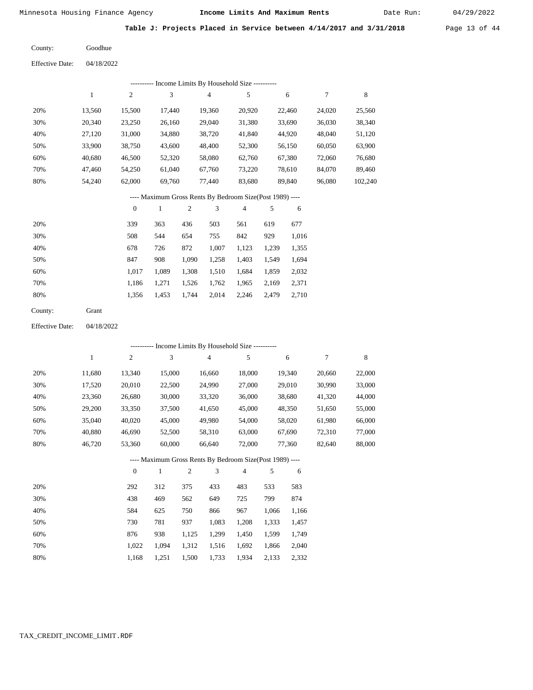04/18/2022

Minnesota Housing Finance Agency **Income Limits And Maximum Rents** 04/29/2022

Date Run:

Table J: Projects Placed in Service between 4/14/2017 and 3/31/2018 Page 13 of 44

Goodhue County:

Effective Date:

|     |        |        |        | Income Limits By Household Size ---------- |        |        |        |         |
|-----|--------|--------|--------|--------------------------------------------|--------|--------|--------|---------|
|     |        | 2      | 3      | 4                                          | 5      | 6      | 7      | 8       |
| 20% | 13.560 | 15.500 | 17.440 | 19.360                                     | 20,920 | 22,460 | 24,020 | 25,560  |
| 30% | 20,340 | 23,250 | 26,160 | 29,040                                     | 31,380 | 33,690 | 36,030 | 38,340  |
| 40% | 27,120 | 31,000 | 34,880 | 38,720                                     | 41,840 | 44,920 | 48,040 | 51,120  |
| 50% | 33,900 | 38,750 | 43,600 | 48,400                                     | 52,300 | 56,150 | 60,050 | 63,900  |
| 60% | 40,680 | 46,500 | 52,320 | 58,080                                     | 62,760 | 67,380 | 72,060 | 76,680  |
| 70% | 47,460 | 54,250 | 61,040 | 67,760                                     | 73,220 | 78,610 | 84,070 | 89,460  |
| 80% | 54.240 | 62,000 | 69,760 | 77,440                                     | 83,680 | 89,840 | 96,080 | 102,240 |

# ---- Maximum Gross Rents By Bedroom Size(Post 1989) ----

|     | $\mathbf{0}$ |       | 2     | 3     | 4     | 5     | 6     |
|-----|--------------|-------|-------|-------|-------|-------|-------|
| 20% | 339          | 363   | 436   | 503   | 561   | 619   | 677   |
| 30% | 508          | 544   | 654   | 755   | 842   | 929   | 1,016 |
| 40% | 678          | 726   | 872   | 1,007 | 1,123 | 1,239 | 1,355 |
| 50% | 847          | 908   | 1,090 | 1,258 | 1,403 | 1,549 | 1,694 |
| 60% | 1.017        | 1,089 | 1,308 | 1,510 | 1,684 | 1,859 | 2,032 |
| 70% | 1.186        | 1,271 | 1,526 | 1,762 | 1,965 | 2,169 | 2,371 |
| 80% | 1,356        | 1,453 | 1,744 | 2,014 | 2,246 | 2,479 | 2,710 |
|     |              |       |       |       |       |       |       |

Grant County:

04/18/2022 Effective Date:

|     |        |                |              |                |                | ---------- Income Limits By Household Size ----------    |       |        |        |             |
|-----|--------|----------------|--------------|----------------|----------------|----------------------------------------------------------|-------|--------|--------|-------------|
|     | 1      | $\overline{c}$ | 3            |                | $\overline{4}$ | 5                                                        |       | 6      | 7      | $\,$ 8 $\,$ |
| 20% | 11,680 | 13,340         | 15,000       |                | 16,660         | 18,000                                                   |       | 19,340 | 20,660 | 22,000      |
| 30% | 17,520 | 20,010         | 22,500       |                | 24,990         | 27,000                                                   |       | 29,010 | 30,990 | 33,000      |
| 40% | 23,360 | 26,680         | 30,000       |                | 33,320         | 36,000                                                   |       | 38,680 | 41,320 | 44,000      |
| 50% | 29,200 | 33,350         | 37,500       |                | 41,650         | 45,000                                                   |       | 48,350 | 51,650 | 55,000      |
| 60% | 35,040 | 40,020         | 45,000       |                | 49,980         | 54,000                                                   |       | 58,020 | 61,980 | 66,000      |
| 70% | 40,880 | 46,690         | 52,500       |                | 58,310         | 63,000                                                   |       | 67,690 | 72,310 | 77,000      |
| 80% | 46,720 | 53,360         | 60,000       |                | 66,640         | 72,000                                                   |       | 77,360 | 82,640 | 88,000      |
|     |        |                |              |                |                | ---- Maximum Gross Rents By Bedroom Size(Post 1989) ---- |       |        |        |             |
|     |        | $\overline{0}$ | $\mathbf{1}$ | $\overline{c}$ | 3              | $\overline{4}$                                           | 5     | 6      |        |             |
| 20% |        | 292            | 312          | 375            | 433            | 483                                                      | 533   | 583    |        |             |
| 30% |        | 438            | 469          | 562            | 649            | 725                                                      | 799   | 874    |        |             |
| 40% |        | 584            | 625          | 750            | 866            | 967                                                      | 1,066 | 1,166  |        |             |
| 50% |        | 730            | 781          | 937            | 1,083          | 1,208                                                    | 1,333 | 1,457  |        |             |
| 60% |        | 876            | 938          | 1,125          | 1,299          | 1,450                                                    | 1,599 | 1,749  |        |             |
| 70% |        | 1,022          | 1,094        | 1,312          | 1,516          | 1,692                                                    | 1,866 | 2,040  |        |             |

1,500 1,733

1,934 2,133 2,332

### TAX\_CREDIT\_INCOME\_LIMIT.RDF

1,168

1,251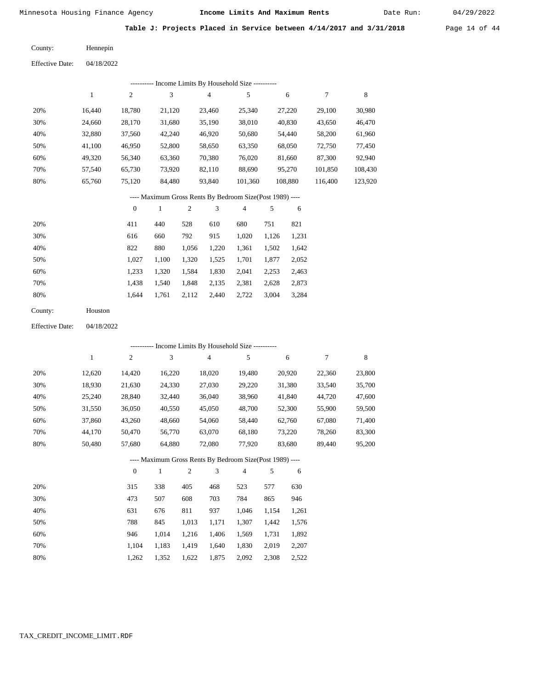Date Run:

**Table J: Projects Placed in Service between 4/14/2017 and 3/31/2018** Page 14 of 44

Hennepin County:

04/18/2022 Effective Date:

|     |        |                |        |        | ---------- Income Limits By Household Size ---------- |         |         |         |
|-----|--------|----------------|--------|--------|-------------------------------------------------------|---------|---------|---------|
|     |        | $\overline{c}$ | 3      | 4      | 5                                                     | 6       | 7       | 8       |
| 20% | 16.440 | 18,780         | 21,120 | 23.460 | 25,340                                                | 27,220  | 29,100  | 30,980  |
| 30% | 24,660 | 28,170         | 31,680 | 35,190 | 38,010                                                | 40,830  | 43,650  | 46,470  |
| 40% | 32,880 | 37,560         | 42,240 | 46,920 | 50,680                                                | 54,440  | 58,200  | 61,960  |
| 50% | 41,100 | 46,950         | 52,800 | 58,650 | 63,350                                                | 68,050  | 72,750  | 77,450  |
| 60% | 49,320 | 56,340         | 63,360 | 70,380 | 76,020                                                | 81,660  | 87,300  | 92,940  |
| 70% | 57,540 | 65,730         | 73,920 | 82,110 | 88,690                                                | 95,270  | 101,850 | 108,430 |
| 80% | 65,760 | 75,120         | 84,480 | 93,840 | 101,360                                               | 108,880 | 116,400 | 123,920 |
|     |        |                |        |        |                                                       |         |         |         |

---- Maximum Gross Rents By Bedroom Size(Post 1989) ----

|     | $\mathbf{0}$ |       |       | 3     | 4     |       | 6     |
|-----|--------------|-------|-------|-------|-------|-------|-------|
| 20% | 411          | 440   | 528   | 610   | 680   | 751   | 821   |
| 30% | 616          | 660   | 792   | 915   | 1,020 | 1,126 | 1,231 |
| 40% | 822          | 880   | 1,056 | 1,220 | 1,361 | 1,502 | 1,642 |
| 50% | 1,027        | 1,100 | 1,320 | 1,525 | 1,701 | 1,877 | 2,052 |
| 60% | 1,233        | 1,320 | 1,584 | 1,830 | 2,041 | 2,253 | 2,463 |
| 70% | 1,438        | 1,540 | 1,848 | 2,135 | 2,381 | 2,628 | 2,873 |
| 80% | 1,644        | 1,761 | 2,112 | 2,440 | 2,722 | 3,004 | 3,284 |
|     |              |       |       |       |       |       |       |

| Houston |
|---------|
|         |

04/18/2022 Effective Date:

|     |        |                |        |                |                | ---------- Income Limits By Household Size ----------    |       |        |        |        |
|-----|--------|----------------|--------|----------------|----------------|----------------------------------------------------------|-------|--------|--------|--------|
|     | 1      | $\overline{c}$ | 3      |                | $\overline{4}$ | 5                                                        |       | 6      | 7      | 8      |
| 20% | 12,620 | 14,420         | 16,220 |                | 18,020         | 19,480                                                   |       | 20,920 | 22,360 | 23,800 |
| 30% | 18,930 | 21,630         | 24,330 |                | 27,030         | 29,220                                                   |       | 31,380 | 33,540 | 35,700 |
| 40% | 25,240 | 28,840         | 32,440 |                | 36,040         | 38,960                                                   |       | 41,840 | 44,720 | 47,600 |
| 50% | 31,550 | 36,050         | 40,550 |                | 45,050         | 48,700                                                   |       | 52,300 | 55,900 | 59,500 |
| 60% | 37,860 | 43,260         | 48,660 |                | 54,060         | 58,440                                                   |       | 62,760 | 67,080 | 71,400 |
| 70% | 44,170 | 50,470         | 56,770 |                | 63,070         | 68,180                                                   |       | 73,220 | 78,260 | 83,300 |
| 80% | 50,480 | 57,680         | 64,880 |                | 72,080         | 77,920                                                   |       | 83,680 | 89,440 | 95,200 |
|     |        |                |        |                |                | ---- Maximum Gross Rents By Bedroom Size(Post 1989) ---- |       |        |        |        |
|     |        | $\theta$       | 1      | $\overline{c}$ | 3              | $\overline{4}$                                           | 5     | 6      |        |        |
| 20% |        | 315            | 338    | 405            | 468            | 523                                                      | 577   | 630    |        |        |
| 30% |        | 473            | 507    | 608            | 703            | 784                                                      | 865   | 946    |        |        |
| 40% |        | 631            | 676    | 811            | 937            | 1,046                                                    | 1,154 | 1,261  |        |        |
| 50% |        | 788            | 845    | 1,013          | 1,171          | 1,307                                                    | 1,442 | 1,576  |        |        |
| 60% |        | 946            | 1,014  | 1,216          | 1,406          | 1,569                                                    | 1,731 | 1,892  |        |        |
| 70% |        | 1,104          | 1,183  | 1,419          | 1,640          | 1,830                                                    | 2,019 | 2,207  |        |        |

 1,419 1,640 1,622

1,875

2,092

2,308

2,522

1,262

1,352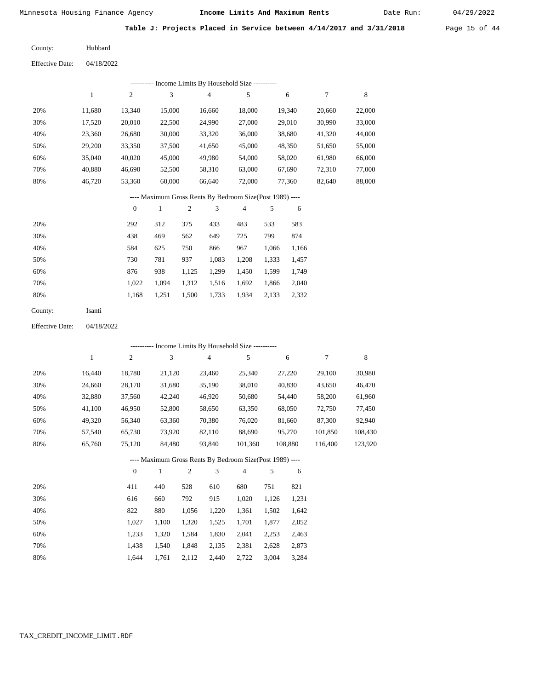Date Run:

**Table J: Projects Placed in Service between 4/14/2017 and 3/31/2018** Page 15 of 44

Hubbard County:

Effective Date: 04/18/2022

|                        |              |                  |              |       | --------- Income Limits By Household Size ----------     |                |       |         |                  |             |
|------------------------|--------------|------------------|--------------|-------|----------------------------------------------------------|----------------|-------|---------|------------------|-------------|
|                        | $\mathbf{1}$ | $\sqrt{2}$       | 3            |       | 4                                                        | 5              |       | 6       | $\boldsymbol{7}$ | 8           |
| 20%                    | 11,680       | 13,340           | 15,000       |       | 16,660                                                   | 18,000         |       | 19,340  | 20,660           | 22,000      |
| 30%                    | 17,520       | 20,010           | 22,500       |       | 24,990                                                   | 27,000         |       | 29,010  | 30,990           | 33,000      |
| 40%                    | 23,360       | 26,680           | 30,000       |       | 33,320                                                   | 36,000         |       | 38,680  | 41,320           | 44,000      |
| 50%                    | 29,200       | 33,350           | 37,500       |       | 41,650                                                   | 45,000         |       | 48,350  | 51,650           | 55,000      |
| 60%                    | 35,040       | 40,020           | 45,000       |       | 49,980                                                   | 54,000         |       | 58,020  | 61,980           | 66,000      |
| 70%                    | 40,880       | 46,690           | 52,500       |       | 58,310                                                   | 63,000         |       | 67,690  | 72,310           | 77,000      |
| 80%                    | 46,720       | 53,360           | 60,000       |       | 66,640                                                   | 72,000         |       | 77,360  | 82,640           | 88,000      |
|                        |              |                  |              |       | ---- Maximum Gross Rents By Bedroom Size(Post 1989) ---- |                |       |         |                  |             |
|                        |              | $\boldsymbol{0}$ | $\mathbf{1}$ | 2     | 3                                                        | $\overline{4}$ | 5     | 6       |                  |             |
| 20%                    |              | 292              | 312          | 375   | 433                                                      | 483            | 533   | 583     |                  |             |
| 30%                    |              | 438              | 469          | 562   | 649                                                      | 725            | 799   | 874     |                  |             |
| 40%                    |              | 584              | 625          | 750   | 866                                                      | 967            | 1,066 | 1,166   |                  |             |
| 50%                    |              | 730              | 781          | 937   | 1,083                                                    | 1,208          | 1,333 | 1,457   |                  |             |
| 60%                    |              | 876              | 938          | 1,125 | 1,299                                                    | 1,450          | 1,599 | 1,749   |                  |             |
| 70%                    |              | 1,022            | 1,094        | 1,312 | 1,516                                                    | 1,692          | 1,866 | 2,040   |                  |             |
| 80%                    |              | 1,168            | 1,251        | 1,500 | 1,733                                                    | 1,934          | 2,133 | 2,332   |                  |             |
| County:                | Isanti       |                  |              |       |                                                          |                |       |         |                  |             |
| <b>Effective Date:</b> | 04/18/2022   |                  |              |       |                                                          |                |       |         |                  |             |
|                        |              |                  |              |       | --------- Income Limits By Household Size ----------     |                |       |         |                  |             |
|                        | $\mathbf{1}$ | $\sqrt{2}$       | 3            |       | 4                                                        | 5              |       | 6       | $\boldsymbol{7}$ | $\,$ 8 $\,$ |
| 20%                    | 16,440       | 18,780           | 21,120       |       | 23,460                                                   | 25,340         |       | 27,220  | 29,100           | 30,980      |
| 30%                    | 24,660       | 28,170           | 31,680       |       | 35,190                                                   | 38,010         |       | 40,830  | 43,650           | 46,470      |
| 40%                    | 32,880       | 37,560           | 42,240       |       | 46,920                                                   | 50,680         |       | 54,440  | 58,200           | 61,960      |
| 50%                    | 41,100       | 46,950           | 52,800       |       | 58,650                                                   | 63,350         |       | 68,050  | 72,750           | 77,450      |
| 60%                    | 49,320       | 56,340           | 63,360       |       | 70,380                                                   | 76,020         |       | 81,660  | 87,300           | 92,940      |
| 70%                    | 57,540       | 65,730           | 73,920       |       | 82,110                                                   | 88,690         |       | 95,270  | 101,850          | 108,430     |
| 80%                    | 65,760       | 75,120           | 84,480       |       | 93,840                                                   | 101,360        |       | 108,880 | 116,400          | 123,920     |
|                        |              |                  |              |       | ---- Maximum Gross Rents By Bedroom Size(Post 1989) ---- |                |       |         |                  |             |
|                        |              | $\boldsymbol{0}$ | $\mathbf{1}$ | 2     | 3                                                        | 4              | 5     | 6       |                  |             |
| 20%                    |              | 411              | 440          | 528   | 610                                                      | 680            | 751   | 821     |                  |             |
| 30%                    |              | 616              | 660          | 792   | 915                                                      | 1,020          | 1,126 | 1,231   |                  |             |
| 40%                    |              | 822              | 880          | 1,056 | 1,220                                                    | 1,361          | 1,502 | 1,642   |                  |             |

1,027 1,100 1,320 1,525 1,701 1,877 2,052

1,848 2,135 2,381

1,320 1,584 1,830 2,041 2,253 2,463

2,112 2,440 2,722 3,004 3,284

2,628 2,873

 1,233 1,438 1,644

 1,540 1,761

 50% 60% 70% 80%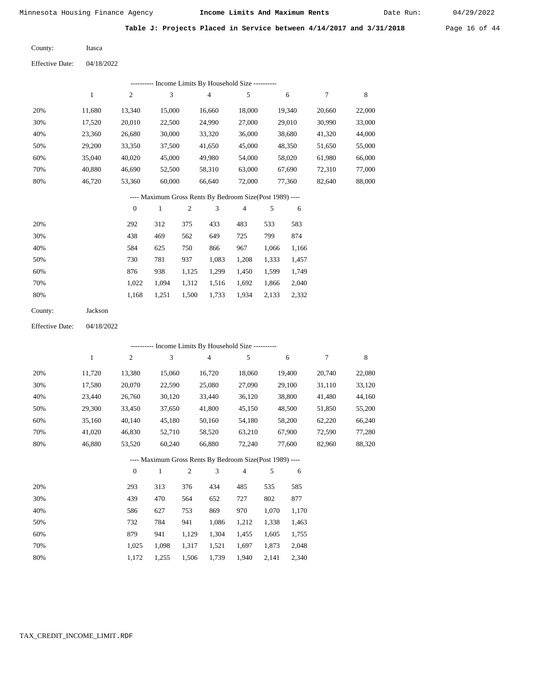Itasca

Minnesota Housing Finance Agency **Income Limits And Maximum Rents** 04/29/2022

Date Run:

**Table J: Projects Placed in Service between 4/14/2017 and 3/31/2018** Page 16 of 44

County:

04/18/2022 Effective Date:

|     |        |              |        |                | ---------- Income Limits By Household Size ----------    |                |     |        |        |        |
|-----|--------|--------------|--------|----------------|----------------------------------------------------------|----------------|-----|--------|--------|--------|
|     | 1      | 2            | 3      |                | 4                                                        | 5              |     | 6      | 7      | 8      |
| 20% | 11,680 | 13,340       | 15,000 |                | 16,660                                                   | 18,000         |     | 19,340 | 20,660 | 22,000 |
| 30% | 17,520 | 20,010       | 22,500 |                | 24,990                                                   | 27,000         |     | 29,010 | 30,990 | 33,000 |
| 40% | 23,360 | 26,680       | 30,000 |                | 33,320                                                   | 36,000         |     | 38,680 | 41,320 | 44,000 |
| 50% | 29,200 | 33,350       | 37,500 |                | 41,650                                                   | 45,000         |     | 48,350 | 51,650 | 55,000 |
| 60% | 35,040 | 40,020       | 45,000 |                | 49,980                                                   | 54,000         |     | 58,020 | 61,980 | 66,000 |
| 70% | 40,880 | 46,690       | 52,500 |                | 58,310                                                   | 63,000         |     | 67,690 | 72,310 | 77,000 |
| 80% | 46,720 | 53,360       | 60,000 |                | 66,640                                                   | 72,000         |     | 77,360 | 82,640 | 88,000 |
|     |        |              |        |                | ---- Maximum Gross Rents By Bedroom Size(Post 1989) ---- |                |     |        |        |        |
|     |        | $\mathbf{0}$ | 1      | $\overline{2}$ | 3                                                        | $\overline{4}$ | 5   | 6      |        |        |
| 20% |        | 292          | 312    | 375            | 433                                                      | 483            | 533 | 583    |        |        |
| 30% |        | 438          | 469    | 562            | 649                                                      | 725            | 799 | 874    |        |        |

| 30% | 438   | 469   | 562   | 649   | 725   | 799   | 874   |
|-----|-------|-------|-------|-------|-------|-------|-------|
| 40% | 584   | 625   | 750   | 866   | 967   | 1.066 | 1,166 |
| 50% | 730   | 781   | 937   | 1.083 | 1.208 | 1.333 | 1,457 |
| 60% | 876   | 938   | 1.125 | 1.299 | 1.450 | 1.599 | 1.749 |
| 70% | 1.022 | 1.094 | 1.312 | 1.516 | 1.692 | 1.866 | 2,040 |
| 80% | 1.168 | 1.251 | 1,500 | 1,733 | 1,934 | 2,133 | 2,332 |

| County: | Jackson |
|---------|---------|
|---------|---------|

04/18/2022 Effective Date:

|     |              |                |        |                | ---------- Income Limits By Household Size ----------    |                |       |        |        |        |
|-----|--------------|----------------|--------|----------------|----------------------------------------------------------|----------------|-------|--------|--------|--------|
|     | $\mathbf{1}$ | $\overline{c}$ | 3      |                | $\overline{4}$                                           | 5              |       | 6      | 7      | 8      |
| 20% | 11,720       | 13,380         | 15,060 |                | 16,720                                                   | 18,060         |       | 19,400 | 20,740 | 22,080 |
| 30% | 17,580       | 20,070         | 22,590 |                | 25,080                                                   | 27,090         |       | 29,100 | 31,110 | 33,120 |
| 40% | 23,440       | 26,760         | 30,120 |                | 33,440                                                   | 36,120         |       | 38,800 | 41,480 | 44,160 |
| 50% | 29,300       | 33,450         | 37,650 |                | 41,800                                                   | 45,150         |       | 48,500 | 51,850 | 55,200 |
| 60% | 35,160       | 40,140         | 45,180 |                | 50,160                                                   | 54,180         |       | 58,200 | 62,220 | 66,240 |
| 70% | 41,020       | 46,830         | 52,710 |                | 58,520                                                   | 63,210         |       | 67,900 | 72,590 | 77,280 |
| 80% | 46,880       | 53,520         | 60,240 |                | 66,880                                                   | 72,240         |       | 77,600 | 82,960 | 88,320 |
|     |              |                |        |                | ---- Maximum Gross Rents By Bedroom Size(Post 1989) ---- |                |       |        |        |        |
|     |              | $\mathbf{0}$   | 1      | $\overline{2}$ | 3                                                        | $\overline{4}$ | 5     | 6      |        |        |
| 20% |              | 293            | 313    | 376            | 434                                                      | 485            | 535   | 585    |        |        |
| 30% |              | 439            | 470    | 564            | 652                                                      | 727            | 802   | 877    |        |        |
| 40% |              | 586            | 627    | 753            | 869                                                      | 970            | 1,070 | 1,170  |        |        |
| 50% |              | 732            | 784    | 941            | 1,086                                                    | 1,212          | 1,338 | 1,463  |        |        |
| 60% |              | 879            | 941    | 1,129          | 1,304                                                    | 1,455          | 1,605 | 1,755  |        |        |

 1,317 1,521 1,506

1,739

 1,697 1,873 1,940 2,141  2,048 2,340

# TAX\_CREDIT\_INCOME\_LIMIT.RDF

 1,025 1,172

 1,098 1,255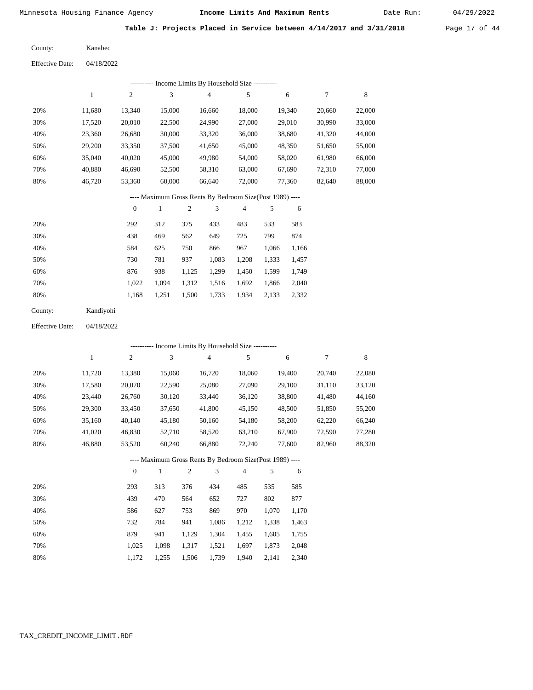Kanabec

Minnesota Housing Finance Agency **Income Limits And Maximum Rents** 04/29/2022

Date Run:

**Table J: Projects Placed in Service between 4/14/2017 and 3/31/2018** Page 17 of 44

04/18/2022 Effective Date:

County:

|                        |              |                  |                             |            | ------- Income Limits By Household Size ----------                              |            |       |        |                  |             |
|------------------------|--------------|------------------|-----------------------------|------------|---------------------------------------------------------------------------------|------------|-------|--------|------------------|-------------|
|                        | $\mathbf{1}$ | $\mathfrak{2}$   | $\ensuremath{\mathfrak{Z}}$ |            | $\overline{4}$                                                                  | $\sqrt{5}$ |       | 6      | $\boldsymbol{7}$ | $\,$ 8 $\,$ |
| 20%                    | 11,680       | 13,340           | 15,000                      |            | 16,660                                                                          | 18,000     |       | 19,340 | 20,660           | 22,000      |
| 30%                    | 17,520       | 20,010           | 22,500                      |            | 24,990                                                                          | 27,000     |       | 29,010 | 30,990           | 33,000      |
| 40%                    | 23,360       | 26,680           | 30,000                      |            | 33,320                                                                          | 36,000     |       | 38,680 | 41,320           | 44,000      |
| 50%                    | 29,200       | 33,350           | 37,500                      |            | 41,650                                                                          | 45,000     |       | 48,350 | 51,650           | 55,000      |
| 60%                    | 35,040       | 40,020           | 45,000                      |            | 49,980                                                                          | 54,000     |       | 58,020 | 61,980           | 66,000      |
| 70%                    | 40,880       | 46,690           | 52,500                      |            | 58,310                                                                          | 63,000     |       | 67,690 | 72,310           | 77,000      |
| 80%                    | 46,720       | 53,360           | 60,000                      |            | 66,640                                                                          | 72,000     |       | 77,360 | 82,640           | 88,000      |
|                        |              |                  |                             |            | ---- Maximum Gross Rents By Bedroom Size(Post 1989) ----                        |            |       |        |                  |             |
|                        |              | $\boldsymbol{0}$ | $\mathbf{1}$                | $\sqrt{2}$ | 3                                                                               | 4          | 5     | 6      |                  |             |
| 20%                    |              | 292              | 312                         | 375        | 433                                                                             | 483        | 533   | 583    |                  |             |
| 30%                    |              | 438              | 469                         | 562        | 649                                                                             | 725        | 799   | 874    |                  |             |
| 40%                    |              | 584              | 625                         | 750        | 866                                                                             | 967        | 1,066 | 1,166  |                  |             |
| 50%                    |              | 730              | 781                         | 937        | 1,083                                                                           | 1,208      | 1,333 | 1,457  |                  |             |
| 60%                    |              | 876              | 938                         | 1,125      | 1,299                                                                           | 1,450      | 1,599 | 1,749  |                  |             |
| 70%                    |              | 1,022            | 1,094                       | 1,312      | 1,516                                                                           | 1,692      | 1,866 | 2,040  |                  |             |
| $80\%$                 |              | 1,168            | 1,251                       | 1,500      | 1,733                                                                           | 1,934      | 2,133 | 2,332  |                  |             |
|                        |              |                  |                             |            |                                                                                 |            |       |        |                  |             |
| County:                | Kandiyohi    |                  |                             |            |                                                                                 |            |       |        |                  |             |
| <b>Effective Date:</b> | 04/18/2022   |                  |                             |            |                                                                                 |            |       |        |                  |             |
|                        |              |                  |                             |            |                                                                                 |            |       |        |                  |             |
|                        | $\mathbf{1}$ | 2                | 3                           |            | --------- Income Limits By Household Size ----------<br>$\overline{\mathbf{4}}$ | 5          |       | 6      | $\boldsymbol{7}$ | $\,$ 8 $\,$ |
| 20%                    | 11,720       | 13,380           | 15,060                      |            | 16,720                                                                          | 18,060     |       | 19,400 | 20,740           | 22,080      |
| 30%                    | 17,580       | 20,070           | 22,590                      |            | 25,080                                                                          | 27,090     |       | 29,100 | 31,110           | 33,120      |
| 40%                    | 23,440       | 26,760           | 30,120                      |            | 33,440                                                                          | 36,120     |       | 38,800 | 41,480           | 44,160      |
| 50%                    | 29,300       | 33,450           | 37,650                      |            | 41,800                                                                          | 45,150     |       | 48,500 | 51,850           | 55,200      |
| $60\%$                 | 35,160       | 40,140           | 45,180                      |            | 50,160                                                                          | 54,180     |       | 58,200 | 62,220           | 66,240      |
| 70%                    | 41,020       | 46,830           | 52,710                      |            | 58,520                                                                          | 63,210     |       | 67,900 | 72,590           | 77,280      |
| $80\%$                 | 46,880       | 53,520           | 60,240                      |            | 66,880                                                                          | 72,240     |       | 77,600 | 82,960           | 88,320      |
|                        |              |                  |                             |            | --- Maximum Gross Rents By Bedroom Size(Post 1989) ---                          |            |       |        |                  |             |
|                        |              | $\boldsymbol{0}$ | 1                           | 2          | 3                                                                               | 4          | 5     | 6      |                  |             |
| 20%                    |              | 293              | 313                         | 376        | 434                                                                             | 485        | 535   | 585    |                  |             |
| 30%                    |              | 439              | 470                         | 564        | 652                                                                             | 727        | 802   | 877    |                  |             |
| 40%                    |              | 586              | 627                         | 753        | 869                                                                             | 970        | 1,070 | 1,170  |                  |             |
| 50%                    |              | 732              | 784                         | 941        | 1,086                                                                           | 1,212      | 1,338 | 1,463  |                  |             |

 1,025 1,172

 1,098 1,255

 1,317 1,521 1,506

1,739

1,697

1,940 2,141

1,873

 2,048 2,340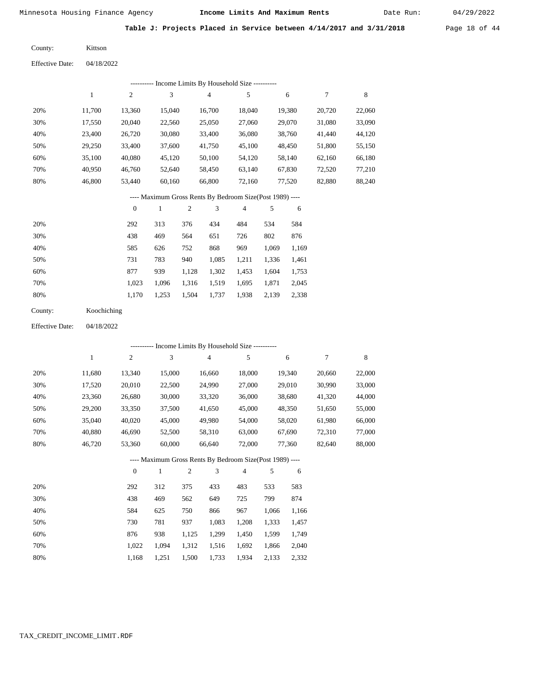Date Run:

Table J: Projects Placed in Service between 4/14/2017 and 3/31/2018 Page 18 of 44

Kittson County:

04/18/2022 Effective Date:

|     | Income Limits By Household Size ---------- |                |        |                |        |        |        |        |  |  |  |  |
|-----|--------------------------------------------|----------------|--------|----------------|--------|--------|--------|--------|--|--|--|--|
|     |                                            | $\overline{c}$ | 3      | $\overline{4}$ | 5      | 6      |        | 8      |  |  |  |  |
| 20% | 11.700                                     | 13,360         | 15,040 | 16.700         | 18.040 | 19,380 | 20,720 | 22,060 |  |  |  |  |
| 30% | 17,550                                     | 20,040         | 22,560 | 25,050         | 27,060 | 29,070 | 31,080 | 33,090 |  |  |  |  |
| 40% | 23,400                                     | 26,720         | 30,080 | 33,400         | 36,080 | 38,760 | 41,440 | 44,120 |  |  |  |  |
| 50% | 29,250                                     | 33,400         | 37,600 | 41,750         | 45,100 | 48.450 | 51,800 | 55,150 |  |  |  |  |
| 60% | 35,100                                     | 40,080         | 45,120 | 50,100         | 54,120 | 58,140 | 62,160 | 66,180 |  |  |  |  |
| 70% | 40.950                                     | 46,760         | 52,640 | 58,450         | 63,140 | 67,830 | 72,520 | 77,210 |  |  |  |  |
| 80% | 46,800                                     | 53,440         | 60,160 | 66,800         | 72,160 | 77,520 | 82,880 | 88,240 |  |  |  |  |

---- Maximum Gross Rents By Bedroom Size(Post 1989) ----

|     | $\mathbf{0}$ |       | 2     | 3     | 4     | 5     | 6     |
|-----|--------------|-------|-------|-------|-------|-------|-------|
| 20% | 292          | 313   | 376   | 434   | 484   | 534   | 584   |
| 30% | 438          | 469   | 564   | 651   | 726   | 802   | 876   |
| 40% | 585          | 626   | 752   | 868   | 969   | 1,069 | 1,169 |
| 50% | 731          | 783   | 940   | 1,085 | 1,211 | 1,336 | 1,461 |
| 60% | 877          | 939   | 1,128 | 1,302 | 1,453 | 1,604 | 1,753 |
| 70% | 1,023        | 1.096 | 1,316 | 1,519 | 1,695 | 1,871 | 2,045 |
| 80% | 1.170        | 1,253 | 1,504 | 1,737 | 1,938 | 2,139 | 2,338 |
|     |              |       |       |       |       |       |       |

| County: | Koochiching |
|---------|-------------|
|---------|-------------|

04/18/2022 Effective Date:

|     |        |                |              |                |        | ---------- Income Limits By Household Size ----------    |       |        |        |        |
|-----|--------|----------------|--------------|----------------|--------|----------------------------------------------------------|-------|--------|--------|--------|
|     | 1      | $\overline{c}$ | 3            |                | 4      | 5                                                        |       | 6      | 7      | 8      |
| 20% | 11,680 | 13,340         | 15,000       |                | 16,660 | 18,000                                                   |       | 19,340 | 20,660 | 22,000 |
| 30% | 17,520 | 20,010         | 22,500       |                | 24,990 | 27,000                                                   |       | 29,010 | 30,990 | 33,000 |
| 40% | 23,360 | 26,680         | 30,000       |                | 33,320 | 36,000                                                   |       | 38,680 | 41,320 | 44,000 |
| 50% | 29,200 | 33,350         | 37,500       |                | 41,650 | 45,000                                                   |       | 48,350 | 51,650 | 55,000 |
| 60% | 35,040 | 40,020         | 45,000       |                | 49,980 | 54,000                                                   |       | 58,020 | 61,980 | 66,000 |
| 70% | 40,880 | 46,690         | 52,500       |                | 58,310 | 63,000                                                   |       | 67,690 | 72,310 | 77,000 |
| 80% | 46,720 | 53,360         | 60,000       |                | 66,640 | 72,000                                                   |       | 77,360 | 82,640 | 88,000 |
|     |        |                |              |                |        | ---- Maximum Gross Rents By Bedroom Size(Post 1989) ---- |       |        |        |        |
|     |        | $\mathbf{0}$   | $\mathbf{1}$ | $\overline{2}$ | 3      | 4                                                        | 5     | 6      |        |        |
| 20% |        | 292            | 312          | 375            | 433    | 483                                                      | 533   | 583    |        |        |
| 30% |        | 438            | 469          | 562            | 649    | 725                                                      | 799   | 874    |        |        |
| 40% |        | 584            | 625          | 750            | 866    | 967                                                      | 1,066 | 1,166  |        |        |
| 50% |        | 730            | 781          | 937            | 1,083  | 1,208                                                    | 1,333 | 1,457  |        |        |
| 60% |        | 876            | 938          | 1,125          | 1,299  | 1,450                                                    | 1,599 | 1,749  |        |        |
| 70% |        | 1,022          | 1,094        | 1,312          | 1,516  | 1,692                                                    | 1,866 | 2,040  |        |        |

1,168

1,251

1,500

1,733

1,934

2,133

2,332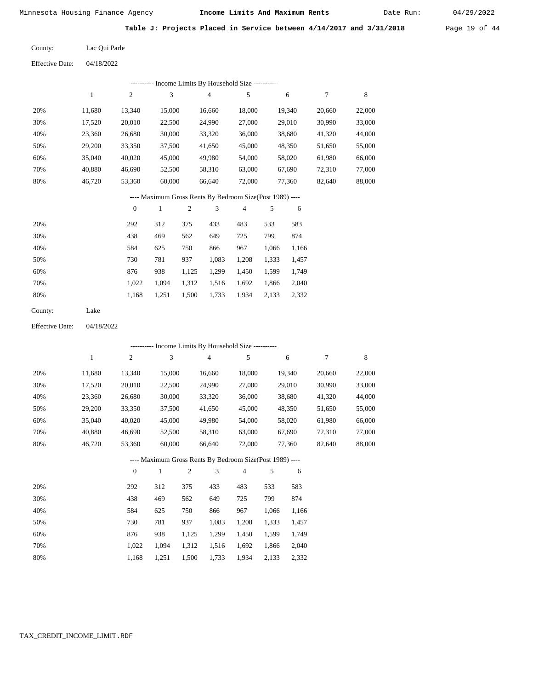Date Run:

**Table J: Projects Placed in Service between 4/14/2017 and 3/31/2018** Page 19 of 44

| County: | Lac Qui Parle |
|---------|---------------|
|         |               |

Effective Date: 04/18/2022

|                        |              |                  |              |                  | -------- Income Limits By Household Size ----------      |                |       |        |                  |         |
|------------------------|--------------|------------------|--------------|------------------|----------------------------------------------------------|----------------|-------|--------|------------------|---------|
|                        | $\mathbf{1}$ | $\sqrt{2}$       | 3            |                  | $\overline{\mathbf{4}}$                                  | $\sqrt{5}$     |       | 6      | $\boldsymbol{7}$ | $\,8\,$ |
| 20%                    | 11,680       | 13,340           | 15,000       |                  | 16,660                                                   | 18,000         |       | 19,340 | 20,660           | 22,000  |
| 30%                    | 17,520       | 20,010           | 22,500       |                  | 24,990                                                   | 27,000         |       | 29,010 | 30,990           | 33,000  |
| 40%                    | 23,360       | 26,680           | 30,000       |                  | 33,320                                                   | 36,000         |       | 38,680 | 41,320           | 44,000  |
| 50%                    | 29,200       | 33,350           | 37,500       |                  | 41,650                                                   | 45,000         |       | 48,350 | 51,650           | 55,000  |
| 60%                    | 35,040       | 40,020           | 45,000       |                  | 49,980                                                   | 54,000         |       | 58,020 | 61,980           | 66,000  |
| 70%                    | 40,880       | 46,690           | 52,500       |                  | 58,310                                                   | 63,000         |       | 67,690 | 72,310           | 77,000  |
| 80%                    | 46,720       | 53,360           | 60,000       |                  | 66,640                                                   | 72,000         |       | 77,360 | 82,640           | 88,000  |
|                        |              |                  |              |                  | ---- Maximum Gross Rents By Bedroom Size(Post 1989) ---- |                |       |        |                  |         |
|                        |              | $\boldsymbol{0}$ | $\mathbf{1}$ | $\boldsymbol{2}$ | 3                                                        | $\overline{4}$ | 5     | 6      |                  |         |
| 20%                    |              | 292              | 312          | 375              | 433                                                      | 483            | 533   | 583    |                  |         |
| 30%                    |              | 438              | 469          | 562              | 649                                                      | 725            | 799   | 874    |                  |         |
| 40%                    |              | 584              | 625          | 750              | 866                                                      | 967            | 1,066 | 1,166  |                  |         |
| 50%                    |              | 730              | 781          | 937              | 1,083                                                    | 1,208          | 1,333 | 1,457  |                  |         |
| 60%                    |              | 876              | 938          | 1,125            | 1,299                                                    | 1,450          | 1,599 | 1,749  |                  |         |
| 70%                    |              | 1,022            | 1,094        | 1,312            | 1,516                                                    | 1,692          | 1,866 | 2,040  |                  |         |
| $80\%$                 |              | 1,168            | 1,251        | 1,500            | 1,733                                                    | 1,934          | 2,133 | 2,332  |                  |         |
| County:                | Lake         |                  |              |                  |                                                          |                |       |        |                  |         |
| <b>Effective Date:</b> | 04/18/2022   |                  |              |                  |                                                          |                |       |        |                  |         |
|                        |              |                  |              |                  | --------- Income Limits By Household Size ----------     |                |       |        |                  |         |
|                        | $\mathbf{1}$ | $\sqrt{2}$       | 3            |                  | 4                                                        | 5              |       | 6      | 7                | 8       |
| 20%                    | 11,680       | 13,340           | 15,000       |                  | 16,660                                                   | 18,000         |       | 19,340 | 20,660           | 22,000  |
| 30%                    | 17,520       | 20,010           | 22,500       |                  | 24,990                                                   | 27,000         |       | 29,010 | 30,990           | 33,000  |
| 40%                    | 23,360       | 26,680           | 30,000       |                  | 33,320                                                   | 36,000         |       | 38,680 | 41,320           | 44,000  |
| 50%                    | 29,200       | 33,350           | 37,500       |                  | 41,650                                                   | 45,000         |       | 48,350 | 51,650           | 55,000  |
| 60%                    | 35,040       | 40,020           | 45,000       |                  | 49,980                                                   | 54,000         |       | 58,020 | 61,980           | 66,000  |
| 70%                    | 40,880       | 46,690           | 52,500       |                  | 58,310                                                   | 63,000         |       | 67,690 | 72,310           | 77,000  |
| 80%                    | 46,720       | 53,360           | 60,000       |                  | 66,640                                                   | 72,000         |       | 77,360 | 82,640           | 88,000  |
|                        |              |                  |              |                  | --- Maximum Gross Rents By Bedroom Size(Post 1989) -     |                |       |        |                  |         |
|                        |              | 0                | $\mathbf{1}$ | 2                | 3                                                        | 4              | 5     | 6      |                  |         |
| 20%                    |              | 292              | 312          | 375              | 433                                                      | 483            | 533   | 583    |                  |         |
| 30%                    |              | 438              | 469          | 562              | 649                                                      | 725            | 799   | 874    |                  |         |
| 40%                    |              | 584              | 625          | 750              | 866                                                      | 967            | 1,066 | 1,166  |                  |         |
| 50%                    |              | 730              | 781          | 937              | 1,083                                                    | 1,208          | 1,333 | 1,457  |                  |         |
| 60%                    |              | 876              | 938          | 1,125            | 1,299                                                    | 1,450          | 1,599 | 1,749  |                  |         |
| 70%                    |              | 1,022            | 1,094        | 1,312            | 1,516                                                    | 1,692          | 1,866 | 2,040  |                  |         |
| 80%                    |              | 1,168            | 1,251        | 1,500            | 1,733                                                    | 1,934          | 2,133 | 2,332  |                  |         |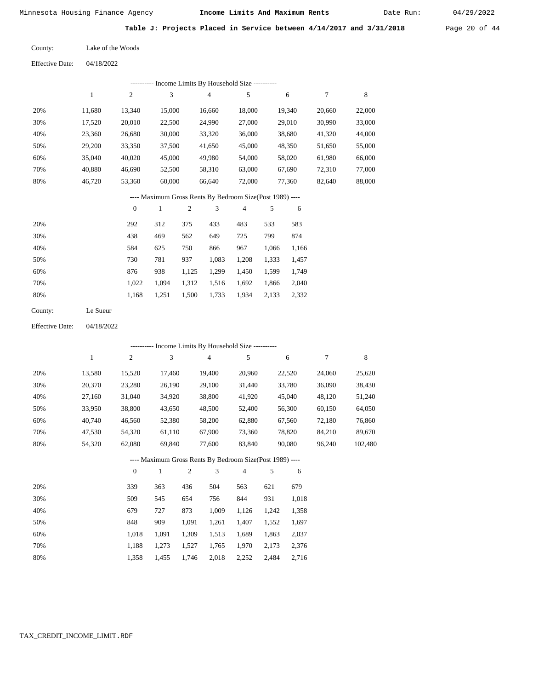Date Run:

Table J: Projects Placed in Service between 4/14/2017 and 3/31/2018 Page 20 of 44

Effective Date: 04/18/2022

|         |              |                  |              |                | --------- Income Limits By Household Size ----------     |                |       |        |        |        |
|---------|--------------|------------------|--------------|----------------|----------------------------------------------------------|----------------|-------|--------|--------|--------|
|         | $\mathbf{1}$ | $\overline{c}$   | 3            |                | $\overline{4}$                                           | 5              |       | 6      | 7      | 8      |
| 20%     | 11,680       | 13,340           | 15,000       |                | 16,660                                                   | 18,000         |       | 19,340 | 20,660 | 22,000 |
| 30%     | 17,520       | 20,010           | 22,500       |                | 24,990                                                   | 27,000         |       | 29.010 | 30.990 | 33,000 |
| 40%     | 23,360       | 26,680           | 30,000       |                | 33,320                                                   | 36,000         |       | 38,680 | 41,320 | 44,000 |
| 50%     | 29,200       | 33,350           | 37,500       |                | 41,650                                                   | 45,000         |       | 48,350 | 51,650 | 55,000 |
| 60%     | 35,040       | 40,020           | 45,000       |                | 49,980                                                   | 54,000         |       | 58,020 | 61,980 | 66,000 |
| 70%     | 40,880       | 46,690           | 52,500       |                | 58,310                                                   | 63,000         |       | 67,690 | 72,310 | 77,000 |
| 80%     | 46,720       | 53,360           | 60,000       |                | 66,640                                                   | 72,000         |       | 77,360 | 82,640 | 88,000 |
|         |              |                  |              |                | ---- Maximum Gross Rents By Bedroom Size(Post 1989) ---- |                |       |        |        |        |
|         |              | $\boldsymbol{0}$ | $\mathbf{1}$ | $\mathfrak{2}$ | 3                                                        | $\overline{4}$ | 5     | 6      |        |        |
| 20%     |              | 292              | 312          | 375            | 433                                                      | 483            | 533   | 583    |        |        |
| 30%     |              | 438              | 469          | 562            | 649                                                      | 725            | 799   | 874    |        |        |
| 40%     |              | 584              | 625          | 750            | 866                                                      | 967            | 1,066 | 1,166  |        |        |
| 50%     |              | 730              | 781          | 937            | 1,083                                                    | 1,208          | 1,333 | 1,457  |        |        |
| 60%     |              | 876              | 938          | 1,125          | 1,299                                                    | 1,450          | 1,599 | 1,749  |        |        |
| 70%     |              | 1,022            | 1,094        | 1,312          | 1,516                                                    | 1,692          | 1,866 | 2,040  |        |        |
| 80%     |              | 1,168            | 1,251        | 1,500          | 1,733                                                    | 1,934          | 2,133 | 2,332  |        |        |
| County: | Le Sueur     |                  |              |                |                                                          |                |       |        |        |        |

04/18/2022 Effective Date:

|     |              |                |        |                | ---------- Income Limits By Household Size ----------    |                |       |        |        |         |
|-----|--------------|----------------|--------|----------------|----------------------------------------------------------|----------------|-------|--------|--------|---------|
|     | $\mathbf{1}$ | $\overline{c}$ | 3      |                | 4                                                        | 5              |       | 6      | 7      | 8       |
| 20% | 13,580       | 15,520         | 17,460 |                | 19,400                                                   | 20,960         |       | 22,520 | 24,060 | 25,620  |
| 30% | 20,370       | 23,280         | 26,190 |                | 29,100                                                   | 31,440         |       | 33,780 | 36,090 | 38,430  |
| 40% | 27,160       | 31,040         | 34,920 |                | 38,800                                                   | 41,920         |       | 45,040 | 48,120 | 51,240  |
| 50% | 33,950       | 38,800         | 43,650 |                | 48,500                                                   | 52,400         |       | 56,300 | 60,150 | 64,050  |
| 60% | 40,740       | 46,560         | 52,380 |                | 58,200                                                   | 62,880         |       | 67,560 | 72,180 | 76,860  |
| 70% | 47,530       | 54,320         | 61,110 |                | 67,900                                                   | 73,360         |       | 78,820 | 84,210 | 89,670  |
| 80% | 54,320       | 62,080         | 69,840 |                | 77,600                                                   | 83,840         |       | 90,080 | 96,240 | 102,480 |
|     |              |                |        |                | ---- Maximum Gross Rents By Bedroom Size(Post 1989) ---- |                |       |        |        |         |
|     |              | $\mathbf{0}$   | 1      | $\overline{2}$ | 3                                                        | $\overline{4}$ | 5     | 6      |        |         |
| 20% |              | 339            | 363    | 436            | 504                                                      | 563            | 621   | 679    |        |         |
| 30% |              | 509            | 545    | 654            | 756                                                      | 844            | 931   | 1,018  |        |         |
| 40% |              | 679            | 727    | 873            | 1,009                                                    | 1,126          | 1,242 | 1,358  |        |         |

 848 1,018 1,188 1,358  909 1,091 1,273 1,455  1,091 1,309 1,527 1,746

 1,261 1,513 1,765 2,018

 1,407 1,689 1,970 2,252  1,552 1,863 2,173 2,484

 1,697 2,037 2,376 2,716

 50% 60% 70% 80%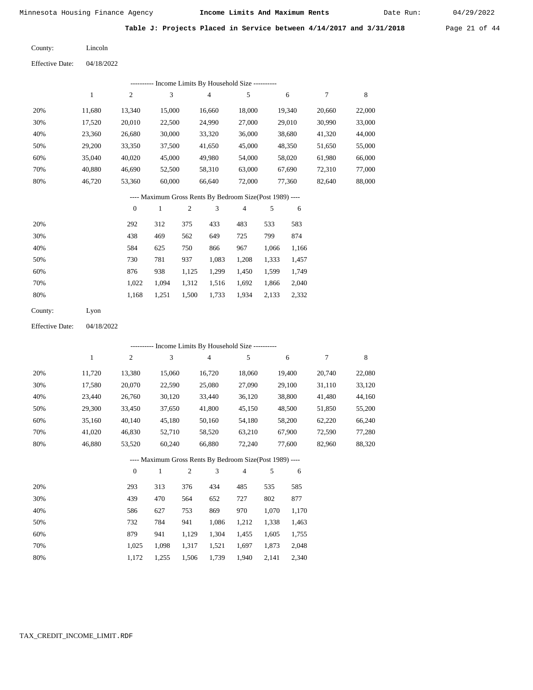04/18/2022

Minnesota Housing Finance Agency **Income Limits And Maximum Rents** 04/29/2022

6

7

8

Date Run:

Table J: Projects Placed in Service between 4/14/2017 and 3/31/2018 Page 21 of 44

Lincoln County:

Effective Date:

|     |        | ---------- Income Limits By Household Size ---------- |        |        |        |  |  |  |  |  |
|-----|--------|-------------------------------------------------------|--------|--------|--------|--|--|--|--|--|
|     |        | 2                                                     | 3      | 4      |        |  |  |  |  |  |
| 20% | 11,680 | 13,340                                                | 15,000 | 16,660 | 18,000 |  |  |  |  |  |
| 30% | 17,520 | 20,010                                                | 22,500 | 24,990 | 27,000 |  |  |  |  |  |

| 20% | 11.680 | 13.340 | 15,000 | 16.660 | 18.000 | 19.340 | 20,660 | 22,000 |
|-----|--------|--------|--------|--------|--------|--------|--------|--------|
| 30% | 17.520 | 20,010 | 22,500 | 24,990 | 27,000 | 29,010 | 30,990 | 33,000 |
| 40% | 23,360 | 26,680 | 30,000 | 33,320 | 36,000 | 38,680 | 41.320 | 44,000 |
| 50% | 29,200 | 33.350 | 37,500 | 41.650 | 45,000 | 48,350 | 51.650 | 55,000 |
| 60% | 35,040 | 40,020 | 45,000 | 49,980 | 54,000 | 58,020 | 61,980 | 66,000 |
| 70% | 40,880 | 46.690 | 52,500 | 58.310 | 63,000 | 67,690 | 72,310 | 77,000 |
| 80% | 46.720 | 53,360 | 60,000 | 66.640 | 72,000 | 77.360 | 82,640 | 88,000 |

#### ---- Maximum Gross Rents By Bedroom Size(Post 1989) ----

|     | $\theta$ |       | $\overline{c}$ | 3     | $\overline{4}$ | 5     | 6     |
|-----|----------|-------|----------------|-------|----------------|-------|-------|
| 20% | 292      | 312   | 375            | 433   | 483            | 533   | 583   |
| 30% | 438      | 469   | 562            | 649   | 725            | 799   | 874   |
| 40% | 584      | 625   | 750            | 866   | 967            | 1,066 | 1,166 |
| 50% | 730      | 781   | 937            | 1,083 | 1,208          | 1,333 | 1,457 |
| 60% | 876      | 938   | 1,125          | 1,299 | 1,450          | 1,599 | 1,749 |
| 70% | 1,022    | 1,094 | 1,312          | 1,516 | 1,692          | 1,866 | 2,040 |
| 80% | 1,168    | 1,251 | 1,500          | 1,733 | 1,934          | 2,133 | 2,332 |
|     |          |       |                |       |                |       |       |

| County: | Lyon |
|---------|------|
|---------|------|

04/18/2022 Effective Date:

|     |        |              |        |                |                | ---------- Income Limits By Household Size ----------    |       |        |        |        |
|-----|--------|--------------|--------|----------------|----------------|----------------------------------------------------------|-------|--------|--------|--------|
|     | 1      | $\mathbf{2}$ | 3      |                | $\overline{4}$ | 5                                                        |       | 6      | 7      | 8      |
| 20% | 11,720 | 13,380       | 15,060 |                | 16,720         | 18,060                                                   |       | 19,400 | 20,740 | 22,080 |
| 30% | 17,580 | 20,070       | 22,590 |                | 25,080         | 27,090                                                   |       | 29,100 | 31,110 | 33,120 |
| 40% | 23,440 | 26,760       | 30,120 |                | 33,440         | 36,120                                                   |       | 38,800 | 41,480 | 44,160 |
| 50% | 29,300 | 33,450       | 37,650 |                | 41,800         | 45,150                                                   |       | 48,500 | 51,850 | 55,200 |
| 60% | 35,160 | 40,140       | 45,180 |                | 50,160         | 54,180                                                   |       | 58,200 | 62,220 | 66,240 |
| 70% | 41,020 | 46,830       | 52,710 |                | 58,520         | 63,210                                                   |       | 67,900 | 72,590 | 77,280 |
| 80% | 46,880 | 53,520       | 60,240 |                | 66,880         | 72,240                                                   |       | 77,600 | 82,960 | 88,320 |
|     |        |              |        |                |                | ---- Maximum Gross Rents By Bedroom Size(Post 1989) ---- |       |        |        |        |
|     |        | $\theta$     | 1      | $\mathfrak{2}$ | 3              | $\overline{4}$                                           | 5     | 6      |        |        |
| 20% |        | 293          | 313    | 376            | 434            | 485                                                      | 535   | 585    |        |        |
| 30% |        | 439          | 470    | 564            | 652            | 727                                                      | 802   | 877    |        |        |
| 40% |        | 586          | 627    | 753            | 869            | 970                                                      | 1,070 | 1,170  |        |        |
| 50% |        | 732          | 784    | 941            | 1,086          | 1,212                                                    | 1,338 | 1,463  |        |        |
| 60% |        | 879          | 941    | 1,129          | 1,304          | 1,455                                                    | 1,605 | 1,755  |        |        |

 1,025 1,172  1,098 1,255

 1,317 1,506

 1,521 1,739  1,697 1,940  1,873 2,141

 2,048 2,340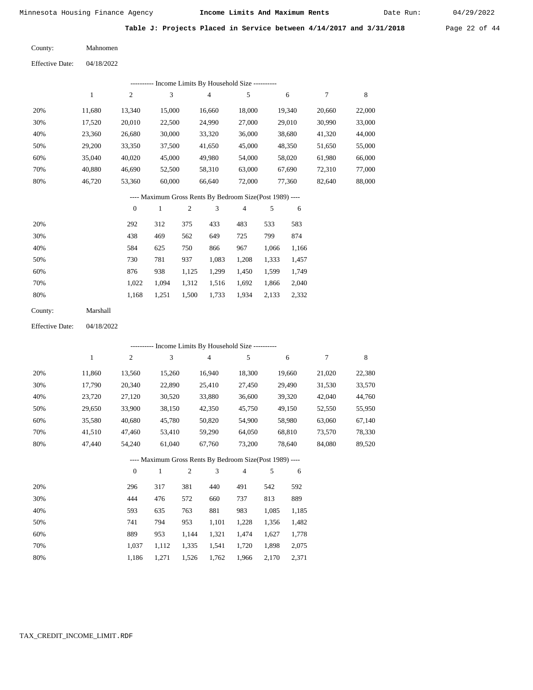Date Run:

|  |  |  | Table J: Projects Placed in Service between 4/14/2017 and 3/31/2018 | Page 22 of 44 |  |  |
|--|--|--|---------------------------------------------------------------------|---------------|--|--|
|  |  |  |                                                                     |               |  |  |

| County: | Mahnomen |
|---------|----------|
|         |          |

|     | ---------- Income Limits By Household Size ----------    |              |              |                |                |        |        |        |  |  |
|-----|----------------------------------------------------------|--------------|--------------|----------------|----------------|--------|--------|--------|--|--|
|     | 1                                                        | 2            | 3            | $\overline{4}$ | 5              | 6      | 7      | 8      |  |  |
| 20% | 11,680                                                   | 13,340       | 15,000       | 16,660         | 18,000         | 19,340 | 20,660 | 22,000 |  |  |
| 30% | 17,520                                                   | 20,010       | 22,500       | 24,990         | 27,000         | 29,010 | 30,990 | 33,000 |  |  |
| 40% | 23,360                                                   | 26,680       | 30,000       | 33,320         | 36,000         | 38,680 | 41,320 | 44,000 |  |  |
| 50% | 29,200                                                   | 33,350       | 37,500       | 41,650         | 45,000         | 48,350 | 51,650 | 55,000 |  |  |
| 60% | 35,040                                                   | 40,020       | 45,000       | 49,980         | 54,000         | 58,020 | 61,980 | 66,000 |  |  |
| 70% | 40,880                                                   | 46,690       | 52,500       | 58,310         | 63,000         | 67,690 | 72,310 | 77,000 |  |  |
| 80% | 46,720                                                   | 53,360       | 60,000       | 66.640         | 72,000         | 77,360 | 82,640 | 88,000 |  |  |
|     | ---- Maximum Gross Rents By Bedroom Size(Post 1989) ---- |              |              |                |                |        |        |        |  |  |
|     |                                                          | $\mathbf{0}$ | $\mathbf{1}$ | 3<br>2         | $\overline{4}$ | 5<br>6 |        |        |  |  |

| 20% | 292   | 312   | 375   | 433   | 483   | 533   | 583   |
|-----|-------|-------|-------|-------|-------|-------|-------|
| 30% | 438   | 469   | 562   | 649   | 725   | 799   | 874   |
| 40% | 584   | 625   | 750   | 866   | 967   | 1,066 | 1,166 |
| 50% | 730   | 781   | 937   | 1,083 | 1,208 | 1,333 | 1,457 |
| 60% | 876   | 938   | 1,125 | 1,299 | 1,450 | 1,599 | 1,749 |
| 70% | 1.022 | 1.094 | 1,312 | 1,516 | 1,692 | 1,866 | 2,040 |
| 80% | 1.168 | 1,251 | 1,500 | 1,733 | 1,934 | 2,133 | 2,332 |
|     |       |       |       |       |       |       |       |

| County: | Marshall |
|---------|----------|
|---------|----------|

04/18/2022 Effective Date:

|     | ---------- Income Limits By Household Size ---------- |                |        |                |                                                          |                |       |        |        |        |  |
|-----|-------------------------------------------------------|----------------|--------|----------------|----------------------------------------------------------|----------------|-------|--------|--------|--------|--|
|     | $\mathbf{1}$                                          | $\overline{c}$ | 3      |                | $\overline{4}$                                           | 5              |       | 6      | 7      | 8      |  |
| 20% | 11,860                                                | 13,560         | 15,260 |                | 16,940                                                   | 18,300         |       | 19,660 | 21,020 | 22,380 |  |
| 30% | 17,790                                                | 20,340         | 22,890 |                | 25,410                                                   | 27,450         |       | 29,490 | 31,530 | 33,570 |  |
| 40% | 23,720                                                | 27,120         | 30,520 |                | 33,880                                                   | 36,600         |       | 39,320 | 42,040 | 44,760 |  |
| 50% | 29,650                                                | 33,900         | 38,150 |                | 42,350                                                   | 45,750         |       | 49,150 | 52,550 | 55,950 |  |
| 60% | 35,580                                                | 40,680         | 45,780 |                | 50,820                                                   | 54,900         |       | 58,980 | 63,060 | 67,140 |  |
| 70% | 41,510                                                | 47,460         | 53,410 |                | 59,290                                                   | 64,050         |       | 68,810 | 73,570 | 78,330 |  |
| 80% | 47,440                                                | 54,240         | 61,040 |                | 67,760                                                   | 73,200         |       | 78,640 | 84,080 | 89,520 |  |
|     |                                                       |                |        |                | ---- Maximum Gross Rents By Bedroom Size(Post 1989) ---- |                |       |        |        |        |  |
|     |                                                       | $\mathbf{0}$   | 1      | $\mathfrak{2}$ | 3                                                        | $\overline{4}$ | 5     | 6      |        |        |  |
| 20% |                                                       | 296            | 317    | 381            | 440                                                      | 491            | 542   | 592    |        |        |  |
| 30% |                                                       | 444            | 476    | 572            | 660                                                      | 737            | 813   | 889    |        |        |  |
| 40% |                                                       | 593            | 635    | 763            | 881                                                      | 983            | 1,085 | 1,185  |        |        |  |
| 50% |                                                       | 741            | 794    | 953            | 1,101                                                    | 1,228          | 1,356 | 1,482  |        |        |  |
| 60% |                                                       | 889            | 953    | 1,144          | 1,321                                                    | 1,474          | 1,627 | 1,778  |        |        |  |

 1,037 1,186

 1,112 1,271

 1,335 1,526  1,541 1,762

 1,720 1,966  1,898 2,170

 2,075 2,371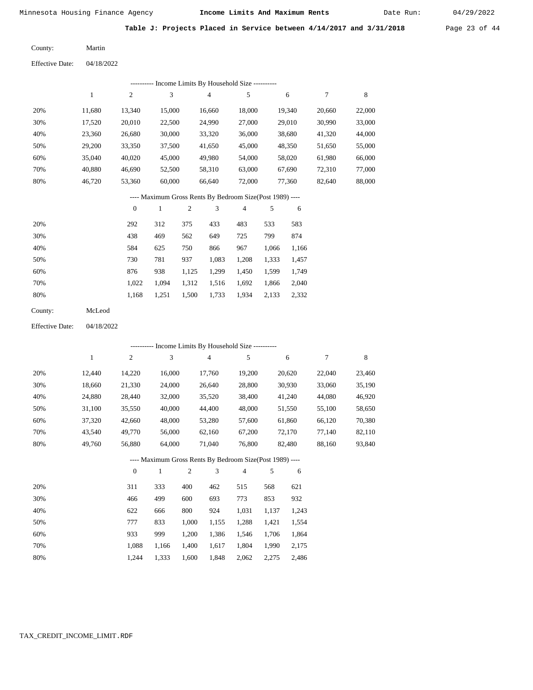Date Run:

**Table J: Projects Placed in Service between 4/14/2017 and 3/31/2018** Page 23 of 44

Martin County:

04/18/2022 Effective Date:

|     |        |          | --------- Income Limits By Household Size ----------     |     |        |                |     |        |        |        |
|-----|--------|----------|----------------------------------------------------------|-----|--------|----------------|-----|--------|--------|--------|
|     | 1      | 2        | 3                                                        |     | 4      | 5              |     | 6      | 7      | 8      |
| 20% | 11,680 | 13,340   | 15,000                                                   |     | 16,660 | 18,000         |     | 19,340 | 20,660 | 22,000 |
| 30% | 17,520 | 20,010   | 22,500                                                   |     | 24,990 | 27,000         |     | 29,010 | 30,990 | 33,000 |
| 40% | 23,360 | 26,680   | 30,000                                                   |     | 33,320 | 36,000         |     | 38,680 | 41,320 | 44,000 |
| 50% | 29,200 | 33,350   | 37,500                                                   |     | 41,650 | 45,000         |     | 48,350 | 51,650 | 55,000 |
| 60% | 35,040 | 40,020   | 45,000                                                   |     | 49,980 | 54,000         |     | 58,020 | 61,980 | 66,000 |
| 70% | 40,880 | 46,690   | 52,500                                                   |     | 58,310 | 63,000         |     | 67,690 | 72,310 | 77,000 |
| 80% | 46,720 | 53,360   | 60,000                                                   |     | 66,640 | 72,000         |     | 77,360 | 82,640 | 88,000 |
|     |        |          | ---- Maximum Gross Rents By Bedroom Size(Post 1989) ---- |     |        |                |     |        |        |        |
|     |        | $\theta$ | 1                                                        | 2   | 3      | $\overline{4}$ | 5   | 6      |        |        |
| 20% |        | 292      | 312                                                      | 375 | 433    | 483            | 533 | 583    |        |        |
|     |        |          |                                                          |     |        |                |     |        |        |        |

| 30% | 438   | 469   | 562   | 649   | 725   | 799   | 874   |
|-----|-------|-------|-------|-------|-------|-------|-------|
| 40% | 584   | 625   | 750   | 866   | 967   | 1.066 | 1,166 |
| 50% | 730   | 781   | 937   | 1.083 | 1.208 | 1.333 | 1,457 |
| 60% | 876   | 938   | 1.125 | 1.299 | 1.450 | 1.599 | 1.749 |
| 70% | 1.022 | 1.094 | 1.312 | 1.516 | 1.692 | 1.866 | 2,040 |
| 80% | 1.168 | 1.251 | 1,500 | 1,733 | 1.934 | 2,133 | 2,332 |

| County: | McLeod |
|---------|--------|
|---------|--------|

04/18/2022 Effective Date:

|     |              |                  |              |                |                | ---------- Income Limits By Household Size ----------    |       |        |        |        |
|-----|--------------|------------------|--------------|----------------|----------------|----------------------------------------------------------|-------|--------|--------|--------|
|     | $\mathbf{1}$ | $\overline{c}$   | 3            |                | $\overline{4}$ | 5                                                        |       | 6      | 7      | 8      |
| 20% | 12,440       | 14,220           | 16,000       |                | 17,760         | 19,200                                                   |       | 20,620 | 22,040 | 23,460 |
| 30% | 18,660       | 21,330           | 24,000       |                | 26,640         | 28,800                                                   |       | 30,930 | 33,060 | 35,190 |
| 40% | 24,880       | 28,440           | 32,000       |                | 35,520         | 38,400                                                   |       | 41,240 | 44,080 | 46,920 |
| 50% | 31,100       | 35,550           | 40,000       |                | 44,400         | 48,000                                                   |       | 51,550 | 55,100 | 58,650 |
| 60% | 37,320       | 42,660           | 48,000       |                | 53,280         | 57,600                                                   |       | 61,860 | 66,120 | 70,380 |
| 70% | 43,540       | 49,770           | 56,000       |                | 62,160         | 67,200                                                   |       | 72,170 | 77,140 | 82,110 |
| 80% | 49,760       | 56,880           | 64,000       |                | 71,040         | 76,800                                                   |       | 82,480 | 88,160 | 93,840 |
|     |              |                  |              |                |                | ---- Maximum Gross Rents By Bedroom Size(Post 1989) ---- |       |        |        |        |
|     |              | $\boldsymbol{0}$ | $\mathbf{1}$ | $\overline{2}$ | 3              | $\overline{4}$                                           | 5     | 6      |        |        |
| 20% |              | 311              | 333          | 400            | 462            | 515                                                      | 568   | 621    |        |        |
| 30% |              | 466              | 499          | 600            | 693            | 773                                                      | 853   | 932    |        |        |
| 40% |              | 622              | 666          | 800            | 924            | 1,031                                                    | 1,137 | 1,243  |        |        |
| 50% |              | 777              | 833          | 1,000          | 1,155          | 1,288                                                    | 1,421 | 1,554  |        |        |
| 60% |              | 933              | 999          | 1,200          | 1,386          | 1,546                                                    | 1,706 | 1,864  |        |        |

 1,088 1,244

 1,166 1,333

 1,400 1,600  1,617 1,848

1,804

2,062 2,275

1,990

 2,175 2,486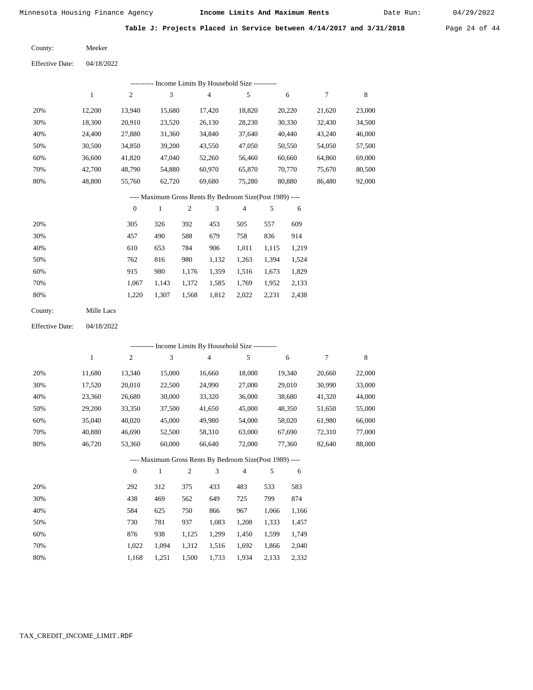Date Run:

**Table J: Projects Placed in Service between 4/14/2017 and 3/31/2018** Page 24 of 44

Meeker County:

| <b>Effective Date:</b> | 04/18/2022 |
|------------------------|------------|
|                        |            |

|     | Income Limits By Household Size ---------- |                |        |        |        |        |        |        |  |  |  |  |  |
|-----|--------------------------------------------|----------------|--------|--------|--------|--------|--------|--------|--|--|--|--|--|
|     |                                            | $\overline{c}$ | 3      | 4      | 5      | 6      | 7      | 8      |  |  |  |  |  |
| 20% | 12.200                                     | 13,940         | 15.680 | 17.420 | 18,820 | 20,220 | 21,620 | 23,000 |  |  |  |  |  |
| 30% | 18,300                                     | 20,910         | 23,520 | 26,130 | 28,230 | 30,330 | 32,430 | 34,500 |  |  |  |  |  |
| 40% | 24,400                                     | 27,880         | 31,360 | 34,840 | 37,640 | 40,440 | 43,240 | 46,000 |  |  |  |  |  |
| 50% | 30,500                                     | 34,850         | 39,200 | 43,550 | 47,050 | 50,550 | 54,050 | 57,500 |  |  |  |  |  |
| 60% | 36,600                                     | 41,820         | 47,040 | 52,260 | 56,460 | 60,660 | 64,860 | 69,000 |  |  |  |  |  |
| 70% | 42,700                                     | 48.790         | 54.880 | 60,970 | 65,870 | 70,770 | 75.670 | 80,500 |  |  |  |  |  |
| 80% | 48.800                                     | 55,760         | 62,720 | 69,680 | 75,280 | 80.880 | 86.480 | 92,000 |  |  |  |  |  |

#### ---- Maximum Gross Rents By Bedroom Size(Post 1989) ----

|     | $\mathbf{0}$ |       | $\overline{2}$ | 3     | 4     | 5     | 6     |
|-----|--------------|-------|----------------|-------|-------|-------|-------|
| 20% | 305          | 326   | 392            | 453   | 505   | 557   | 609   |
| 30% | 457          | 490   | 588            | 679   | 758   | 836   | 914   |
| 40% | 610          | 653   | 784            | 906   | 1,011 | 1,115 | 1,219 |
| 50% | 762          | 816   | 980            | 1,132 | 1,263 | 1,394 | 1,524 |
| 60% | 915          | 980   | 1,176          | 1,359 | 1,516 | 1,673 | 1,829 |
| 70% | 1,067        | 1,143 | 1,372          | 1,585 | 1,769 | 1,952 | 2,133 |
| 80% | 1,220        | 1,307 | 1,568          | 1,812 | 2,022 | 2,231 | 2,438 |
|     |              |       |                |       |       |       |       |

04/18/2022 Effective Date:

|     |              |                  |              |                |                | ---------- Income Limits By Household Size ----------    |       |        |        |        |
|-----|--------------|------------------|--------------|----------------|----------------|----------------------------------------------------------|-------|--------|--------|--------|
|     | $\mathbf{1}$ | $\overline{c}$   | 3            |                | $\overline{4}$ | 5                                                        |       | 6      | 7      | 8      |
| 20% | 11,680       | 13,340           | 15,000       |                | 16,660         | 18,000                                                   |       | 19,340 | 20,660 | 22,000 |
| 30% | 17,520       | 20,010           | 22,500       |                | 24,990         | 27,000                                                   |       | 29,010 | 30,990 | 33,000 |
| 40% | 23,360       | 26,680           | 30,000       |                | 33,320         | 36,000                                                   |       | 38,680 | 41,320 | 44,000 |
| 50% | 29,200       | 33,350           | 37,500       |                | 41,650         | 45,000                                                   |       | 48,350 | 51,650 | 55,000 |
| 60% | 35,040       | 40,020           | 45,000       |                | 49,980         | 54,000                                                   |       | 58,020 | 61,980 | 66,000 |
| 70% | 40,880       | 46,690           | 52,500       |                | 58,310         | 63,000                                                   |       | 67,690 | 72,310 | 77,000 |
| 80% | 46,720       | 53,360           | 60,000       |                | 66,640         | 72,000                                                   |       | 77,360 | 82,640 | 88,000 |
|     |              |                  |              |                |                | ---- Maximum Gross Rents By Bedroom Size(Post 1989) ---- |       |        |        |        |
|     |              | $\boldsymbol{0}$ | $\mathbf{1}$ | $\overline{c}$ | 3              | $\overline{4}$                                           | 5     | 6      |        |        |
| 20% |              | 292              | 312          | 375            | 433            | 483                                                      | 533   | 583    |        |        |
| 30% |              | 438              | 469          | 562            | 649            | 725                                                      | 799   | 874    |        |        |
| 40% |              | 584              | 625          | 750            | 866            | 967                                                      | 1,066 | 1,166  |        |        |
| 50% |              | 730              | 781          | 937            | 1,083          | 1,208                                                    | 1,333 | 1,457  |        |        |
| 60% |              | 876              | 938          | 1,125          | 1,299          | 1,450                                                    | 1,599 | 1,749  |        |        |

1,500 1,733

1,312 1,516 1,692 1,866

1,934

2,133

 2,040 2,332

### TAX\_CREDIT\_INCOME\_LIMIT.RDF

 1,022 1,168

 1,094 1,251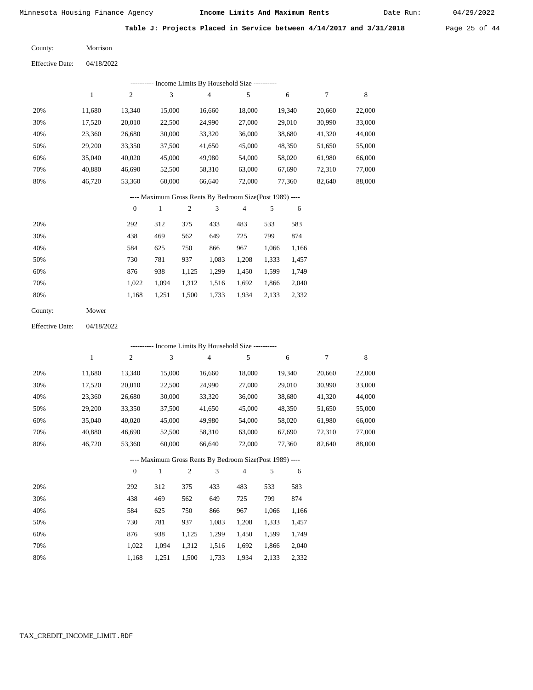Date Run:

**Table J: Projects Placed in Service between 4/14/2017 and 3/31/2018** Page 25 of 44

Morrison County:

04/18/2022 Effective Date:

|                        |              |                  | --------- Income Limits By Household Size ----------     |                |                |        |       |        |                  |             |
|------------------------|--------------|------------------|----------------------------------------------------------|----------------|----------------|--------|-------|--------|------------------|-------------|
|                        | $\mathbf{1}$ | $\mathbf{2}$     | 3                                                        |                | $\overline{4}$ | 5      |       | 6      | $\tau$           | $\,$ 8 $\,$ |
| 20%                    | 11,680       | 13,340           | 15,000                                                   |                | 16,660         | 18,000 |       | 19,340 | 20,660           | 22,000      |
| 30%                    | 17,520       | 20,010           | 22,500                                                   |                | 24,990         | 27,000 |       | 29,010 | 30,990           | 33,000      |
| 40%                    | 23,360       | 26,680           | 30,000                                                   |                | 33,320         | 36,000 |       | 38,680 | 41,320           | 44,000      |
| 50%                    | 29,200       | 33,350           | 37,500                                                   |                | 41,650         | 45,000 |       | 48,350 | 51,650           | 55,000      |
| 60%                    | 35,040       | 40,020           | 45,000                                                   |                | 49,980         | 54,000 |       | 58,020 | 61,980           | 66,000      |
| 70%                    | 40,880       | 46,690           | 52,500                                                   |                | 58,310         | 63,000 |       | 67,690 | 72,310           | 77,000      |
| 80%                    | 46,720       | 53,360           | 60,000                                                   |                | 66,640         | 72,000 |       | 77,360 | 82,640           | 88,000      |
|                        |              |                  | ---- Maximum Gross Rents By Bedroom Size(Post 1989) ---- |                |                |        |       |        |                  |             |
|                        |              | $\boldsymbol{0}$ | $\mathbf{1}$                                             | $\mathfrak{2}$ | 3              | 4      | 5     | 6      |                  |             |
| 20%                    |              | 292              | 312                                                      | 375            | 433            | 483    | 533   | 583    |                  |             |
| 30%                    |              | 438              | 469                                                      | 562            | 649            | 725    | 799   | 874    |                  |             |
| 40%                    |              | 584              | 625                                                      | 750            | 866            | 967    | 1,066 | 1,166  |                  |             |
| 50%                    |              | 730              | 781                                                      | 937            | 1,083          | 1,208  | 1,333 | 1,457  |                  |             |
| 60%                    |              | 876              | 938                                                      | 1,125          | 1,299          | 1,450  | 1,599 | 1,749  |                  |             |
| 70%                    |              | 1,022            | 1,094                                                    | 1,312          | 1,516          | 1,692  | 1,866 | 2,040  |                  |             |
| 80%                    |              | 1,168            | 1,251                                                    | 1,500          | 1,733          | 1,934  | 2,133 | 2,332  |                  |             |
| County:                | Mower        |                  |                                                          |                |                |        |       |        |                  |             |
| <b>Effective Date:</b> | 04/18/2022   |                  |                                                          |                |                |        |       |        |                  |             |
|                        |              |                  | --------- Income Limits By Household Size ---------      |                |                |        |       |        |                  |             |
|                        | $\mathbf{1}$ | $\sqrt{2}$       | 3                                                        |                | $\sqrt{4}$     | 5      |       | 6      | $\boldsymbol{7}$ | $\,8\,$     |
| 20%                    | 11,680       | 13,340           | 15,000                                                   |                | 16,660         | 18,000 |       | 19,340 | 20,660           | 22,000      |
| 30%                    | 17,520       | 20,010           | 22,500                                                   |                | 24,990         | 27,000 |       | 29,010 | 30,990           | 33,000      |
| 40%                    | 23,360       | 26,680           | 30,000                                                   |                | 33,320         | 36,000 |       | 38,680 | 41,320           | 44,000      |
| 50%                    | 29,200       | 33,350           | 37,500                                                   |                | 41,650         | 45,000 |       | 48,350 | 51,650           | 55,000      |
| 60%                    | 35,040       | 40,020           | 45,000                                                   |                | 49,980         | 54,000 |       | 58,020 | 61,980           | 66,000      |
| 70%                    | 40,880       | 46,690           | 52,500                                                   |                | 58,310         | 63,000 |       | 67,690 | 72,310           | 77,000      |
| 80%                    | 46,720       | 53,360           | 60,000                                                   |                | 66,640         | 72,000 |       | 77,360 | 82,640           | 88,000      |

---- Maximum Gross Rents By Bedroom Size(Post 1989) ----

|     | $\mathbf{0}$ |       | $\overline{c}$ | 3     | 4     | 5     | 6     |
|-----|--------------|-------|----------------|-------|-------|-------|-------|
| 20% | 292          | 312   | 375            | 433   | 483   | 533   | 583   |
| 30% | 438          | 469   | 562            | 649   | 725   | 799   | 874   |
| 40% | 584          | 625   | 750            | 866   | 967   | 1,066 | 1,166 |
| 50% | 730          | 781   | 937            | 1,083 | 1,208 | 1,333 | 1,457 |
| 60% | 876          | 938   | 1,125          | 1,299 | 1,450 | 1,599 | 1,749 |
| 70% | 1.022        | 1.094 | 1,312          | 1,516 | 1,692 | 1,866 | 2,040 |
| 80% | 1,168        | 1,251 | 1,500          | 1,733 | 1,934 | 2,133 | 2,332 |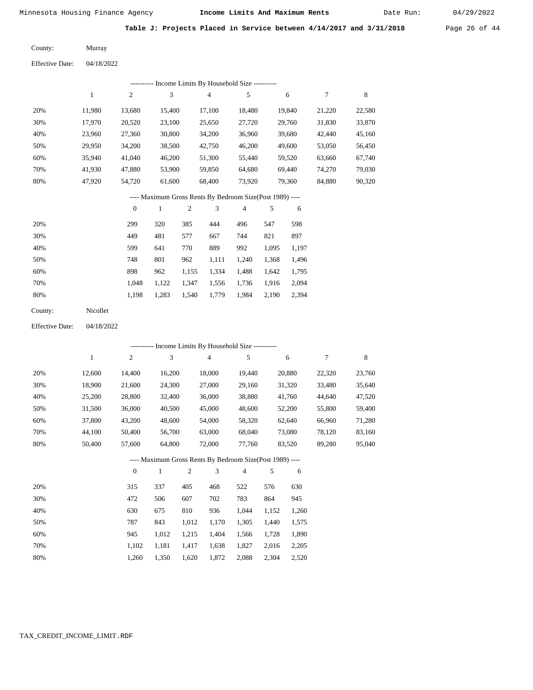Date Run:

**Table J: Projects Placed in Service between 4/14/2017 and 3/31/2018** Page 26 of 44

Murray County:

04/18/2022 Effective Date:

|     | --------- Income Limits By Household Size ---------- |        |        |                                                           |        |        |        |        |  |  |  |  |  |
|-----|------------------------------------------------------|--------|--------|-----------------------------------------------------------|--------|--------|--------|--------|--|--|--|--|--|
|     |                                                      | 2      | 3      | 4                                                         | 5      | 6      | 7      | 8      |  |  |  |  |  |
| 20% | 11.980                                               | 13.680 | 15.400 | 17.100                                                    | 18.480 | 19.840 | 21,220 | 22,580 |  |  |  |  |  |
| 30% | 17.970                                               | 20,520 | 23.100 | 25,650                                                    | 27,720 | 29,760 | 31,830 | 33,870 |  |  |  |  |  |
| 40% | 23.960                                               | 27,360 | 30,800 | 34,200                                                    | 36,960 | 39,680 | 42,440 | 45,160 |  |  |  |  |  |
| 50% | 29,950                                               | 34,200 | 38,500 | 42,750                                                    | 46,200 | 49,600 | 53,050 | 56,450 |  |  |  |  |  |
| 60% | 35,940                                               | 41,040 | 46,200 | 51,300                                                    | 55,440 | 59,520 | 63,660 | 67,740 |  |  |  |  |  |
| 70% | 41.930                                               | 47.880 | 53,900 | 59.850                                                    | 64.680 | 69.440 | 74.270 | 79,030 |  |  |  |  |  |
| 80% | 47.920                                               | 54,720 | 61,600 | 68,400                                                    | 73.920 | 79.360 | 84.880 | 90,320 |  |  |  |  |  |
|     |                                                      |        |        | ---- Maximum Gross Rents By Bedroom Size (Post 1989) ---- |        |        |        |        |  |  |  |  |  |

|     | $\Omega$ |       | $\overline{c}$ | 3     | 4     |       | 6     |
|-----|----------|-------|----------------|-------|-------|-------|-------|
| 20% | 299      | 320   | 385            | 444   | 496   | 547   | 598   |
| 30% | 449      | 481   | 577            | 667   | 744   | 821   | 897   |
| 40% | 599      | 641   | 770            | 889   | 992   | 1,095 | 1,197 |
| 50% | 748      | 801   | 962            | 1,111 | 1,240 | 1,368 | 1,496 |
| 60% | 898      | 962   | 1,155          | 1,334 | 1,488 | 1,642 | 1,795 |
| 70% | 1.048    | 1.122 | 1,347          | 1,556 | 1,736 | 1,916 | 2,094 |
| 80% | 1,198    | 1,283 | 1,540          | 1,779 | 1,984 | 2,190 | 2,394 |
|     |          |       |                |       |       |       |       |

| County: | Nicollet |
|---------|----------|
|---------|----------|

04/18/2022 Effective Date:

|     |        |                |        |                |                | - Income Limits By Household Size ----------             |       |        |        |        |
|-----|--------|----------------|--------|----------------|----------------|----------------------------------------------------------|-------|--------|--------|--------|
|     | 1      | $\overline{c}$ | 3      |                | $\overline{4}$ | 5                                                        |       | 6      | 7      | 8      |
| 20% | 12,600 | 14,400         | 16,200 |                | 18,000         | 19,440                                                   |       | 20,880 | 22,320 | 23,760 |
| 30% | 18,900 | 21,600         | 24,300 |                | 27,000         | 29,160                                                   |       | 31,320 | 33,480 | 35,640 |
| 40% | 25,200 | 28,800         | 32,400 |                | 36,000         | 38,880                                                   |       | 41,760 | 44,640 | 47,520 |
| 50% | 31,500 | 36,000         | 40,500 |                | 45,000         | 48,600                                                   |       | 52,200 | 55,800 | 59,400 |
| 60% | 37,800 | 43,200         | 48,600 |                | 54,000         | 58,320                                                   |       | 62,640 | 66,960 | 71,280 |
| 70% | 44,100 | 50,400         | 56,700 |                | 63,000         | 68,040                                                   |       | 73,080 | 78,120 | 83,160 |
| 80% | 50,400 | 57,600         | 64,800 |                | 72,000         | 77,760                                                   |       | 83,520 | 89,280 | 95,040 |
|     |        |                |        |                |                | ---- Maximum Gross Rents By Bedroom Size(Post 1989) ---- |       |        |        |        |
|     |        | $\theta$       | 1      | $\mathfrak{2}$ | 3              | $\overline{4}$                                           | 5     | 6      |        |        |
| 20% |        | 315            | 337    | 405            | 468            | 522                                                      | 576   | 630    |        |        |
| 30% |        | 472            | 506    | 607            | 702            | 783                                                      | 864   | 945    |        |        |
| 40% |        | 630            | 675    | 810            | 936            | 1,044                                                    | 1,152 | 1,260  |        |        |
| 50% |        | 787            | 843    | 1,012          | 1,170          | 1,305                                                    | 1,440 | 1,575  |        |        |
| 60% |        | 945            | 1,012  | 1,215          | 1,404          | 1,566                                                    | 1,728 | 1,890  |        |        |

1,260 1,350 1,620 1,872 2,088 2,304 2,520

1,417 1,638 1,827

2,016 2,205

1,102 1,181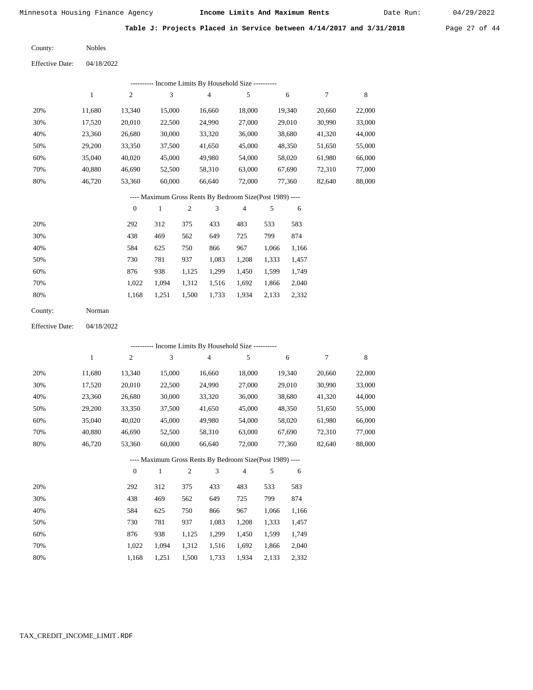Date Run:

**Table J: Projects Placed in Service between 4/14/2017 and 3/31/2018** Page 27 of 44

Nobles County:

04/18/2022 Effective Date:

|     |        |        |        |        | Income Limits By Household Size ---------- |        |        |        |
|-----|--------|--------|--------|--------|--------------------------------------------|--------|--------|--------|
|     |        | 2      | 3      | 4      | 5                                          | 6      | 7      | 8      |
| 20% | 11,680 | 13,340 | 15,000 | 16,660 | 18,000                                     | 19,340 | 20,660 | 22,000 |
| 30% | 17,520 | 20,010 | 22,500 | 24,990 | 27,000                                     | 29,010 | 30,990 | 33,000 |
| 40% | 23,360 | 26,680 | 30,000 | 33,320 | 36,000                                     | 38,680 | 41,320 | 44,000 |
| 50% | 29,200 | 33,350 | 37,500 | 41,650 | 45,000                                     | 48,350 | 51,650 | 55,000 |
| 60% | 35,040 | 40,020 | 45,000 | 49,980 | 54,000                                     | 58,020 | 61,980 | 66,000 |
| 70% | 40,880 | 46,690 | 52,500 | 58,310 | 63,000                                     | 67,690 | 72,310 | 77,000 |
| 80% | 46,720 | 53,360 | 60,000 | 66,640 | 72,000                                     | 77,360 | 82,640 | 88,000 |
|     |        |        |        |        |                                            |        |        |        |

#### ---- Maximum Gross Rents By Bedroom Size(Post 1989) ----

|     | $\mathbf{0}$ |       | $\overline{c}$ | 3     | 4     | 5     | 6     |
|-----|--------------|-------|----------------|-------|-------|-------|-------|
| 20% | 292          | 312   | 375            | 433   | 483   | 533   | 583   |
| 30% | 438          | 469   | 562            | 649   | 725   | 799   | 874   |
| 40% | 584          | 625   | 750            | 866   | 967   | 1,066 | 1,166 |
| 50% | 730          | 781   | 937            | 1,083 | 1,208 | 1,333 | 1,457 |
| 60% | 876          | 938   | 1,125          | 1,299 | 1,450 | 1,599 | 1,749 |
| 70% | 1.022        | 1.094 | 1,312          | 1,516 | 1,692 | 1,866 | 2,040 |
| 80% | 1,168        | 1,251 | 1,500          | 1,733 | 1,934 | 2,133 | 2,332 |
|     |              |       |                |       |       |       |       |

| County: | Norman |
|---------|--------|
|---------|--------|

04/18/2022 Effective Date:

|     |        |                |              |                |                | ---------- Income Limits By Household Size ----------    |       |        |        |             |
|-----|--------|----------------|--------------|----------------|----------------|----------------------------------------------------------|-------|--------|--------|-------------|
|     | 1      | $\overline{c}$ | 3            |                | $\overline{4}$ | 5                                                        |       | 6      | 7      | $\,$ 8 $\,$ |
| 20% | 11,680 | 13,340         | 15,000       |                | 16,660         | 18,000                                                   |       | 19,340 | 20,660 | 22,000      |
| 30% | 17,520 | 20,010         | 22,500       |                | 24,990         | 27,000                                                   |       | 29,010 | 30,990 | 33,000      |
| 40% | 23,360 | 26,680         | 30,000       |                | 33,320         | 36,000                                                   |       | 38,680 | 41,320 | 44,000      |
| 50% | 29,200 | 33,350         | 37,500       |                | 41,650         | 45,000                                                   |       | 48,350 | 51,650 | 55,000      |
| 60% | 35,040 | 40,020         | 45,000       |                | 49,980         | 54,000                                                   |       | 58,020 | 61,980 | 66,000      |
| 70% | 40,880 | 46,690         | 52,500       |                | 58,310         | 63,000                                                   |       | 67,690 | 72,310 | 77,000      |
| 80% | 46,720 | 53,360         | 60,000       |                | 66,640         | 72,000                                                   |       | 77,360 | 82,640 | 88,000      |
|     |        |                |              |                |                | ---- Maximum Gross Rents By Bedroom Size(Post 1989) ---- |       |        |        |             |
|     |        | $\overline{0}$ | $\mathbf{1}$ | $\overline{2}$ | 3              | $\overline{4}$                                           | 5     | 6      |        |             |
| 20% |        | 292            | 312          | 375            | 433            | 483                                                      | 533   | 583    |        |             |
| 30% |        | 438            | 469          | 562            | 649            | 725                                                      | 799   | 874    |        |             |
| 40% |        | 584            | 625          | 750            | 866            | 967                                                      | 1,066 | 1,166  |        |             |
| 50% |        | 730            | 781          | 937            | 1,083          | 1,208                                                    | 1,333 | 1,457  |        |             |
| 60% |        | 876            | 938          | 1,125          | 1,299          | 1,450                                                    | 1,599 | 1,749  |        |             |
| 70% |        | 1,022          | 1,094        | 1,312          | 1,516          | 1,692                                                    | 1,866 | 2,040  |        |             |

1,251 1,500 1,733 1,934 2,133 2,332

1,168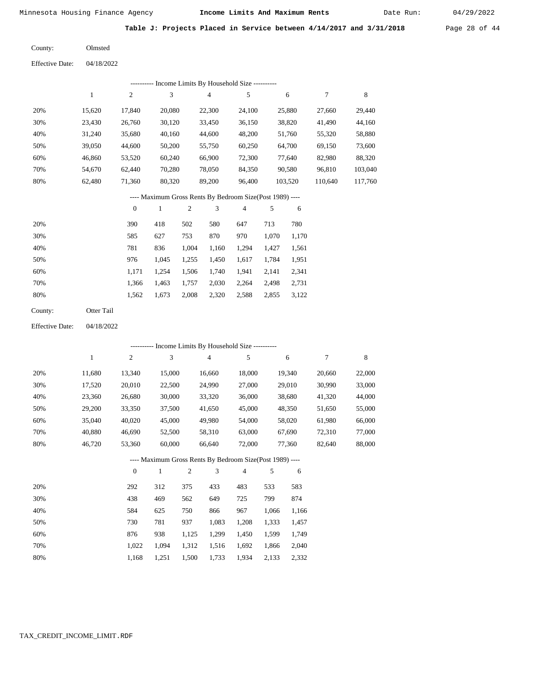Date Run:

**Table J: Projects Placed in Service between 4/14/2017 and 3/31/2018** Page 28 of 44

| County: | Olmsted |
|---------|---------|
|         |         |

|     |        |        | ---------- Income Limits By Household Size ---------- |        |        |         |         |         |
|-----|--------|--------|-------------------------------------------------------|--------|--------|---------|---------|---------|
|     |        | 2      | 3                                                     | 4      | 5      | 6       |         | 8       |
| 20% | 15.620 | 17,840 | 20,080                                                | 22,300 | 24.100 | 25,880  | 27.660  | 29,440  |
| 30% | 23.430 | 26,760 | 30,120                                                | 33,450 | 36,150 | 38,820  | 41,490  | 44,160  |
| 40% | 31.240 | 35,680 | 40,160                                                | 44,600 | 48,200 | 51,760  | 55,320  | 58,880  |
| 50% | 39,050 | 44,600 | 50,200                                                | 55,750 | 60,250 | 64,700  | 69.150  | 73,600  |
| 60% | 46.860 | 53,520 | 60.240                                                | 66,900 | 72,300 | 77.640  | 82.980  | 88,320  |
| 70% | 54,670 | 62,440 | 70,280                                                | 78,050 | 84,350 | 90,580  | 96,810  | 103,040 |
| 80% | 62.480 | 71,360 | 80,320                                                | 89,200 | 96.400 | 103,520 | 110,640 | 117,760 |

# ---- Maximum Gross Rents By Bedroom Size(Post 1989) ----

|     | $\mathbf{0}$ |       | 2     | 3     | 4     | 5     | 6     |
|-----|--------------|-------|-------|-------|-------|-------|-------|
| 20% | 390          | 418   | 502   | 580   | 647   | 713   | 780   |
| 30% | 585          | 627   | 753   | 870   | 970   | 1,070 | 1,170 |
| 40% | 781          | 836   | 1,004 | 1,160 | 1,294 | 1,427 | 1,561 |
| 50% | 976          | 1,045 | 1,255 | 1,450 | 1,617 | 1,784 | 1,951 |
| 60% | 1,171        | 1.254 | 1,506 | 1,740 | 1,941 | 2,141 | 2,341 |
| 70% | 1,366        | 1,463 | 1,757 | 2,030 | 2,264 | 2,498 | 2,731 |
| 80% | 1,562        | 1,673 | 2,008 | 2,320 | 2,588 | 2,855 | 3,122 |
|     |              |       |       |       |       |       |       |

| County: | Otter Tail |
|---------|------------|
|         |            |

04/18/2022 Effective Date:

|     |        |                |        |       |                | ---------- Income Limits By Household Size ----------    |       |        |        |        |
|-----|--------|----------------|--------|-------|----------------|----------------------------------------------------------|-------|--------|--------|--------|
|     | 1      | 2              | 3      |       | $\overline{4}$ | 5                                                        |       | 6      | $\tau$ | 8      |
| 20% | 11,680 | 13,340         | 15,000 |       | 16,660         | 18,000                                                   |       | 19,340 | 20,660 | 22,000 |
| 30% | 17,520 | 20,010         | 22,500 |       | 24,990         | 27,000                                                   |       | 29,010 | 30,990 | 33,000 |
| 40% | 23,360 | 26,680         | 30,000 |       | 33,320         | 36,000                                                   |       | 38,680 | 41,320 | 44,000 |
| 50% | 29,200 | 33,350         | 37,500 |       | 41,650         | 45,000                                                   |       | 48,350 | 51,650 | 55,000 |
| 60% | 35,040 | 40,020         | 45,000 |       | 49,980         | 54,000                                                   |       | 58,020 | 61,980 | 66,000 |
| 70% | 40,880 | 46,690         | 52,500 |       | 58,310         | 63,000                                                   |       | 67,690 | 72,310 | 77,000 |
| 80% | 46,720 | 53,360         | 60,000 |       | 66,640         | 72,000                                                   |       | 77,360 | 82,640 | 88,000 |
|     |        |                |        |       |                | ---- Maximum Gross Rents By Bedroom Size(Post 1989) ---- |       |        |        |        |
|     |        | $\overline{0}$ | 1      | 2     | 3              | 4                                                        | 5     | 6      |        |        |
| 20% |        | 292            | 312    | 375   | 433            | 483                                                      | 533   | 583    |        |        |
| 30% |        | 438            | 469    | 562   | 649            | 725                                                      | 799   | 874    |        |        |
| 40% |        | 584            | 625    | 750   | 866            | 967                                                      | 1,066 | 1,166  |        |        |
| 50% |        | 730            | 781    | 937   | 1,083          | 1,208                                                    | 1,333 | 1,457  |        |        |
| 60% |        | 876            | 938    | 1,125 | 1,299          | 1,450                                                    | 1,599 | 1,749  |        |        |
| 70% |        | 1,022          | 1,094  | 1,312 | 1,516          | 1,692                                                    | 1,866 | 2,040  |        |        |
| 80% |        | 1,168          | 1,251  | 1,500 | 1,733          | 1,934                                                    | 2,133 | 2,332  |        |        |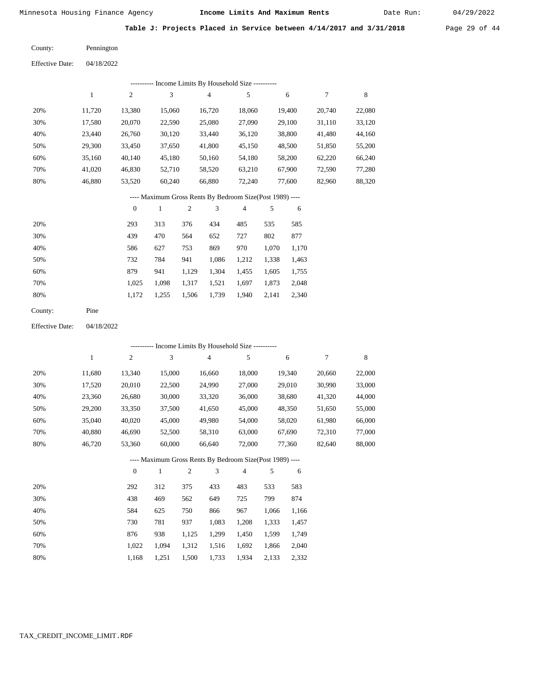Date Run:

Table J: Projects Placed in Service between 4/14/2017 and 3/31/2018 Page 29 of 44

| County: | Pennington |
|---------|------------|
|         |            |

| <b>Effective Date:</b> | 04/18/2022 |
|------------------------|------------|
|                        |            |

| ---------- Income Limits By Household Size ---------- |        |        |        |        |        |        |        |        |  |  |  |
|-------------------------------------------------------|--------|--------|--------|--------|--------|--------|--------|--------|--|--|--|
|                                                       |        | 2      | 3      | 4      | 5      | 6      |        | 8      |  |  |  |
| 20%                                                   | 11.720 | 13,380 | 15,060 | 16,720 | 18.060 | 19.400 | 20.740 | 22,080 |  |  |  |
| 30%                                                   | 17,580 | 20,070 | 22,590 | 25,080 | 27,090 | 29,100 | 31,110 | 33,120 |  |  |  |
| 40%                                                   | 23.440 | 26,760 | 30,120 | 33,440 | 36,120 | 38,800 | 41,480 | 44,160 |  |  |  |
| 50%                                                   | 29,300 | 33,450 | 37,650 | 41,800 | 45,150 | 48,500 | 51,850 | 55,200 |  |  |  |
| 60%                                                   | 35,160 | 40,140 | 45,180 | 50,160 | 54,180 | 58,200 | 62,220 | 66,240 |  |  |  |
| 70%                                                   | 41,020 | 46,830 | 52,710 | 58,520 | 63,210 | 67,900 | 72,590 | 77,280 |  |  |  |
| 80%                                                   | 46,880 | 53,520 | 60,240 | 66,880 | 72,240 | 77,600 | 82,960 | 88,320 |  |  |  |
|                                                       |        |        |        |        |        |        |        |        |  |  |  |

# ---- Maximum Gross Rents By Bedroom Size(Post 1989) ----

|     | $\mathbf{0}$ |       | $\overline{2}$ | 3     | 4     | 5     | 6     |
|-----|--------------|-------|----------------|-------|-------|-------|-------|
| 20% | 293          | 313   | 376            | 434   | 485   | 535   | 585   |
| 30% | 439          | 470   | 564            | 652   | 727   | 802   | 877   |
| 40% | 586          | 627   | 753            | 869   | 970   | 1,070 | 1,170 |
| 50% | 732          | 784   | 941            | 1,086 | 1,212 | 1,338 | 1,463 |
| 60% | 879          | 941   | 1,129          | 1,304 | 1,455 | 1,605 | 1,755 |
| 70% | 1,025        | 1,098 | 1,317          | 1,521 | 1,697 | 1,873 | 2,048 |
| 80% | 1,172        | 1,255 | 1,506          | 1,739 | 1,940 | 2,141 | 2,340 |
|     |              |       |                |       |       |       |       |

04/18/2022 Effective Date:

|     |              |                |        |                |                | ---------- Income Limits By Household Size ----------    |       |        |        |        |
|-----|--------------|----------------|--------|----------------|----------------|----------------------------------------------------------|-------|--------|--------|--------|
|     | $\mathbf{1}$ | $\overline{c}$ | 3      |                | $\overline{4}$ | 5                                                        |       | 6      | 7      | 8      |
| 20% | 11,680       | 13,340         | 15,000 |                | 16,660         | 18,000                                                   |       | 19,340 | 20,660 | 22,000 |
| 30% | 17,520       | 20,010         | 22,500 |                | 24,990         | 27,000                                                   |       | 29,010 | 30,990 | 33,000 |
| 40% | 23,360       | 26,680         | 30,000 |                | 33,320         | 36,000                                                   |       | 38,680 | 41,320 | 44,000 |
| 50% | 29,200       | 33,350         | 37,500 |                | 41,650         | 45,000                                                   |       | 48,350 | 51,650 | 55,000 |
| 60% | 35,040       | 40,020         | 45,000 |                | 49,980         | 54,000                                                   |       | 58,020 | 61,980 | 66,000 |
| 70% | 40,880       | 46,690         | 52,500 |                | 58,310         | 63,000                                                   |       | 67,690 | 72,310 | 77,000 |
| 80% | 46,720       | 53,360         | 60,000 |                | 66,640         | 72,000                                                   |       | 77,360 | 82,640 | 88,000 |
|     |              |                |        |                |                | ---- Maximum Gross Rents By Bedroom Size(Post 1989) ---- |       |        |        |        |
|     |              | $\overline{0}$ | 1      | $\mathfrak{2}$ | 3              | 4                                                        | 5     | 6      |        |        |
| 20% |              | 292            | 312    | 375            | 433            | 483                                                      | 533   | 583    |        |        |
| 30% |              | 438            | 469    | 562            | 649            | 725                                                      | 799   | 874    |        |        |
| 40% |              | 584            | 625    | 750            | 866            | 967                                                      | 1,066 | 1,166  |        |        |
| 50% |              | 730            | 781    | 937            | 1,083          | 1,208                                                    | 1,333 | 1,457  |        |        |
| 60% |              | 876            | 938    | 1,125          | 1,299          | 1,450                                                    | 1,599 | 1,749  |        |        |
| 70% |              | 1,022          | 1,094  | 1,312          | 1,516          | 1,692                                                    | 1,866 | 2,040  |        |        |

1,168 1,251 1,500 1,733 1,934 2,133 2,332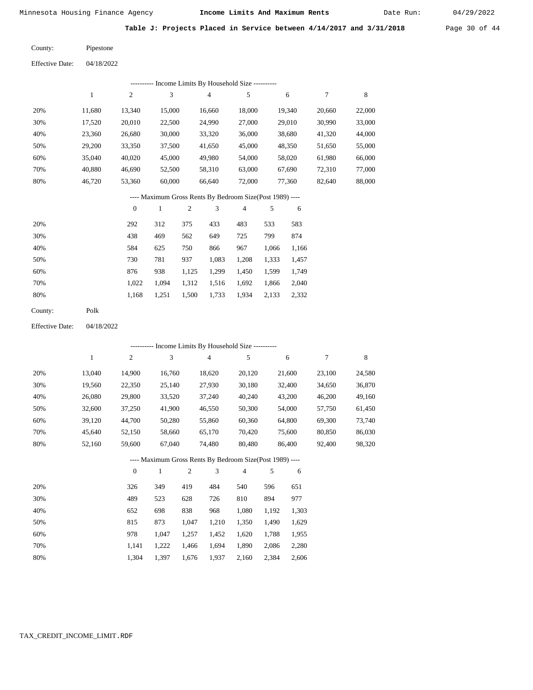Date Run:

**Table J: Projects Placed in Service between 4/14/2017 and 3/31/2018** Page 30 of 44

| Pipestone | County: |
|-----------|---------|
|           |         |

Effective Date: 04/18/2022

|                        |              |                  |              |                | --------- Income Limits By Household Size ----------     |                |       |        |        |        |
|------------------------|--------------|------------------|--------------|----------------|----------------------------------------------------------|----------------|-------|--------|--------|--------|
|                        | $\mathbf{1}$ | $\boldsymbol{2}$ | 3            |                | 4                                                        | 5              |       | 6      | 7      | 8      |
| 20%                    | 11,680       | 13,340           | 15,000       |                | 16,660                                                   | 18,000         |       | 19,340 | 20,660 | 22,000 |
| 30%                    | 17,520       | 20,010           | 22,500       |                | 24,990                                                   | 27,000         |       | 29,010 | 30,990 | 33,000 |
| 40%                    | 23,360       | 26,680           | 30,000       |                | 33,320                                                   | 36,000         |       | 38,680 | 41,320 | 44,000 |
| 50%                    | 29,200       | 33,350           | 37,500       |                | 41,650                                                   | 45,000         |       | 48,350 | 51,650 | 55,000 |
| 60%                    | 35,040       | 40,020           | 45,000       |                | 49,980                                                   | 54,000         |       | 58,020 | 61,980 | 66,000 |
| 70%                    | 40,880       | 46,690           | 52,500       |                | 58,310                                                   | 63,000         |       | 67,690 | 72,310 | 77,000 |
| 80%                    | 46,720       | 53,360           | 60,000       |                | 66,640                                                   | 72,000         |       | 77,360 | 82,640 | 88,000 |
|                        |              |                  |              |                | ---- Maximum Gross Rents By Bedroom Size(Post 1989) ---- |                |       |        |        |        |
|                        |              | $\boldsymbol{0}$ | $\,1$        | $\sqrt{2}$     | 3                                                        | 4              | 5     | 6      |        |        |
| 20%                    |              | 292              | 312          | 375            | 433                                                      | 483            | 533   | 583    |        |        |
| 30%                    |              | 438              | 469          | 562            | 649                                                      | 725            | 799   | 874    |        |        |
| 40%                    |              | 584              | 625          | 750            | 866                                                      | 967            | 1,066 | 1,166  |        |        |
| 50%                    |              | 730              | 781          | 937            | 1,083                                                    | 1,208          | 1,333 | 1,457  |        |        |
| 60%                    |              | 876              | 938          | 1,125          | 1,299                                                    | 1,450          | 1,599 | 1,749  |        |        |
| 70%                    |              | 1,022            | 1,094        | 1,312          | 1,516                                                    | 1,692          | 1,866 | 2,040  |        |        |
| 80%                    |              | 1,168            | 1,251        | 1,500          | 1,733                                                    | 1,934          | 2,133 | 2,332  |        |        |
| County:                | Polk         |                  |              |                |                                                          |                |       |        |        |        |
| <b>Effective Date:</b> | 04/18/2022   |                  |              |                |                                                          |                |       |        |        |        |
|                        |              |                  |              |                | --------- Income Limits By Household Size ---------      |                |       |        |        |        |
|                        | $1\,$        | $\mathfrak{2}$   | 3            |                | $\overline{4}$                                           | 5              |       | 6      | 7      | 8      |
| 20%                    | 13,040       | 14,900           | 16,760       |                | 18,620                                                   | 20,120         |       | 21,600 | 23,100 | 24,580 |
| 30%                    | 19,560       | 22,350           | 25,140       |                | 27,930                                                   | 30,180         |       | 32,400 | 34,650 | 36,870 |
| 40%                    | 26,080       | 29,800           | 33,520       |                | 37,240                                                   | 40,240         |       | 43,200 | 46,200 | 49,160 |
| 50%                    | 32,600       | 37,250           | 41,900       |                | 46,550                                                   | 50,300         |       | 54,000 | 57,750 | 61,450 |
| 60%                    | 39,120       | 44,700           | 50,280       |                | 55,860                                                   | 60,360         |       | 64,800 | 69,300 | 73,740 |
| 70%                    | 45,640       | 52,150           | 58,660       |                | 65,170                                                   | 70,420         |       | 75,600 | 80,850 | 86,030 |
| 80%                    | 52,160       | 59,600           | 67,040       |                | 74,480                                                   | 80,480         |       | 86,400 | 92,400 | 98,320 |
|                        |              |                  |              |                | ---- Maximum Gross Rents By Bedroom Size(Post 1989) ---- |                |       |        |        |        |
|                        |              | $\boldsymbol{0}$ | $\mathbf{1}$ | $\overline{2}$ | 3                                                        | $\overline{4}$ | 5     | 6      |        |        |
| 20%                    |              | 326              | 349          | 419            | 484                                                      | 540            | 596   | 651    |        |        |

 523 698 873 1,047 1,222 1,397  628 838 1,047 1,257 1,466 1,676  726 968 1,210 1,452 1,694 1,937

 810 1,080 1,350 1,620 1,890 2,160

 894 1,192 1,490 1,788 2,086 2,384

 977 1,303 1,629 1,955 2,280 2,606

 30% 40% 50% 60% 70% 80%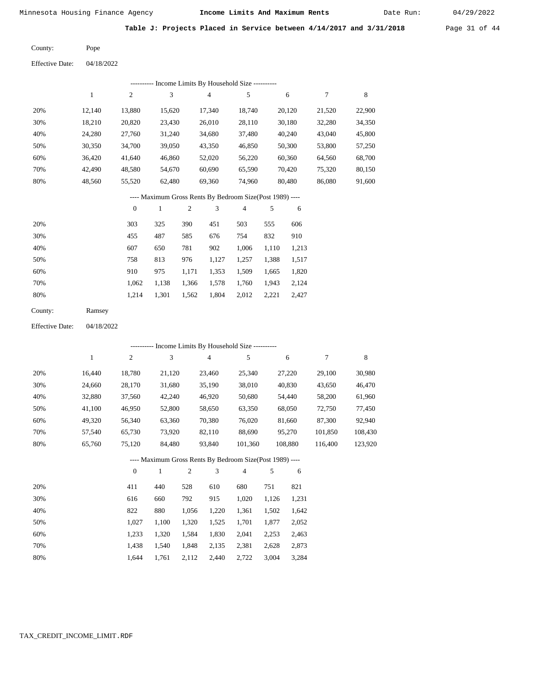Date Run:

**Table J: Projects Placed in Service between 4/14/2017 and 3/31/2018** Page 31 of 44

Pope County:

Effective Date: 04/18/2022

| ---------- Income Limits By Household Size ---------- |              |                |              |                                                          |                |     |        |        |        |
|-------------------------------------------------------|--------------|----------------|--------------|----------------------------------------------------------|----------------|-----|--------|--------|--------|
|                                                       | $\mathbf{1}$ | $\overline{c}$ | 3            | 4                                                        | 5              |     | 6      | 7      | 8      |
| 20%                                                   | 12,140       | 13,880         | 15,620       | 17,340                                                   | 18,740         |     | 20,120 | 21,520 | 22,900 |
| 30%                                                   | 18,210       | 20,820         | 23,430       | 26,010                                                   | 28,110         |     | 30,180 | 32,280 | 34,350 |
| 40%                                                   | 24,280       | 27,760         | 31,240       | 34,680                                                   | 37,480         |     | 40,240 | 43,040 | 45,800 |
| 50%                                                   | 30,350       | 34,700         | 39,050       | 43,350                                                   | 46,850         |     | 50,300 | 53,800 | 57,250 |
| 60%                                                   | 36.420       | 41,640         | 46,860       | 52,020                                                   | 56,220         |     | 60,360 | 64,560 | 68,700 |
| 70%                                                   | 42,490       | 48,580         | 54,670       | 60,690                                                   | 65,590         |     | 70,420 | 75,320 | 80,150 |
| 80%                                                   | 48,560       | 55,520         | 62,480       | 69,360                                                   | 74,960         |     | 80,480 | 86,080 | 91,600 |
|                                                       |              |                |              | ---- Maximum Gross Rents By Bedroom Size(Post 1989) ---- |                |     |        |        |        |
|                                                       |              | $\mathbf{0}$   | $\mathbf{1}$ | 3<br>2                                                   | $\overline{4}$ | 5   | 6      |        |        |
| 200 <sub>4</sub>                                      |              | 202            | 225          | 200<br>$\sqrt{51}$                                       | 502            | 555 | 606    |        |        |

| 20% | 303   | 325   | 390   | 451   | 503   | 555   | 606   |
|-----|-------|-------|-------|-------|-------|-------|-------|
| 30% | 455   | 487   | 585   | 676   | 754   | 832   | 910   |
| 40% | 607   | 650   | 781   | 902   | 1.006 | 1.110 | 1,213 |
| 50% | 758   | 813   | 976   | 1.127 | 1,257 | 1,388 | 1,517 |
| 60% | 910   | 975   | 1.171 | 1,353 | 1,509 | 1.665 | 1,820 |
| 70% | 1.062 | 1.138 | 1,366 | 1,578 | 1,760 | 1,943 | 2,124 |
| 80% | 1.214 | 1.301 | 1,562 | 1,804 | 2,012 | 2,221 | 2,427 |
|     |       |       |       |       |       |       |       |

| County: | Ramsey |
|---------|--------|
|---------|--------|

Effective Date: 04/18/2022

|     | ---------- Income Limits By Household Size ---------- |          |        |                                                          |                |         |         |         |  |  |  |  |
|-----|-------------------------------------------------------|----------|--------|----------------------------------------------------------|----------------|---------|---------|---------|--|--|--|--|
|     | 1                                                     | 2        | 3      | 4                                                        | 5              | 6       | 7       | 8       |  |  |  |  |
| 20% | 16.440                                                | 18,780   | 21,120 | 23,460                                                   | 25,340         | 27,220  | 29,100  | 30,980  |  |  |  |  |
| 30% | 24,660                                                | 28,170   | 31,680 | 35,190                                                   | 38,010         | 40,830  | 43,650  | 46,470  |  |  |  |  |
| 40% | 32,880                                                | 37,560   | 42,240 | 46,920                                                   | 50,680         | 54,440  | 58,200  | 61,960  |  |  |  |  |
| 50% | 41,100                                                | 46,950   | 52,800 | 58,650                                                   | 63,350         | 68,050  | 72,750  | 77,450  |  |  |  |  |
| 60% | 49,320                                                | 56,340   | 63,360 | 70,380                                                   | 76,020         | 81,660  | 87,300  | 92,940  |  |  |  |  |
| 70% | 57.540                                                | 65,730   | 73.920 | 82,110                                                   | 88.690         | 95,270  | 101,850 | 108,430 |  |  |  |  |
| 80% | 65,760                                                | 75,120   | 84,480 | 93,840                                                   | 101,360        | 108.880 | 116.400 | 123,920 |  |  |  |  |
|     |                                                       |          |        | ---- Maximum Gross Rents By Bedroom Size(Post 1989) ---- |                |         |         |         |  |  |  |  |
|     |                                                       | $\theta$ | 1      | 3<br>2                                                   | $\overline{4}$ | 5<br>6  |         |         |  |  |  |  |
|     |                                                       |          |        |                                                          |                |         |         |         |  |  |  |  |

| 20% | 411   | 440   | 528   | 610   | 680   | 751   | 821   |
|-----|-------|-------|-------|-------|-------|-------|-------|
| 30% | 616   | 660   | 792   | 915   | 1.020 | 1.126 | 1,231 |
| 40% | 822   | 880   | 1.056 | 1,220 | 1,361 | 1.502 | 1,642 |
| 50% | 1.027 | 1.100 | 1.320 | 1,525 | 1,701 | 1.877 | 2,052 |
| 60% | 1.233 | 1.320 | 1.584 | 1,830 | 2,041 | 2,253 | 2,463 |
| 70% | 1.438 | 1.540 | 1.848 | 2,135 | 2,381 | 2.628 | 2,873 |
| 80% | 1.644 | 1.761 | 2,112 | 2.440 | 2.722 | 3.004 | 3.284 |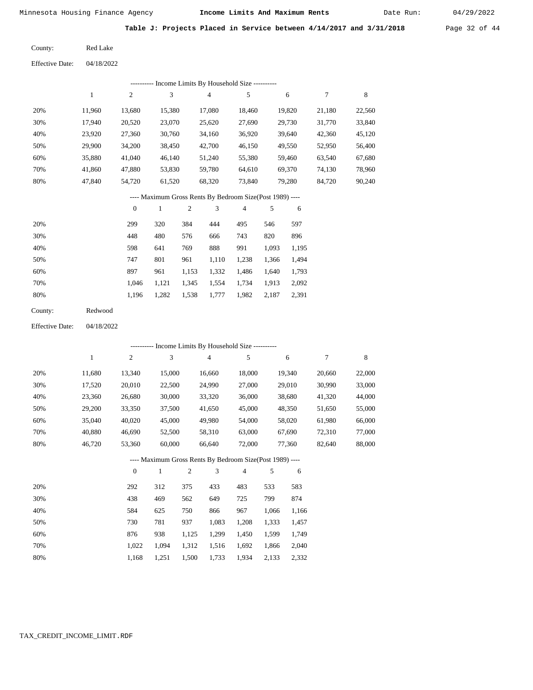Date Run:

**Table J: Projects Placed in Service between 4/14/2017 and 3/31/2018** Page 32 of 44

Red Lake County:

04/18/2022 Effective Date:

| Income Limits By Household Size --<br>----------- |        |                |        |        |        |        |        |        |  |  |  |
|---------------------------------------------------|--------|----------------|--------|--------|--------|--------|--------|--------|--|--|--|
|                                                   |        | $\overline{c}$ | 3      | 4      | 5      | 6      | 7      | 8      |  |  |  |
| 20%                                               | 11.960 | 13,680         | 15,380 | 17,080 | 18.460 | 19,820 | 21,180 | 22,560 |  |  |  |
| 30%                                               | 17.940 | 20,520         | 23,070 | 25,620 | 27,690 | 29,730 | 31,770 | 33,840 |  |  |  |
| 40%                                               | 23,920 | 27,360         | 30,760 | 34,160 | 36,920 | 39,640 | 42,360 | 45,120 |  |  |  |
| 50%                                               | 29,900 | 34,200         | 38,450 | 42,700 | 46,150 | 49,550 | 52,950 | 56,400 |  |  |  |
| 60%                                               | 35,880 | 41,040         | 46,140 | 51,240 | 55,380 | 59,460 | 63,540 | 67,680 |  |  |  |
| 70%                                               | 41,860 | 47,880         | 53,830 | 59,780 | 64,610 | 69,370 | 74,130 | 78,960 |  |  |  |
| 80%                                               | 47,840 | 54,720         | 61,520 | 68,320 | 73,840 | 79,280 | 84,720 | 90,240 |  |  |  |

#### ---- Maximum Gross Rents By Bedroom Size(Post 1989) ----

|     | $\mathbf{0}$ |       | $\overline{c}$ | 3     | $\overline{4}$ | 5     | 6     |
|-----|--------------|-------|----------------|-------|----------------|-------|-------|
| 20% | 299          | 320   | 384            | 444   | 495            | 546   | 597   |
| 30% | 448          | 480   | 576            | 666   | 743            | 820   | 896   |
| 40% | 598          | 641   | 769            | 888   | 991            | 1,093 | 1,195 |
| 50% | 747          | 801   | 961            | 1,110 | 1,238          | 1,366 | 1,494 |
| 60% | 897          | 961   | 1,153          | 1,332 | 1,486          | 1,640 | 1,793 |
| 70% | 1.046        | 1,121 | 1,345          | 1,554 | 1,734          | 1,913 | 2,092 |
| 80% | 1,196        | 1,282 | 1,538          | 1,777 | 1,982          | 2,187 | 2,391 |
|     |              |       |                |       |                |       |       |

| County: | Redwood |
|---------|---------|
|---------|---------|

04/18/2022 Effective Date:

|     | - Income Limits By Household Size ---------- |          |              |                |                                                          |                |       |        |        |        |  |
|-----|----------------------------------------------|----------|--------------|----------------|----------------------------------------------------------|----------------|-------|--------|--------|--------|--|
|     | 1                                            | 2        | 3            |                | 4                                                        | 5              |       | 6      | 7      | 8      |  |
| 20% | 11,680                                       | 13,340   | 15,000       |                | 16,660                                                   | 18,000         |       | 19,340 | 20,660 | 22,000 |  |
| 30% | 17,520                                       | 20,010   | 22,500       |                | 24,990                                                   | 27,000         |       | 29,010 | 30,990 | 33,000 |  |
| 40% | 23,360                                       | 26,680   | 30,000       |                | 33,320                                                   | 36,000         |       | 38,680 | 41,320 | 44,000 |  |
| 50% | 29,200                                       | 33,350   | 37,500       |                | 41,650                                                   | 45,000         |       | 48,350 | 51,650 | 55,000 |  |
| 60% | 35,040                                       | 40,020   | 45,000       |                | 49,980                                                   | 54,000         |       | 58,020 | 61,980 | 66,000 |  |
| 70% | 40,880                                       | 46,690   | 52,500       |                | 58,310                                                   | 63,000         |       | 67,690 | 72,310 | 77,000 |  |
| 80% | 46,720                                       | 53,360   | 60,000       |                | 66,640                                                   | 72,000         |       | 77,360 | 82,640 | 88,000 |  |
|     |                                              |          |              |                | ---- Maximum Gross Rents By Bedroom Size(Post 1989) ---- |                |       |        |        |        |  |
|     |                                              | $\theta$ | $\mathbf{1}$ | $\mathfrak{2}$ | 3                                                        | $\overline{4}$ | 5     | 6      |        |        |  |
| 20% |                                              | 292      | 312          | 375            | 433                                                      | 483            | 533   | 583    |        |        |  |
| 30% |                                              | 438      | 469          | 562            | 649                                                      | 725            | 799   | 874    |        |        |  |
| 40% |                                              | 584      | 625          | 750            | 866                                                      | 967            | 1,066 | 1,166  |        |        |  |
| 50% |                                              | 730      | 781          | 937            | 1,083                                                    | 1,208          | 1,333 | 1,457  |        |        |  |
| 60% |                                              | 876      | 938          | 1,125          | 1,299                                                    | 1,450          | 1,599 | 1,749  |        |        |  |
| 70% |                                              | 1,022    | 1,094        | 1,312          | 1,516                                                    | 1,692          | 1,866 | 2,040  |        |        |  |

1,500 1,733

1,934 2,133 2,332

1,168

1,251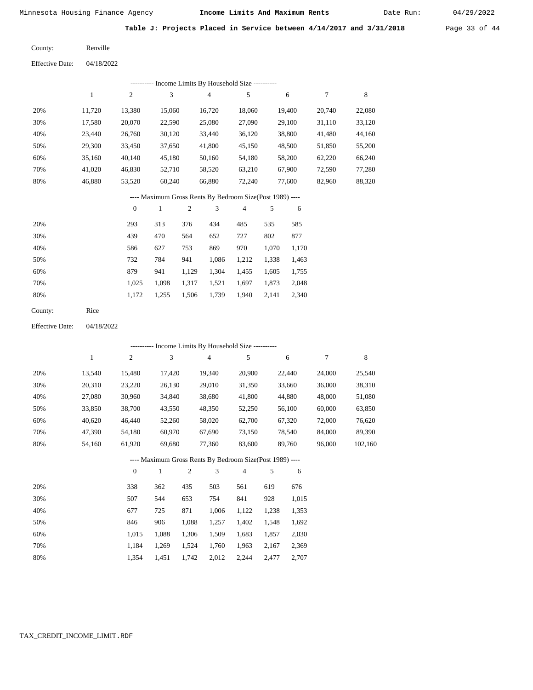Date Run:

**Table J: Projects Placed in Service between 4/14/2017 and 3/31/2018** Page 33 of 44

Renville County:

04/18/2022 Effective Date:

| Income Limits By Household Size ---------- |        |                |        |        |        |        |        |        |  |  |  |
|--------------------------------------------|--------|----------------|--------|--------|--------|--------|--------|--------|--|--|--|
|                                            |        | $\overline{c}$ | 3      | 4      | 5      | 6      |        | 8      |  |  |  |
| 20%                                        | 11.720 | 13.380         | 15.060 | 16.720 | 18,060 | 19.400 | 20,740 | 22,080 |  |  |  |
| 30%                                        | 17,580 | 20,070         | 22,590 | 25,080 | 27,090 | 29,100 | 31,110 | 33,120 |  |  |  |
| 40%                                        | 23.440 | 26,760         | 30,120 | 33.440 | 36,120 | 38,800 | 41,480 | 44,160 |  |  |  |
| 50%                                        | 29,300 | 33,450         | 37,650 | 41,800 | 45,150 | 48,500 | 51,850 | 55,200 |  |  |  |
| 60%                                        | 35,160 | 40,140         | 45,180 | 50,160 | 54,180 | 58,200 | 62,220 | 66,240 |  |  |  |
| 70%                                        | 41.020 | 46,830         | 52.710 | 58,520 | 63,210 | 67,900 | 72.590 | 77,280 |  |  |  |
| 80%                                        | 46,880 | 53,520         | 60,240 | 66,880 | 72,240 | 77,600 | 82,960 | 88,320 |  |  |  |
|                                            |        |                |        |        |        |        |        |        |  |  |  |

# ---- Maximum Gross Rents By Bedroom Size(Post 1989) ----

|     | $\mathbf{0}$ |       | $\overline{2}$ | 3     | $\overline{4}$ | 5     | 6     |
|-----|--------------|-------|----------------|-------|----------------|-------|-------|
| 20% | 293          | 313   | 376            | 434   | 485            | 535   | 585   |
| 30% | 439          | 470   | 564            | 652   | 727            | 802   | 877   |
| 40% | 586          | 627   | 753            | 869   | 970            | 1,070 | 1,170 |
| 50% | 732          | 784   | 941            | 1,086 | 1,212          | 1,338 | 1,463 |
| 60% | 879          | 941   | 1,129          | 1,304 | 1,455          | 1,605 | 1,755 |
| 70% | 1,025        | 1,098 | 1,317          | 1,521 | 1,697          | 1,873 | 2,048 |
| 80% | 1,172        | 1,255 | 1,506          | 1,739 | 1,940          | 2,141 | 2,340 |
|     |              |       |                |       |                |       |       |

| Rice |
|------|
|      |

04/18/2022 Effective Date:

|     |              |              | --------- Income Limits By Household Size ----------     |                |                |        |       |        |        |         |
|-----|--------------|--------------|----------------------------------------------------------|----------------|----------------|--------|-------|--------|--------|---------|
|     | $\mathbf{1}$ | $\mathbf{2}$ | 3                                                        |                | $\overline{4}$ | 5      |       | 6      | $\tau$ | 8       |
| 20% | 13,540       | 15,480       | 17,420                                                   |                | 19,340         | 20,900 |       | 22,440 | 24,000 | 25,540  |
| 30% | 20,310       | 23,220       | 26,130                                                   |                | 29,010         | 31,350 |       | 33,660 | 36,000 | 38,310  |
| 40% | 27,080       | 30,960       | 34,840                                                   |                | 38,680         | 41,800 |       | 44,880 | 48,000 | 51,080  |
| 50% | 33,850       | 38,700       | 43,550                                                   |                | 48,350         | 52,250 |       | 56,100 | 60,000 | 63,850  |
| 60% | 40,620       | 46,440       | 52,260                                                   |                | 58,020         | 62,700 |       | 67,320 | 72,000 | 76,620  |
| 70% | 47,390       | 54,180       | 60,970                                                   |                | 67,690         | 73,150 |       | 78,540 | 84,000 | 89,390  |
| 80% | 54,160       | 61,920       | 69,680                                                   |                | 77,360         | 83,600 |       | 89,760 | 96,000 | 102,160 |
|     |              |              | ---- Maximum Gross Rents By Bedroom Size(Post 1989) ---- |                |                |        |       |        |        |         |
|     |              | $\theta$     | 1                                                        | $\overline{2}$ | 3              | 4      | 5     | 6      |        |         |
| 20% |              | 338          | 362                                                      | 435            | 503            | 561    | 619   | 676    |        |         |
| 30% |              | 507          | 544                                                      | 653            | 754            | 841    | 928   | 1,015  |        |         |
| 40% |              | 677          | 725                                                      | 871            | 1,006          | 1,122  | 1,238 | 1,353  |        |         |
| 50% |              | 846          | 906                                                      | 1,088          | 1,257          | 1,402  | 1,548 | 1,692  |        |         |

| 70%  | 1,184 1,269 1,524 1,760 1,963 2,167 2,369 |  |  |  |
|------|-------------------------------------------|--|--|--|
| -80% | 1,354 1,451 1,742 2,012 2,244 2,477 2,707 |  |  |  |

1,306

1,509

1,683

1,857

2,030

1,088

1,015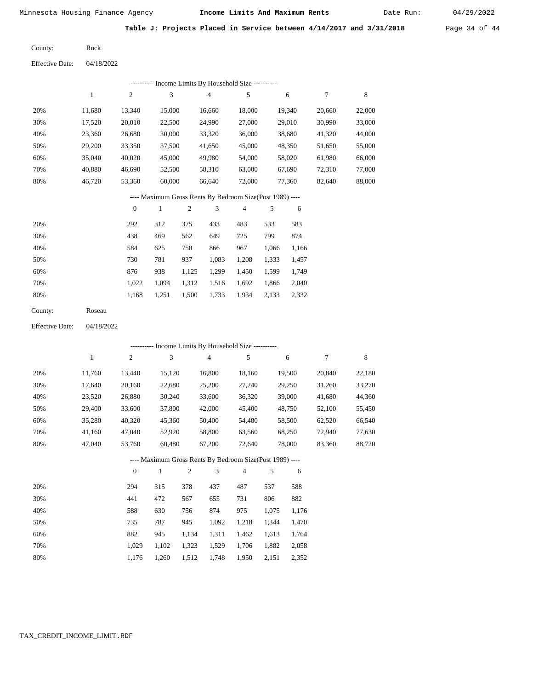Date Run:

**Table J: Projects Placed in Service between 4/14/2017 and 3/31/2018** Page 34 of 44

Rock County:

Effective Date: 04/18/2022

|     | ---------- Income Limits By Household Size ---------- |                |        |        |                                                          |        |        |        |  |
|-----|-------------------------------------------------------|----------------|--------|--------|----------------------------------------------------------|--------|--------|--------|--|
|     |                                                       | $\overline{c}$ | 3      | 4      | 5                                                        | 6      | 7      | 8      |  |
| 20% | 11.680                                                | 13,340         | 15,000 | 16.660 | 18,000                                                   | 19,340 | 20,660 | 22,000 |  |
| 30% | 17,520                                                | 20,010         | 22,500 | 24,990 | 27,000                                                   | 29,010 | 30,990 | 33,000 |  |
| 40% | 23,360                                                | 26,680         | 30,000 | 33,320 | 36,000                                                   | 38,680 | 41,320 | 44,000 |  |
| 50% | 29,200                                                | 33,350         | 37,500 | 41,650 | 45,000                                                   | 48,350 | 51,650 | 55,000 |  |
| 60% | 35,040                                                | 40,020         | 45,000 | 49,980 | 54,000                                                   | 58,020 | 61,980 | 66,000 |  |
| 70% | 40.880                                                | 46.690         | 52,500 | 58,310 | 63,000                                                   | 67,690 | 72.310 | 77,000 |  |
| 80% | 46,720                                                | 53,360         | 60,000 | 66.640 | 72,000                                                   | 77.360 | 82,640 | 88,000 |  |
|     |                                                       |                |        |        | ---- Maximum Gross Rents By Bedroom Size(Post 1989) ---- |        |        |        |  |

|     | $\Omega$ |       | $\overline{2}$ | 3     | $\overline{4}$ |       | 6     |
|-----|----------|-------|----------------|-------|----------------|-------|-------|
| 20% | 292      | 312   | 375            | 433   | 483            | 533   | 583   |
| 30% | 438      | 469   | 562            | 649   | 725            | 799   | 874   |
| 40% | 584      | 625   | 750            | 866   | 967            | 1,066 | 1,166 |
| 50% | 730      | 781   | 937            | 1,083 | 1,208          | 1,333 | 1,457 |
| 60% | 876      | 938   | 1,125          | 1,299 | 1,450          | 1,599 | 1,749 |
| 70% | 1,022    | 1.094 | 1,312          | 1,516 | 1,692          | 1,866 | 2,040 |
| 80% | 1,168    | 1,251 | 1,500          | 1,733 | 1,934          | 2,133 | 2,332 |
|     |          |       |                |       |                |       |       |

| County: | Roseau |
|---------|--------|
|---------|--------|

Effective Date: 04/18/2022

|     | ---------- Income Limits By Household Size ---------- |                |              |                |                |                                                          |       |        |        |             |
|-----|-------------------------------------------------------|----------------|--------------|----------------|----------------|----------------------------------------------------------|-------|--------|--------|-------------|
|     | 1                                                     | $\overline{c}$ | 3            |                | $\overline{4}$ | 5                                                        |       | 6      | 7      | $\,$ 8 $\,$ |
| 20% | 11,760                                                | 13,440         | 15,120       |                | 16,800         | 18,160                                                   |       | 19,500 | 20,840 | 22,180      |
| 30% | 17,640                                                | 20,160         | 22,680       |                | 25,200         | 27,240                                                   |       | 29,250 | 31,260 | 33,270      |
| 40% | 23,520                                                | 26,880         | 30,240       |                | 33,600         | 36,320                                                   |       | 39,000 | 41,680 | 44,360      |
| 50% | 29,400                                                | 33,600         | 37,800       |                | 42,000         | 45,400                                                   |       | 48,750 | 52,100 | 55,450      |
| 60% | 35,280                                                | 40,320         | 45,360       |                | 50,400         | 54,480                                                   |       | 58,500 | 62,520 | 66,540      |
| 70% | 41,160                                                | 47,040         | 52,920       |                | 58,800         | 63,560                                                   |       | 68,250 | 72,940 | 77,630      |
| 80% | 47,040                                                | 53,760         | 60,480       |                | 67,200         | 72,640                                                   |       | 78,000 | 83,360 | 88,720      |
|     |                                                       |                |              |                |                | ---- Maximum Gross Rents By Bedroom Size(Post 1989) ---- |       |        |        |             |
|     |                                                       | $\overline{0}$ | $\mathbf{1}$ | $\overline{2}$ | 3              | $\overline{4}$                                           | 5     | 6      |        |             |
| 20% |                                                       | 294            | 315          | 378            | 437            | 487                                                      | 537   | 588    |        |             |
| 30% |                                                       | 441            | 472          | 567            | 655            | 731                                                      | 806   | 882    |        |             |
| 40% |                                                       | 588            | 630          | 756            | 874            | 975                                                      | 1,075 | 1,176  |        |             |
| 50% |                                                       | 735            | 787          | 945            | 1,092          | 1,218                                                    | 1,344 | 1,470  |        |             |
| 60% |                                                       | 882            | 945          | 1,134          | 1,311          | 1,462                                                    | 1,613 | 1,764  |        |             |
| 70% |                                                       | 1,029          | 1,102        | 1,323          | 1,529          | 1,706                                                    | 1,882 | 2,058  |        |             |

1,176 1,260 1,512 1,748 1,950 2,151 2,352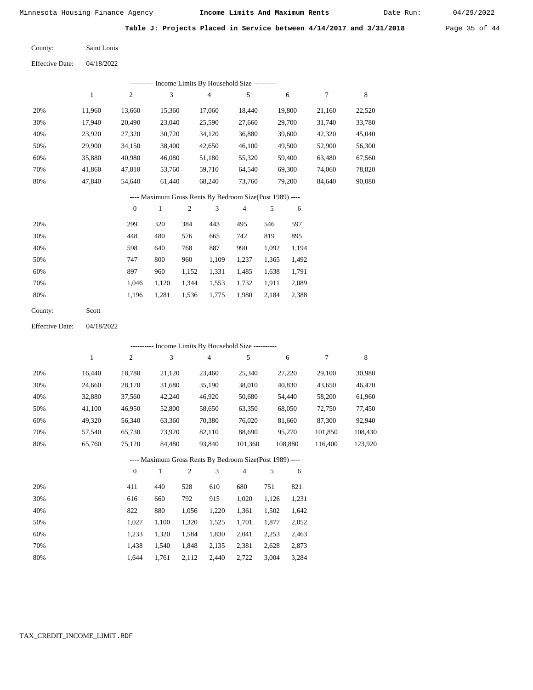Date Run:

**Table J: Projects Placed in Service between 4/14/2017 and 3/31/2018** Page 35 of 44

04/18/2022 Saint Louis County: Effective Date:

|     | - Income Limits By Household Size ---------- |        |        |        |        |        |        |        |  |  |
|-----|----------------------------------------------|--------|--------|--------|--------|--------|--------|--------|--|--|
|     |                                              | 2      | 3      | 4      | 5      | 6      | 7      | 8      |  |  |
| 20% | 11.960                                       | 13,660 | 15.360 | 17.060 | 18.440 | 19,800 | 21,160 | 22,520 |  |  |
| 30% | 17.940                                       | 20.490 | 23,040 | 25,590 | 27.660 | 29,700 | 31,740 | 33,780 |  |  |
| 40% | 23,920                                       | 27,320 | 30.720 | 34,120 | 36,880 | 39,600 | 42,320 | 45,040 |  |  |
| 50% | 29,900                                       | 34,150 | 38,400 | 42,650 | 46,100 | 49,500 | 52,900 | 56,300 |  |  |
| 60% | 35,880                                       | 40.980 | 46,080 | 51,180 | 55,320 | 59.400 | 63,480 | 67,560 |  |  |
| 70% | 41.860                                       | 47,810 | 53,760 | 59,710 | 64.540 | 69.300 | 74,060 | 78,820 |  |  |
| 80% | 47.840                                       | 54,640 | 61,440 | 68,240 | 73,760 | 79,200 | 84,640 | 90,080 |  |  |

# ---- Maximum Gross Rents By Bedroom Size(Post 1989) ----

|     | $\mathbf{0}$ |       | $\overline{c}$ | 3     | 4     | 5     | 6     |
|-----|--------------|-------|----------------|-------|-------|-------|-------|
| 20% | 299          | 320   | 384            | 443   | 495   | 546   | 597   |
| 30% | 448          | 480   | 576            | 665   | 742   | 819   | 895   |
| 40% | 598          | 640   | 768            | 887   | 990   | 1,092 | 1,194 |
| 50% | 747          | 800   | 960            | 1,109 | 1,237 | 1,365 | 1,492 |
| 60% | 897          | 960   | 1,152          | 1,331 | 1,485 | 1,638 | 1,791 |
| 70% | 1.046        | 1,120 | 1,344          | 1,553 | 1,732 | 1,911 | 2,089 |
| 80% | 1,196        | 1,281 | 1,536          | 1,775 | 1,980 | 2,184 | 2,388 |
|     |              |       |                |       |       |       |       |

| County: | Scott |
|---------|-------|
|---------|-------|

04/18/2022 Effective Date:

|     |        |              |        |                |                | ---------- Income Limits By Household Size ----------    |       |         |         |         |
|-----|--------|--------------|--------|----------------|----------------|----------------------------------------------------------|-------|---------|---------|---------|
|     | 1      | 2            | 3      |                | $\overline{4}$ | 5                                                        |       | 6       | 7       | 8       |
| 20% | 16,440 | 18,780       | 21,120 |                | 23,460         | 25,340                                                   |       | 27,220  | 29,100  | 30,980  |
| 30% | 24,660 | 28,170       | 31,680 |                | 35,190         | 38,010                                                   |       | 40,830  | 43,650  | 46,470  |
| 40% | 32,880 | 37,560       | 42,240 |                | 46,920         | 50,680                                                   |       | 54,440  | 58,200  | 61,960  |
| 50% | 41,100 | 46,950       | 52,800 |                | 58,650         | 63,350                                                   |       | 68,050  | 72,750  | 77,450  |
| 60% | 49,320 | 56,340       | 63,360 |                | 70,380         | 76,020                                                   |       | 81,660  | 87,300  | 92,940  |
| 70% | 57,540 | 65,730       | 73,920 |                | 82,110         | 88,690                                                   |       | 95,270  | 101,850 | 108,430 |
| 80% | 65,760 | 75,120       | 84,480 |                | 93,840         | 101,360                                                  |       | 108,880 | 116,400 | 123,920 |
|     |        |              |        |                |                | ---- Maximum Gross Rents By Bedroom Size(Post 1989) ---- |       |         |         |         |
|     |        | $\mathbf{0}$ | 1      | $\overline{c}$ | 3              | $\overline{4}$                                           | 5     | 6       |         |         |
| 20% |        | 411          | 440    | 528            | 610            | 680                                                      | 751   | 821     |         |         |
| 30% |        | 616          | 660    | 792            | 915            | 1,020                                                    | 1,126 | 1,231   |         |         |

| 40% | 822 | 880               | 1,056 1,220 1,361 1,502 1,642             |             |  |
|-----|-----|-------------------|-------------------------------------------|-------------|--|
| 50% |     | 1.027 1.100 1.320 | 1,525 1,701 1,877 2,052                   |             |  |
| 60% |     |                   | 1,233 1,320 1,584 1,830 2,041 2,253 2,463 |             |  |
| 70% |     |                   | 1,438 1,540 1,848 2,135 2,381 2,628 2,873 |             |  |
| 80% |     |                   | $1,644$ $1,761$ $2,112$ $2,440$ $2,722$   | 3,004 3,284 |  |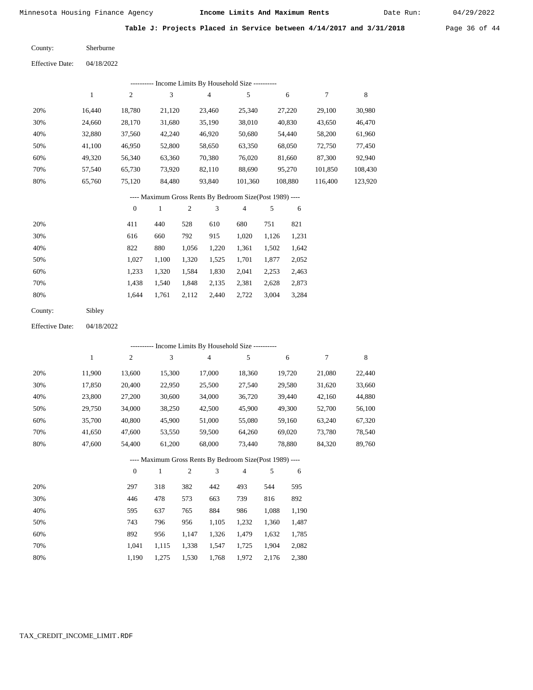Date Run:

**Table J: Projects Placed in Service between 4/14/2017 and 3/31/2018** Page 36 of 44

Sherburne County:

04/18/2022 Effective Date:

| Income Limits By Household Size ---------- |        |        |        |                |         |         |         |         |  |
|--------------------------------------------|--------|--------|--------|----------------|---------|---------|---------|---------|--|
|                                            |        | 2      | 3      | $\overline{4}$ | 5       | 6       |         | 8       |  |
| 20%                                        | 16.440 | 18,780 | 21,120 | 23,460         | 25,340  | 27,220  | 29,100  | 30,980  |  |
| 30%                                        | 24,660 | 28,170 | 31,680 | 35,190         | 38,010  | 40,830  | 43,650  | 46,470  |  |
| 40%                                        | 32,880 | 37,560 | 42,240 | 46,920         | 50,680  | 54,440  | 58,200  | 61,960  |  |
| 50%                                        | 41,100 | 46,950 | 52,800 | 58,650         | 63,350  | 68,050  | 72,750  | 77,450  |  |
| 60%                                        | 49,320 | 56,340 | 63,360 | 70,380         | 76,020  | 81,660  | 87,300  | 92,940  |  |
| 70%                                        | 57,540 | 65,730 | 73,920 | 82,110         | 88,690  | 95,270  | 101,850 | 108,430 |  |
| 80%                                        | 65,760 | 75,120 | 84,480 | 93,840         | 101,360 | 108,880 | 116,400 | 123,920 |  |
|                                            |        |        |        |                |         |         |         |         |  |

# ---- Maximum Gross Rents By Bedroom Size(Post 1989) ----

|     | $\mathbf{0}$ |       | $\overline{2}$ | 3     | 4     | 5     | 6     |
|-----|--------------|-------|----------------|-------|-------|-------|-------|
| 20% | 411          | 440   | 528            | 610   | 680   | 751   | 821   |
| 30% | 616          | 660   | 792            | 915   | 1,020 | 1,126 | 1,231 |
| 40% | 822          | 880   | 1,056          | 1,220 | 1,361 | 1,502 | 1,642 |
| 50% | 1,027        | 1,100 | 1,320          | 1,525 | 1,701 | 1,877 | 2,052 |
| 60% | 1,233        | 1,320 | 1,584          | 1,830 | 2,041 | 2,253 | 2,463 |
| 70% | 1,438        | 1,540 | 1,848          | 2,135 | 2,381 | 2,628 | 2,873 |
| 80% | 1.644        | 1,761 | 2,112          | 2,440 | 2,722 | 3,004 | 3,284 |
|     |              |       |                |       |       |       |       |

| County: | Sibley |
|---------|--------|
|---------|--------|

04/18/2022 Effective Date:

|     |        |          |              |                |                | --------- Income Limits By Household Size ----------     |       |        |        |        |
|-----|--------|----------|--------------|----------------|----------------|----------------------------------------------------------|-------|--------|--------|--------|
|     | 1      | 2        | 3            |                | $\overline{4}$ | 5                                                        |       | 6      | 7      | 8      |
| 20% | 11,900 | 13,600   | 15,300       |                | 17,000         | 18,360                                                   |       | 19,720 | 21,080 | 22,440 |
| 30% | 17,850 | 20,400   | 22,950       |                | 25,500         | 27,540                                                   |       | 29,580 | 31,620 | 33,660 |
| 40% | 23,800 | 27,200   | 30,600       |                | 34,000         | 36,720                                                   |       | 39,440 | 42,160 | 44,880 |
| 50% | 29,750 | 34,000   | 38,250       |                | 42,500         | 45,900                                                   |       | 49,300 | 52,700 | 56,100 |
| 60% | 35,700 | 40,800   | 45,900       |                | 51,000         | 55,080                                                   |       | 59,160 | 63,240 | 67,320 |
| 70% | 41,650 | 47,600   | 53,550       |                | 59,500         | 64,260                                                   |       | 69,020 | 73,780 | 78,540 |
| 80% | 47,600 | 54,400   | 61,200       |                | 68,000         | 73,440                                                   |       | 78,880 | 84,320 | 89,760 |
|     |        |          |              |                |                | ---- Maximum Gross Rents By Bedroom Size(Post 1989) ---- |       |        |        |        |
|     |        | $\theta$ | $\mathbf{1}$ | $\overline{2}$ | 3              | $\overline{4}$                                           | 5     | 6      |        |        |
| 20% |        | 297      | 318          | 382            | 442            | 493                                                      | 544   | 595    |        |        |
| 30% |        | 446      | 478          | 573            | 663            | 739                                                      | 816   | 892    |        |        |
| 40% |        | 595      | 637          | 765            | 884            | 986                                                      | 1,088 | 1,190  |        |        |
| 50% |        | 743      | 796          | 956            | 1,105          | 1,232                                                    | 1,360 | 1,487  |        |        |
| 60% |        | 892      | 956          | 1,147          | 1,326          | 1,479                                                    | 1,632 | 1,785  |        |        |
| 70% |        | 1,041    | 1,115        | 1,338          | 1,547          | 1,725                                                    | 1,904 | 2,082  |        |        |
| 80% |        | 1,190    | 1,275        | 1,530          | 1,768          | 1,972                                                    | 2,176 | 2,380  |        |        |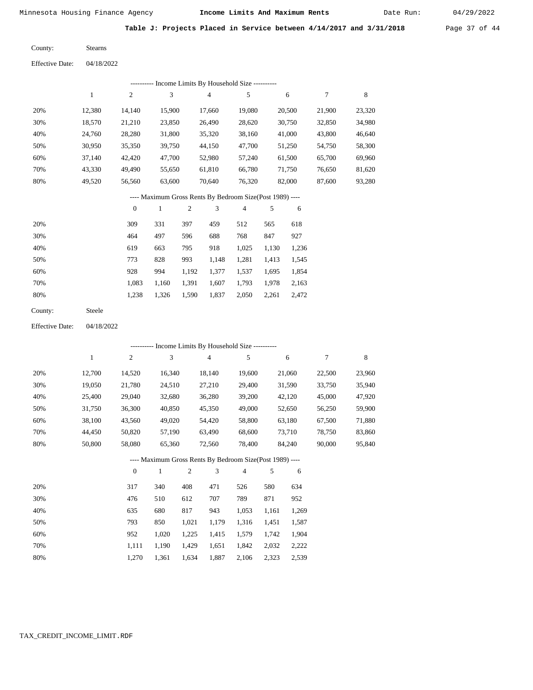Date Run:

**Table J: Projects Placed in Service between 4/14/2017 and 3/31/2018** Page 37 of 44

| County: | <b>Stearns</b> |
|---------|----------------|
|         |                |

Effective Date: 04/18/2022

|     |        |        |             |                | ---------- Income Limits By Household Size ----------          |        |        |        |
|-----|--------|--------|-------------|----------------|----------------------------------------------------------------|--------|--------|--------|
|     | 1      | 2      | 3           | $\overline{4}$ | 5                                                              | 6      | 7      | 8      |
| 20% | 12.380 | 14,140 | 15,900      | 17.660         | 19,080                                                         | 20,500 | 21,900 | 23,320 |
| 30% | 18,570 | 21,210 | 23,850      | 26,490         | 28,620                                                         | 30,750 | 32,850 | 34,980 |
| 40% | 24,760 | 28,280 | 31,800      | 35,320         | 38,160                                                         | 41,000 | 43,800 | 46,640 |
| 50% | 30,950 | 35,350 | 39,750      | 44,150         | 47,700                                                         | 51,250 | 54,750 | 58,300 |
| 60% | 37.140 | 42,420 | 47,700      | 52,980         | 57,240                                                         | 61,500 | 65,700 | 69,960 |
| 70% | 43,330 | 49.490 | 55,650      | 61,810         | 66,780                                                         | 71,750 | 76,650 | 81,620 |
| 80% | 49,520 | 56.560 | 63,600      | 70.640         | 76,320                                                         | 82,000 | 87,600 | 93,280 |
|     |        |        |             |                | ---- Maximum Gross Rents By Bedroom Size(Post 1989) ----       |        |        |        |
|     |        |        | $\Lambda$ 1 |                | $\begin{array}{ccccccccccccccccc}\n2 & 4 & 5 & 6\n\end{array}$ |        |        |        |

|     | $\mathbf{0}$ |       | $\overline{2}$ | 3     | 4     |       | 6     |
|-----|--------------|-------|----------------|-------|-------|-------|-------|
| 20% | 309          | 331   | 397            | 459   | 512   | 565   | 618   |
| 30% | 464          | 497   | 596            | 688   | 768   | 847   | 927   |
| 40% | 619          | 663   | 795            | 918   | 1,025 | 1,130 | 1,236 |
| 50% | 773          | 828   | 993            | 1,148 | 1,281 | 1,413 | 1,545 |
| 60% | 928          | 994   | 1,192          | 1,377 | 1,537 | 1,695 | 1,854 |
| 70% | 1,083        | 1,160 | 1,391          | 1,607 | 1,793 | 1,978 | 2,163 |
| 80% | 1,238        | 1,326 | 1,590          | 1,837 | 2,050 | 2,261 | 2,472 |
|     |              |       |                |       |       |       |       |

| County: | Steele |
|---------|--------|
|---------|--------|

Effective Date: 04/18/2022

|     |        |                |              |                |                | ---------- Income Limits By Household Size ----------    |       |        |        |        |
|-----|--------|----------------|--------------|----------------|----------------|----------------------------------------------------------|-------|--------|--------|--------|
|     | 1      | $\overline{c}$ | 3            |                | $\overline{4}$ | 5                                                        |       | 6      | 7      | 8      |
| 20% | 12,700 | 14,520         | 16,340       |                | 18,140         | 19,600                                                   |       | 21,060 | 22,500 | 23,960 |
| 30% | 19,050 | 21,780         | 24,510       |                | 27,210         | 29,400                                                   |       | 31,590 | 33,750 | 35,940 |
| 40% | 25,400 | 29,040         | 32,680       |                | 36,280         | 39,200                                                   |       | 42,120 | 45,000 | 47,920 |
| 50% | 31,750 | 36,300         | 40,850       |                | 45,350         | 49,000                                                   |       | 52,650 | 56,250 | 59,900 |
| 60% | 38,100 | 43,560         | 49,020       |                | 54,420         | 58,800                                                   |       | 63,180 | 67,500 | 71,880 |
| 70% | 44,450 | 50,820         | 57,190       |                | 63,490         | 68,600                                                   |       | 73,710 | 78,750 | 83,860 |
| 80% | 50,800 | 58,080         | 65,360       |                | 72,560         | 78,400                                                   |       | 84,240 | 90,000 | 95,840 |
|     |        |                |              |                |                | ---- Maximum Gross Rents By Bedroom Size(Post 1989) ---- |       |        |        |        |
|     |        | $\theta$       | $\mathbf{1}$ | $\mathfrak{2}$ | 3              | $\overline{4}$                                           | 5     | 6      |        |        |
| 20% |        | 317            | 340          | 408            | 471            | 526                                                      | 580   | 634    |        |        |
| 30% |        | 476            | 510          | 612            | 707            | 789                                                      | 871   | 952    |        |        |
| 40% |        | 635            | 680          | 817            | 943            | 1,053                                                    | 1,161 | 1,269  |        |        |
| 50% |        | 793            | 850          | 1,021          | 1,179          | 1,316                                                    | 1,451 | 1,587  |        |        |
| 60% |        | 952            | 1,020        | 1,225          | 1,415          | 1,579                                                    | 1,742 | 1,904  |        |        |

 1,111 1,190 1,429 1,651 1,842 2,032 2,222 1,270 1,361 1,634 1,887 2,106 2,323 2,539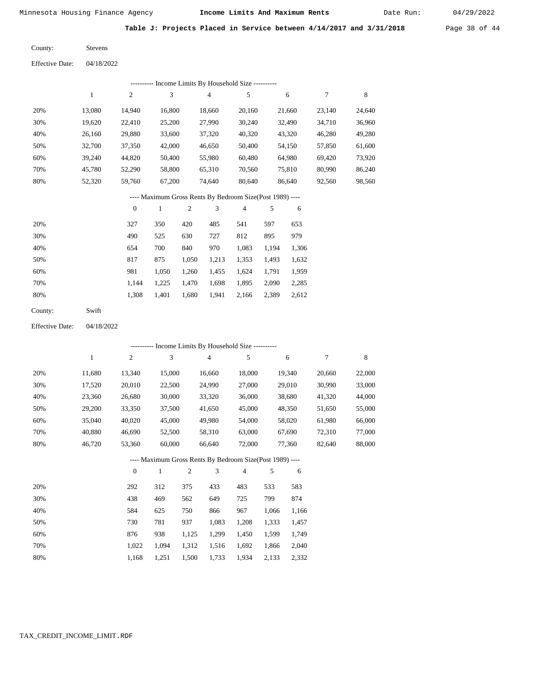Date Run:

Table J: Projects Placed in Service between 4/14/2017 and 3/31/2018 Page 38 of 44

Stevens County:

| <b>Effective Date:</b> | 04/18/2022 |
|------------------------|------------|
|------------------------|------------|

| Income Limits By Household Size ---------- |        |                |        |        |        |        |        |        |
|--------------------------------------------|--------|----------------|--------|--------|--------|--------|--------|--------|
|                                            |        | $\overline{c}$ | 3      | 4      | 5      | 6      |        | 8      |
| 20%                                        | 13.080 | 14.940         | 16.800 | 18,660 | 20,160 | 21,660 | 23,140 | 24,640 |
| 30%                                        | 19,620 | 22,410         | 25,200 | 27,990 | 30,240 | 32,490 | 34,710 | 36,960 |
| 40%                                        | 26,160 | 29,880         | 33,600 | 37,320 | 40,320 | 43,320 | 46,280 | 49,280 |
| 50%                                        | 32,700 | 37,350         | 42,000 | 46,650 | 50,400 | 54,150 | 57,850 | 61,600 |
| 60%                                        | 39.240 | 44,820         | 50,400 | 55,980 | 60,480 | 64,980 | 69.420 | 73,920 |
| 70%                                        | 45.780 | 52,290         | 58,800 | 65,310 | 70,560 | 75,810 | 80,990 | 86,240 |
| 80%                                        | 52,320 | 59.760         | 67,200 | 74.640 | 80,640 | 86,640 | 92,560 | 98,560 |

#### ---- Maximum Gross Rents By Bedroom Size(Post 1989) ----

|     | 0     |       | 2     | 3     | 4     | 5     | 6     |
|-----|-------|-------|-------|-------|-------|-------|-------|
| 20% | 327   | 350   | 420   | 485   | 541   | 597   | 653   |
| 30% | 490   | 525   | 630   | 727   | 812   | 895   | 979   |
| 40% | 654   | 700   | 840   | 970   | 1,083 | 1.194 | 1,306 |
| 50% | 817   | 875   | 1,050 | 1,213 | 1,353 | 1,493 | 1,632 |
| 60% | 981   | 1,050 | 1,260 | 1,455 | 1,624 | 1,791 | 1,959 |
| 70% | 1.144 | 1,225 | 1,470 | 1,698 | 1,895 | 2,090 | 2,285 |
| 80% | 1,308 | 1,401 | 1,680 | 1,941 | 2,166 | 2,389 | 2,612 |
|     |       |       |       |       |       |       |       |

| County: | Swift |
|---------|-------|
|---------|-------|

04/18/2022 Effective Date:

|     |              |                |              |                |                | ---------- Income Limits By Household Size ----------    |       |        |        |        |
|-----|--------------|----------------|--------------|----------------|----------------|----------------------------------------------------------|-------|--------|--------|--------|
|     | $\mathbf{1}$ | $\overline{c}$ | 3            |                | $\overline{4}$ | 5                                                        |       | 6      | 7      | 8      |
| 20% | 11,680       | 13,340         | 15,000       |                | 16,660         | 18,000                                                   |       | 19,340 | 20,660 | 22,000 |
| 30% | 17,520       | 20,010         | 22,500       |                | 24,990         | 27,000                                                   |       | 29,010 | 30,990 | 33,000 |
| 40% | 23,360       | 26,680         | 30,000       |                | 33,320         | 36,000                                                   |       | 38,680 | 41,320 | 44,000 |
| 50% | 29,200       | 33,350         | 37,500       |                | 41,650         | 45,000                                                   |       | 48,350 | 51,650 | 55,000 |
| 60% | 35,040       | 40,020         | 45,000       |                | 49,980         | 54,000                                                   |       | 58,020 | 61,980 | 66,000 |
| 70% | 40,880       | 46,690         | 52,500       |                | 58,310         | 63,000                                                   |       | 67,690 | 72,310 | 77,000 |
| 80% | 46,720       | 53,360         | 60,000       |                | 66,640         | 72,000                                                   |       | 77,360 | 82,640 | 88,000 |
|     |              |                |              |                |                | ---- Maximum Gross Rents By Bedroom Size(Post 1989) ---- |       |        |        |        |
|     |              | $\theta$       | $\mathbf{1}$ | $\mathfrak{2}$ | 3              | $\overline{4}$                                           | 5     | 6      |        |        |
| 20% |              | 292            | 312          | 375            | 433            | 483                                                      | 533   | 583    |        |        |
| 30% |              | 438            | 469          | 562            | 649            | 725                                                      | 799   | 874    |        |        |
| 40% |              | 584            | 625          | 750            | 866            | 967                                                      | 1,066 | 1,166  |        |        |
| 50% |              | 730            | 781          | 937            | 1,083          | 1,208                                                    | 1,333 | 1,457  |        |        |
| 60% |              | 876            | 938          | 1,125          | 1,299          | 1,450                                                    | 1,599 | 1,749  |        |        |
| 70% |              | 1,022          | 1,094        | 1,312          | 1,516          | 1,692                                                    | 1,866 | 2,040  |        |        |

1,168

1,251

1,500

1,733

1,934

2,133

2,332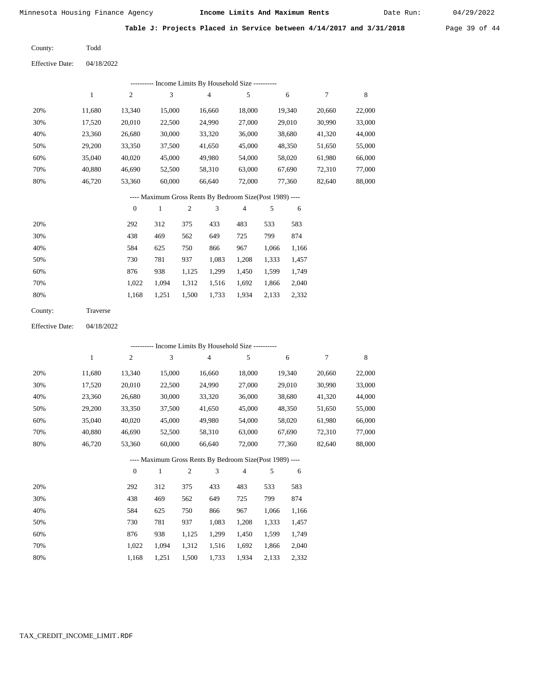Date Run:

Table J: Projects Placed in Service between 4/14/2017 and 3/31/2018 Page 39 of 44

Todd County:

| <b>Effective Date:</b> | 04/18/2022 |
|------------------------|------------|
|                        |            |

|     | Income Limits By Household Size ---------- |                |        |        |        |        |        |        |
|-----|--------------------------------------------|----------------|--------|--------|--------|--------|--------|--------|
|     |                                            | $\overline{c}$ | 3      | 4      | 5      | 6      |        | 8      |
| 20% | 11.680                                     | 13.340         | 15,000 | 16.660 | 18,000 | 19.340 | 20,660 | 22,000 |
| 30% | 17,520                                     | 20,010         | 22,500 | 24,990 | 27,000 | 29,010 | 30,990 | 33,000 |
| 40% | 23,360                                     | 26,680         | 30,000 | 33,320 | 36,000 | 38,680 | 41,320 | 44,000 |
| 50% | 29,200                                     | 33,350         | 37,500 | 41,650 | 45,000 | 48,350 | 51,650 | 55,000 |
| 60% | 35,040                                     | 40,020         | 45,000 | 49,980 | 54,000 | 58,020 | 61,980 | 66,000 |
| 70% | 40,880                                     | 46,690         | 52,500 | 58,310 | 63,000 | 67,690 | 72,310 | 77,000 |
| 80% | 46.720                                     | 53,360         | 60,000 | 66,640 | 72,000 | 77,360 | 82,640 | 88,000 |

#### ---- Maximum Gross Rents By Bedroom Size(Post 1989) ----

|     | $\mathbf{0}$ |       | 2     | 3     | 4     | 5     | 6     |
|-----|--------------|-------|-------|-------|-------|-------|-------|
| 20% | 292          | 312   | 375   | 433   | 483   | 533   | 583   |
| 30% | 438          | 469   | 562   | 649   | 725   | 799   | 874   |
| 40% | 584          | 625   | 750   | 866   | 967   | 1,066 | 1,166 |
| 50% | 730          | 781   | 937   | 1,083 | 1,208 | 1,333 | 1,457 |
| 60% | 876          | 938   | 1,125 | 1,299 | 1,450 | 1,599 | 1,749 |
| 70% | 1.022        | 1.094 | 1,312 | 1,516 | 1,692 | 1,866 | 2,040 |
| 80% | 1,168        | 1,251 | 1,500 | 1,733 | 1,934 | 2,133 | 2,332 |
|     |              |       |       |       |       |       |       |

| County: | Traverse |
|---------|----------|
|         |          |

04/18/2022 Effective Date:

|     |        |                |              |                |                | ---------- Income Limits By Household Size ----------    |       |        |        |             |
|-----|--------|----------------|--------------|----------------|----------------|----------------------------------------------------------|-------|--------|--------|-------------|
|     | 1      | $\overline{c}$ | 3            |                | $\overline{4}$ | 5                                                        |       | 6      | 7      | $\,$ 8 $\,$ |
| 20% | 11,680 | 13,340         | 15,000       |                | 16,660         | 18,000                                                   |       | 19,340 | 20,660 | 22,000      |
| 30% | 17,520 | 20,010         | 22,500       |                | 24,990         | 27,000                                                   |       | 29,010 | 30,990 | 33,000      |
| 40% | 23,360 | 26,680         | 30,000       |                | 33,320         | 36,000                                                   |       | 38,680 | 41,320 | 44,000      |
| 50% | 29,200 | 33,350         | 37,500       |                | 41,650         | 45,000                                                   |       | 48,350 | 51,650 | 55,000      |
| 60% | 35,040 | 40,020         | 45,000       |                | 49,980         | 54,000                                                   |       | 58,020 | 61,980 | 66,000      |
| 70% | 40,880 | 46,690         | 52,500       |                | 58,310         | 63,000                                                   |       | 67,690 | 72,310 | 77,000      |
| 80% | 46,720 | 53,360         | 60,000       |                | 66,640         | 72,000                                                   |       | 77,360 | 82,640 | 88,000      |
|     |        |                |              |                |                | ---- Maximum Gross Rents By Bedroom Size(Post 1989) ---- |       |        |        |             |
|     |        | $\overline{0}$ | $\mathbf{1}$ | $\overline{2}$ | 3              | $\overline{4}$                                           | 5     | 6      |        |             |
| 20% |        | 292            | 312          | 375            | 433            | 483                                                      | 533   | 583    |        |             |
| 30% |        | 438            | 469          | 562            | 649            | 725                                                      | 799   | 874    |        |             |
| 40% |        | 584            | 625          | 750            | 866            | 967                                                      | 1,066 | 1,166  |        |             |
| 50% |        | 730            | 781          | 937            | 1,083          | 1,208                                                    | 1,333 | 1,457  |        |             |
| 60% |        | 876            | 938          | 1,125          | 1,299          | 1,450                                                    | 1,599 | 1,749  |        |             |
| 70% |        | 1,022          | 1,094        | 1,312          | 1,516          | 1,692                                                    | 1,866 | 2,040  |        |             |

1,168

1,251

1,500

1,733

1,934

2,133

2,332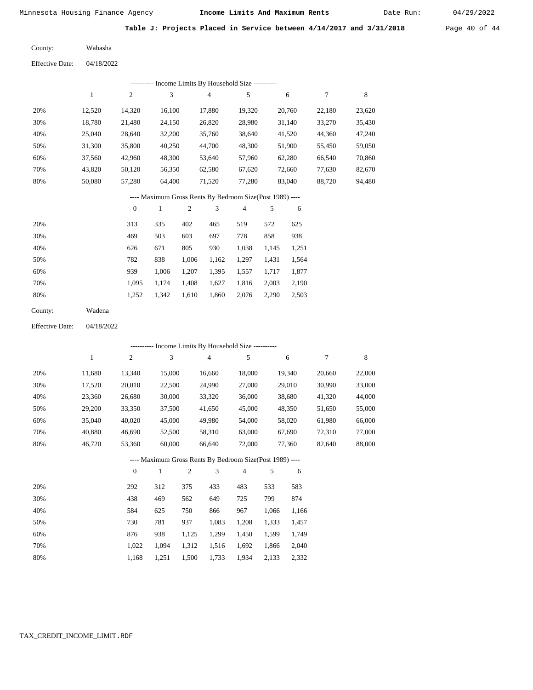Date Run:

**Table J: Projects Placed in Service between 4/14/2017 and 3/31/2018** Page 40 of 44

Wabasha County:

04/18/2022 Effective Date:

|     |        |                | -- Income Limits By Household Size ---------- |        |        |        |        |        |
|-----|--------|----------------|-----------------------------------------------|--------|--------|--------|--------|--------|
|     |        | $\overline{2}$ | 3                                             | 4      | 5      | 6      | 7      | 8      |
| 20% | 12,520 | 14,320         | 16,100                                        | 17,880 | 19,320 | 20,760 | 22,180 | 23,620 |
| 30% | 18.780 | 21,480         | 24,150                                        | 26,820 | 28,980 | 31,140 | 33,270 | 35,430 |
| 40% | 25,040 | 28,640         | 32,200                                        | 35,760 | 38,640 | 41,520 | 44,360 | 47,240 |
| 50% | 31,300 | 35,800         | 40,250                                        | 44,700 | 48,300 | 51,900 | 55,450 | 59,050 |
| 60% | 37,560 | 42,960         | 48,300                                        | 53,640 | 57,960 | 62,280 | 66,540 | 70,860 |
| 70% | 43,820 | 50,120         | 56,350                                        | 62,580 | 67,620 | 72,660 | 77,630 | 82,670 |
| 80% | 50,080 | 57,280         | 64,400                                        | 71,520 | 77,280 | 83,040 | 88,720 | 94,480 |
|     |        |                |                                               |        |        |        |        |        |

---- Maximum Gross Rents By Bedroom Size(Post 1989) ----

|     | $\mathbf{0}$ |       | 2     | 3     | 4     |       | 6     |
|-----|--------------|-------|-------|-------|-------|-------|-------|
| 20% | 313          | 335   | 402   | 465   | 519   | 572   | 625   |
| 30% | 469          | 503   | 603   | 697   | 778   | 858   | 938   |
| 40% | 626          | 671   | 805   | 930   | 1,038 | 1,145 | 1,251 |
| 50% | 782          | 838   | 1,006 | 1,162 | 1,297 | 1,431 | 1,564 |
| 60% | 939          | 1,006 | 1,207 | 1,395 | 1,557 | 1,717 | 1,877 |
| 70% | 1.095        | 1,174 | 1,408 | 1,627 | 1,816 | 2,003 | 2,190 |
| 80% | 1,252        | 1,342 | 1,610 | 1,860 | 2,076 | 2,290 | 2,503 |
|     |              |       |       |       |       |       |       |

| County: | Wadena |
|---------|--------|
|---------|--------|

04/18/2022 Effective Date:

|     |              |                |        |                |                | ---------- Income Limits By Household Size ----------    |       |        |        |        |
|-----|--------------|----------------|--------|----------------|----------------|----------------------------------------------------------|-------|--------|--------|--------|
|     | $\mathbf{1}$ | $\overline{c}$ | 3      |                | $\overline{4}$ | 5                                                        |       | 6      | 7      | 8      |
| 20% | 11,680       | 13,340         | 15,000 |                | 16,660         | 18,000                                                   |       | 19,340 | 20,660 | 22,000 |
| 30% | 17,520       | 20,010         | 22,500 |                | 24,990         | 27,000                                                   |       | 29,010 | 30,990 | 33,000 |
| 40% | 23,360       | 26,680         | 30,000 |                | 33,320         | 36,000                                                   |       | 38,680 | 41,320 | 44,000 |
| 50% | 29,200       | 33,350         | 37,500 |                | 41,650         | 45,000                                                   |       | 48,350 | 51,650 | 55,000 |
| 60% | 35,040       | 40,020         | 45,000 |                | 49,980         | 54,000                                                   |       | 58,020 | 61,980 | 66,000 |
| 70% | 40,880       | 46,690         | 52,500 |                | 58,310         | 63,000                                                   |       | 67,690 | 72,310 | 77,000 |
| 80% | 46,720       | 53,360         | 60,000 |                | 66,640         | 72,000                                                   |       | 77,360 | 82,640 | 88,000 |
|     |              |                |        |                |                | ---- Maximum Gross Rents By Bedroom Size(Post 1989) ---- |       |        |        |        |
|     |              | $\mathbf{0}$   | 1      | $\overline{2}$ | 3              | $\overline{4}$                                           | 5     | 6      |        |        |
| 20% |              | 292            | 312    | 375            | 433            | 483                                                      | 533   | 583    |        |        |
| 30% |              | 438            | 469    | 562            | 649            | 725                                                      | 799   | 874    |        |        |
| 40% |              | 584            | 625    | 750            | 866            | 967                                                      | 1,066 | 1,166  |        |        |
| 50% |              | 730            | 781    | 937            | 1,083          | 1,208                                                    | 1,333 | 1,457  |        |        |
| 60% |              | 876            | 938    | 1,125          | 1,299          | 1,450                                                    | 1,599 | 1,749  |        |        |
| 70% |              | 1,022          | 1,094  | 1,312          | 1,516          | 1,692                                                    | 1,866 | 2,040  |        |        |

1,168 1,251 1,500 1,733 1,934 2,133 2,332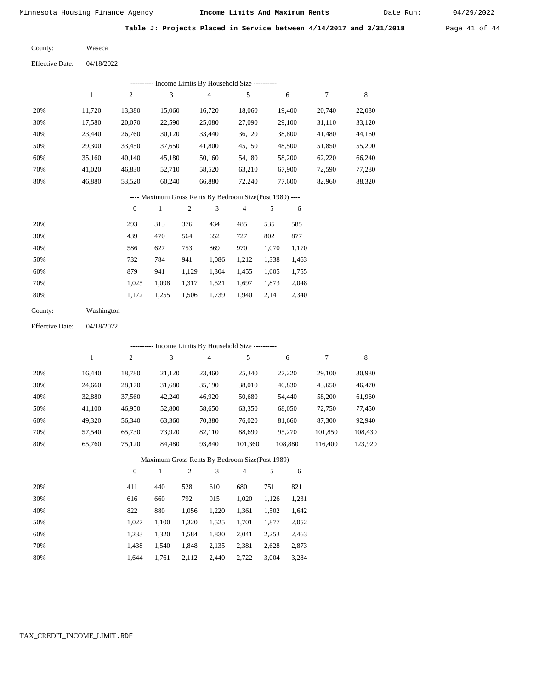Date Run:

**Table J: Projects Placed in Service between 4/14/2017 and 3/31/2018** Page 41 of 44

| County: | Waseca |
|---------|--------|
|---------|--------|

Effective Date: 04/18/2022

|     |        |                |        | Income Limits By Household Size ---------- |        |        |        |        |
|-----|--------|----------------|--------|--------------------------------------------|--------|--------|--------|--------|
|     |        | $\overline{c}$ | 3      | 4                                          | 5      | 6      |        | 8      |
| 20% | 11.720 | 13,380         | 15,060 | 16,720                                     | 18,060 | 19.400 | 20,740 | 22,080 |
| 30% | 17,580 | 20,070         | 22,590 | 25,080                                     | 27,090 | 29,100 | 31,110 | 33,120 |
| 40% | 23.440 | 26,760         | 30,120 | 33,440                                     | 36,120 | 38,800 | 41,480 | 44,160 |
| 50% | 29,300 | 33,450         | 37,650 | 41,800                                     | 45,150 | 48,500 | 51,850 | 55,200 |
| 60% | 35,160 | 40,140         | 45,180 | 50,160                                     | 54,180 | 58,200 | 62,220 | 66,240 |
| 70% | 41.020 | 46,830         | 52,710 | 58,520                                     | 63,210 | 67,900 | 72,590 | 77,280 |
| 80% | 46,880 | 53,520         | 60,240 | 66,880                                     | 72,240 | 77,600 | 82,960 | 88,320 |

# ---- Maximum Gross Rents By Bedroom Size(Post 1989) ----

|     | $\mathbf{0}$ |       | $\overline{2}$ | 3     | 4     | 5     | 6     |
|-----|--------------|-------|----------------|-------|-------|-------|-------|
| 20% | 293          | 313   | 376            | 434   | 485   | 535   | 585   |
| 30% | 439          | 470   | 564            | 652   | 727   | 802   | 877   |
| 40% | 586          | 627   | 753            | 869   | 970   | 1,070 | 1,170 |
| 50% | 732          | 784   | 941            | 1,086 | 1,212 | 1,338 | 1,463 |
| 60% | 879          | 941   | 1,129          | 1,304 | 1,455 | 1,605 | 1,755 |
| 70% | 1.025        | 1,098 | 1,317          | 1,521 | 1,697 | 1,873 | 2,048 |
| 80% | 1,172        | 1,255 | 1,506          | 1,739 | 1,940 | 2,141 | 2,340 |

| County: | Washington |
|---------|------------|
|         |            |

Effective Date: 04/18/2022

| ---------- Income Limits By Household Size ---------- |        |          |              |      |        |                                                          |     |         |         |         |  |  |
|-------------------------------------------------------|--------|----------|--------------|------|--------|----------------------------------------------------------|-----|---------|---------|---------|--|--|
|                                                       | 1      | 2        | 3            |      | 4      | 5                                                        |     | 6       | 7       | 8       |  |  |
| 20%                                                   | 16,440 | 18,780   | 21,120       |      | 23,460 | 25,340                                                   |     | 27,220  | 29,100  | 30,980  |  |  |
| 30%                                                   | 24,660 | 28,170   | 31,680       |      | 35,190 | 38,010                                                   |     | 40,830  | 43,650  | 46,470  |  |  |
| 40%                                                   | 32,880 | 37,560   | 42,240       |      | 46,920 | 50,680                                                   |     | 54,440  | 58,200  | 61,960  |  |  |
| 50%                                                   | 41,100 | 46,950   | 52,800       |      | 58,650 | 63,350                                                   |     | 68,050  | 72,750  | 77,450  |  |  |
| 60%                                                   | 49,320 | 56,340   | 63,360       |      | 70,380 | 76,020                                                   |     | 81,660  | 87,300  | 92,940  |  |  |
| 70%                                                   | 57,540 | 65,730   | 73,920       |      | 82,110 | 88,690                                                   |     | 95,270  | 101,850 | 108,430 |  |  |
| 80%                                                   | 65,760 | 75,120   | 84,480       |      | 93,840 | 101,360                                                  |     | 108,880 | 116,400 | 123,920 |  |  |
|                                                       |        |          |              |      |        | ---- Maximum Gross Rents By Bedroom Size(Post 1989) ---- |     |         |         |         |  |  |
|                                                       |        | $\theta$ | $\mathbf{1}$ | 2    | 3      | $\overline{4}$                                           | 5   | 6       |         |         |  |  |
| 20%                                                   |        | 411      | 440          | 528. | 610    | 680                                                      | 751 | 821     |         |         |  |  |

| 20% | 411   | 440   | 528   | 610   | 680   | 751   | 821   |
|-----|-------|-------|-------|-------|-------|-------|-------|
| 30% | 616   | 660   | 792   | 915   | 1.020 | 1.126 | 1,231 |
| 40% | 822   | 880   | 1.056 | 1.220 | 1.361 | 1.502 | 1,642 |
| 50% | 1.027 | 1.100 | 1.320 | 1.525 | 1,701 | 1.877 | 2,052 |
| 60% | 1.233 | 1.320 | 1.584 | 1,830 | 2,041 | 2.253 | 2,463 |
| 70% | 1.438 | 1.540 | 1.848 | 2,135 | 2,381 | 2.628 | 2,873 |
| 80% | 1.644 | 1.761 | 2,112 | 2.440 | 2.722 | 3.004 | 3,284 |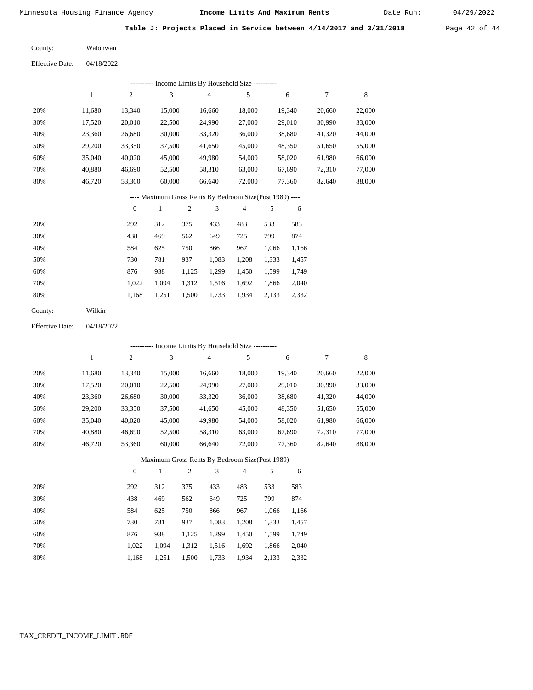Date Run:

|  |  |  | Table J: Projects Placed in Service between 4/14/2017 and 3/31/2018 | Page $42$ of $44$ |  |  |
|--|--|--|---------------------------------------------------------------------|-------------------|--|--|
|  |  |  |                                                                     |                   |  |  |

| County: | Watonwan |
|---------|----------|
|         |          |

|     | ---------- Income Limits By Household Size ---------- |              |        |                                                          |                |        |        |        |  |  |  |  |
|-----|-------------------------------------------------------|--------------|--------|----------------------------------------------------------|----------------|--------|--------|--------|--|--|--|--|
|     | 1                                                     | 2            | 3      | $\overline{4}$                                           | 5              | 6      | 7      | 8      |  |  |  |  |
| 20% | 11,680                                                | 13,340       | 15,000 | 16,660                                                   | 18,000         | 19,340 | 20,660 | 22,000 |  |  |  |  |
| 30% | 17,520                                                | 20,010       | 22,500 | 24,990                                                   | 27,000         | 29,010 | 30,990 | 33,000 |  |  |  |  |
| 40% | 23,360                                                | 26,680       | 30,000 | 33,320                                                   | 36,000         | 38,680 | 41,320 | 44,000 |  |  |  |  |
| 50% | 29,200                                                | 33,350       | 37,500 | 41,650                                                   | 45,000         | 48,350 | 51,650 | 55,000 |  |  |  |  |
| 60% | 35,040                                                | 40,020       | 45,000 | 49,980                                                   | 54,000         | 58,020 | 61,980 | 66,000 |  |  |  |  |
| 70% | 40.880                                                | 46,690       | 52,500 | 58,310                                                   | 63,000         | 67,690 | 72,310 | 77,000 |  |  |  |  |
| 80% | 46,720                                                | 53,360       | 60,000 | 66,640                                                   | 72,000         | 77,360 | 82,640 | 88,000 |  |  |  |  |
|     |                                                       |              |        | ---- Maximum Gross Rents By Bedroom Size(Post 1989) ---- |                |        |        |        |  |  |  |  |
|     |                                                       | $\mathbf{0}$ | 1      | 3<br>2                                                   | $\overline{4}$ | 5<br>6 |        |        |  |  |  |  |
|     |                                                       |              |        |                                                          |                |        |        |        |  |  |  |  |

| 20% | 292   | 312   | 375   | 433   | 483   | 533   | 583   |
|-----|-------|-------|-------|-------|-------|-------|-------|
| 30% | 438   | 469   | 562   | 649   | 725   | 799   | 874   |
| 40% | 584   | 625   | 750   | 866   | 967   | 1.066 | 1,166 |
| 50% | 730   | 781   | 937   | 1,083 | 1,208 | 1,333 | 1,457 |
| 60% | 876   | 938   | 1,125 | 1,299 | 1,450 | 1,599 | 1,749 |
| 70% | 1.022 | 1.094 | 1,312 | 1,516 | 1,692 | 1,866 | 2,040 |
| 80% | 1,168 | 1,251 | 1,500 | 1,733 | 1,934 | 2,133 | 2,332 |
|     |       |       |       |       |       |       |       |

| County: | Wilkin |
|---------|--------|
|---------|--------|

Effective Date: 04/18/2022

|     |        |                |              |              |                | ---------- Income Limits By Household Size ----------    |       |        |        |        |
|-----|--------|----------------|--------------|--------------|----------------|----------------------------------------------------------|-------|--------|--------|--------|
|     | 1      | $\overline{c}$ | 3            |              | $\overline{4}$ | 5                                                        |       | 6      | 7      | 8      |
| 20% | 11,680 | 13,340         | 15,000       |              | 16,660         | 18,000                                                   |       | 19,340 | 20,660 | 22,000 |
| 30% | 17,520 | 20,010         | 22,500       |              | 24,990         | 27,000                                                   |       | 29,010 | 30,990 | 33,000 |
| 40% | 23,360 | 26,680         | 30,000       |              | 33,320         | 36,000                                                   |       | 38,680 | 41,320 | 44,000 |
| 50% | 29,200 | 33,350         | 37,500       |              | 41,650         | 45,000                                                   |       | 48,350 | 51,650 | 55,000 |
| 60% | 35,040 | 40,020         | 45,000       |              | 49,980         | 54,000                                                   |       | 58,020 | 61,980 | 66,000 |
| 70% | 40,880 | 46,690         | 52,500       |              | 58,310         | 63,000                                                   |       | 67,690 | 72,310 | 77,000 |
| 80% | 46,720 | 53,360         | 60,000       |              | 66,640         | 72,000                                                   |       | 77,360 | 82,640 | 88,000 |
|     |        |                |              |              |                | ---- Maximum Gross Rents By Bedroom Size(Post 1989) ---- |       |        |        |        |
|     |        | $\mathbf{0}$   | $\mathbf{1}$ | $\mathbf{2}$ | 3              | $\overline{4}$                                           | 5     | 6      |        |        |
| 20% |        | 292            | 312          | 375          | 433            | 483                                                      | 533   | 583    |        |        |
| 30% |        | 438            | 469          | 562          | 649            | 725                                                      | 799   | 874    |        |        |
| 40% |        | 584            | 625          | 750          | 866            | 967                                                      | 1,066 | 1,166  |        |        |
| 50% |        | 730            | 781          | 937          | 1,083          | 1,208                                                    | 1,333 | 1,457  |        |        |
| 60% |        | 876            | 938          | 1,125        | 1,299          | 1,450                                                    | 1,599 | 1,749  |        |        |

1,500 1,733

1,312 1,516 1,692 1,866 2,040

1,934 2,133 2,332

 1,022 1,168

 1,094 1,251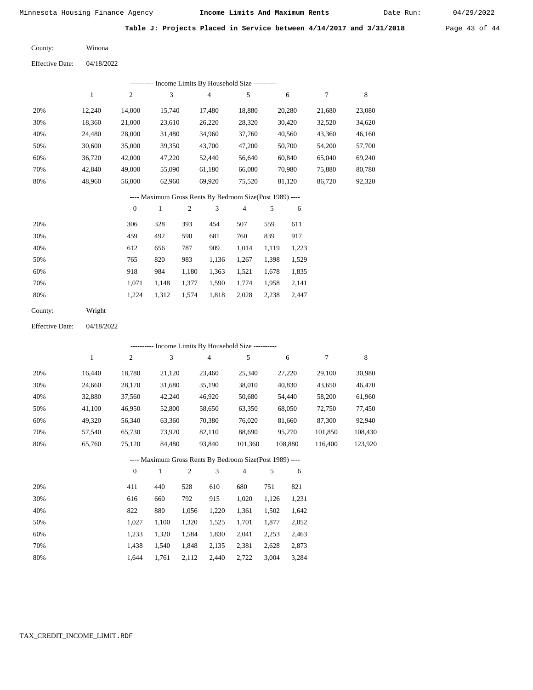Date Run:

**Table J: Projects Placed in Service between 4/14/2017 and 3/31/2018** Page 43 of 44

Winona County:

04/18/2022 Effective Date:

|     | -- Income Limits By Household Size ---------- |                |        |        |        |        |        |        |  |  |  |  |  |
|-----|-----------------------------------------------|----------------|--------|--------|--------|--------|--------|--------|--|--|--|--|--|
|     |                                               | $\overline{c}$ | 3      | 4      | 5      | 6      | 7      | 8      |  |  |  |  |  |
| 20% | 12.240                                        | 14,000         | 15.740 | 17,480 | 18,880 | 20,280 | 21,680 | 23,080 |  |  |  |  |  |
| 30% | 18,360                                        | 21,000         | 23.610 | 26,220 | 28,320 | 30,420 | 32,520 | 34,620 |  |  |  |  |  |
| 40% | 24.480                                        | 28,000         | 31,480 | 34,960 | 37,760 | 40,560 | 43,360 | 46,160 |  |  |  |  |  |
| 50% | 30,600                                        | 35,000         | 39,350 | 43,700 | 47,200 | 50,700 | 54,200 | 57,700 |  |  |  |  |  |
| 60% | 36,720                                        | 42,000         | 47,220 | 52,440 | 56,640 | 60,840 | 65,040 | 69,240 |  |  |  |  |  |
| 70% | 42,840                                        | 49,000         | 55,090 | 61,180 | 66,080 | 70,980 | 75,880 | 80,780 |  |  |  |  |  |
| 80% | 48,960                                        | 56,000         | 62,960 | 69,920 | 75,520 | 81,120 | 86,720 | 92,320 |  |  |  |  |  |
|     |                                               |                |        |        |        |        |        |        |  |  |  |  |  |

---- Maximum Gross Rents By Bedroom Size(Post 1989) ----

|     | $\theta$ |       | $\overline{2}$ | 3     | $\overline{4}$ | 5     | 6     |
|-----|----------|-------|----------------|-------|----------------|-------|-------|
| 20% | 306      | 328   | 393            | 454   | 507            | 559   | 611   |
| 30% | 459      | 492   | 590            | 681   | 760            | 839   | 917   |
| 40% | 612      | 656   | 787            | 909   | 1,014          | 1.119 | 1,223 |
| 50% | 765      | 820   | 983            | 1,136 | 1,267          | 1,398 | 1,529 |
| 60% | 918      | 984   | 1,180          | 1,363 | 1,521          | 1,678 | 1,835 |
| 70% | 1.071    | 1.148 | 1,377          | 1,590 | 1,774          | 1,958 | 2,141 |
| 80% | 1,224    | 1,312 | 1,574          | 1,818 | 2,028          | 2,238 | 2,447 |
|     |          |       |                |       |                |       |       |

Wright County:

04/18/2022 Effective Date:

|     |        |                |        |     |                | ---------- Income Limits By Household Size ----------    |       |         |         |         |
|-----|--------|----------------|--------|-----|----------------|----------------------------------------------------------|-------|---------|---------|---------|
|     | 1      | 2              | 3      |     | $\overline{4}$ | 5                                                        |       | 6       | 7       | 8       |
| 20% | 16,440 | 18,780         | 21,120 |     | 23,460         | 25,340                                                   |       | 27,220  | 29,100  | 30,980  |
| 30% | 24,660 | 28,170         | 31,680 |     | 35,190         | 38,010                                                   |       | 40,830  | 43,650  | 46,470  |
| 40% | 32,880 | 37,560         | 42,240 |     | 46,920         | 50,680                                                   |       | 54,440  | 58,200  | 61,960  |
| 50% | 41,100 | 46,950         | 52,800 |     | 58,650         | 63,350                                                   |       | 68,050  | 72,750  | 77,450  |
| 60% | 49,320 | 56,340         | 63,360 |     | 70,380         | 76,020                                                   |       | 81,660  | 87,300  | 92,940  |
| 70% | 57,540 | 65,730         | 73,920 |     | 82,110         | 88,690                                                   |       | 95,270  | 101,850 | 108,430 |
| 80% | 65,760 | 75,120         | 84,480 |     | 93,840         | 101,360                                                  |       | 108,880 | 116,400 | 123,920 |
|     |        |                |        |     |                | ---- Maximum Gross Rents By Bedroom Size(Post 1989) ---- |       |         |         |         |
|     |        | $\overline{0}$ | 1      | 2   | 3              | $\overline{4}$                                           | 5     | 6       |         |         |
| 20% |        | 411            | 440    | 528 | 610            | 680                                                      | 751   | 821     |         |         |
| 30% |        | 616            | 660    | 792 | 915            | 1,020                                                    | 1,126 | 1,231   |         |         |

| <b>30%</b> | 010   | OOU.        |       | $1,120$ 1,020 $1,120$ 1,231   |             |       |
|------------|-------|-------------|-------|-------------------------------|-------------|-------|
| 40%        | 822   | 880         |       | 1,056 1,220 1,361 1,502 1,642 |             |       |
| 50%        | 1.027 | 1.100       |       | 1,320 1,525 1,701 1,877 2,052 |             |       |
| 60%        | 1.233 | 1.320       | 1.584 | 1,830 2,041 2,253 2,463       |             |       |
| 70%        | 1.438 | 1.540       | 1.848 | 2,135 2,381                   | 2,628 2,873 |       |
| 80%        | 1.644 | 1,761 2,112 |       | 2,440 2,722                   | 3,004       | 3,284 |